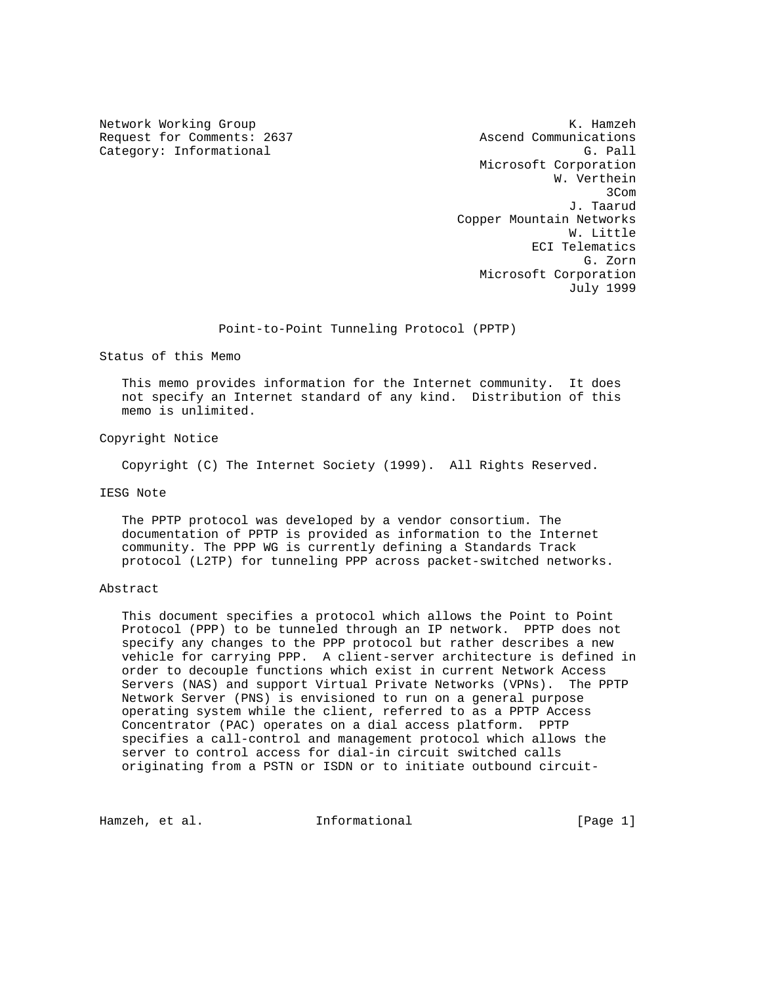Request for Comments: 2637 Ascend Communications Category: Informational G. Pall Category: Category: Category: C. Pall Category: C. Pall

Network Working Group and the set of the set of the set of the set of the set of the set of the set of the set of the set of the set of the set of the set of the set of the set of the set of the set of the set of the set o Microsoft Corporation W. Verthein **3Com 3Com 3Com**  J. Taarud Copper Mountain Networks W. Little ECI Telematics G. Zorn Microsoft Corporation July 1999

Point-to-Point Tunneling Protocol (PPTP)

Status of this Memo

 This memo provides information for the Internet community. It does not specify an Internet standard of any kind. Distribution of this memo is unlimited.

Copyright Notice

Copyright (C) The Internet Society (1999). All Rights Reserved.

#### IESG Note

 The PPTP protocol was developed by a vendor consortium. The documentation of PPTP is provided as information to the Internet community. The PPP WG is currently defining a Standards Track protocol (L2TP) for tunneling PPP across packet-switched networks.

## Abstract

 This document specifies a protocol which allows the Point to Point Protocol (PPP) to be tunneled through an IP network. PPTP does not specify any changes to the PPP protocol but rather describes a new vehicle for carrying PPP. A client-server architecture is defined in order to decouple functions which exist in current Network Access Servers (NAS) and support Virtual Private Networks (VPNs). The PPTP Network Server (PNS) is envisioned to run on a general purpose operating system while the client, referred to as a PPTP Access Concentrator (PAC) operates on a dial access platform. PPTP specifies a call-control and management protocol which allows the server to control access for dial-in circuit switched calls originating from a PSTN or ISDN or to initiate outbound circuit-

Hamzeh, et al. **Informational** [Page 1]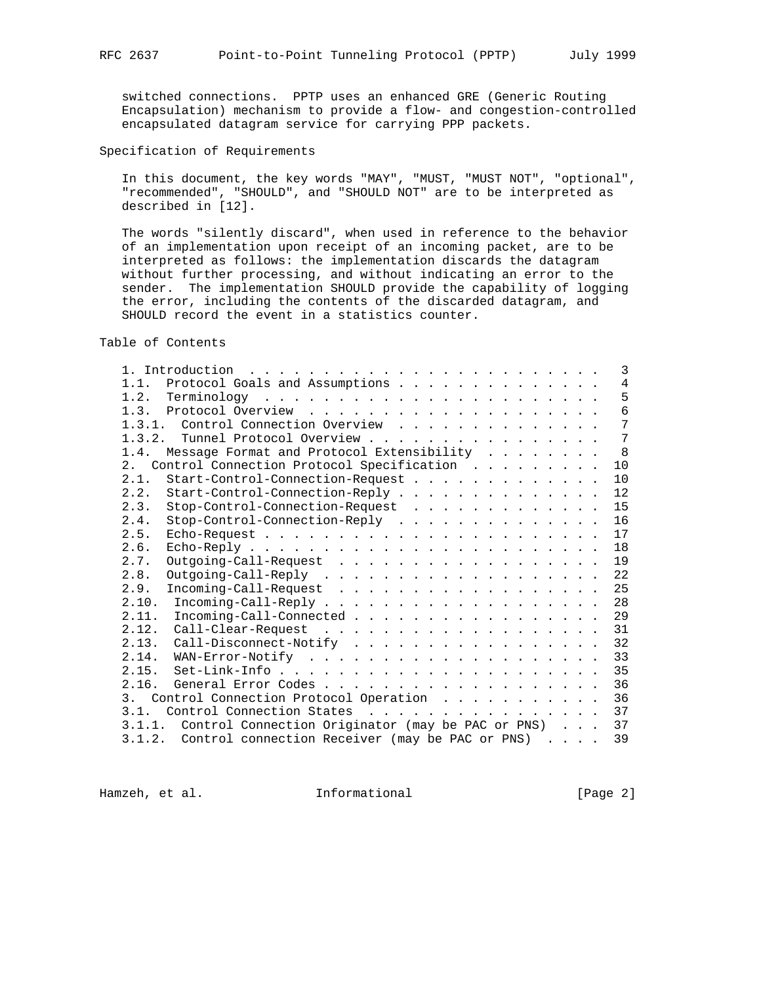switched connections. PPTP uses an enhanced GRE (Generic Routing Encapsulation) mechanism to provide a flow- and congestion-controlled encapsulated datagram service for carrying PPP packets.

Specification of Requirements

 In this document, the key words "MAY", "MUST, "MUST NOT", "optional", "recommended", "SHOULD", and "SHOULD NOT" are to be interpreted as described in [12].

 The words "silently discard", when used in reference to the behavior of an implementation upon receipt of an incoming packet, are to be interpreted as follows: the implementation discards the datagram without further processing, and without indicating an error to the sender. The implementation SHOULD provide the capability of logging the error, including the contents of the discarded datagram, and SHOULD record the event in a statistics counter.

Table of Contents

| 1. Introduction $\ldots \ldots \ldots \ldots \ldots \ldots \ldots \ldots$ | 3   |
|---------------------------------------------------------------------------|-----|
| 1.1. Protocol Goals and Assumptions                                       | 4   |
|                                                                           | 5   |
|                                                                           | 6   |
| 1.3.1. Control Connection Overview                                        | 7   |
| 1.3.2. Tunnel Protocol Overview                                           | 7   |
| 1.4. Message Format and Protocol Extensibility                            | - 8 |
| Control Connection Protocol Specification<br>2.1                          | 10  |
| 2.1.<br>Start-Control-Connection-Request                                  | 10  |
| Start-Control-Connection-Reply<br>2.2.                                    | 12  |
| Stop-Control-Connection-Request<br>2.3.                                   | 15  |
| Stop-Control-Connection-Reply<br>2.4.                                     | 16  |
| 2.5.<br>$\text{Echo-Request}$                                             | 17  |
| 2.6.                                                                      | 18  |
| 2.7.<br>Outgoing-Call-Request                                             | 19  |
| 2.8.                                                                      | 22  |
| 2.9.<br>$Incoming$ -Call-Request                                          | 25  |
| 2.10.                                                                     | 28  |
| Incoming-Call-Connected<br>2.11.                                          | 29  |
| 2.12.                                                                     | 31  |
| Call-Disconnect-Notify<br>2.13.                                           | 32  |
| 2.14.                                                                     | 33  |
| 2.15.                                                                     | 35  |
| 2.16.                                                                     | 36  |
| Control Connection Protocol Operation<br>3 <sub>1</sub>                   | 36  |
| Control Connection States<br>3.1.                                         | 37  |
| 3.1.1. Control Connection Originator (may be PAC or PNS)                  | 37  |
| 3.1.2. Control connection Receiver (may be PAC or PNS)                    | 39  |

Hamzeh, et al. 1nformational 1999 [Page 2]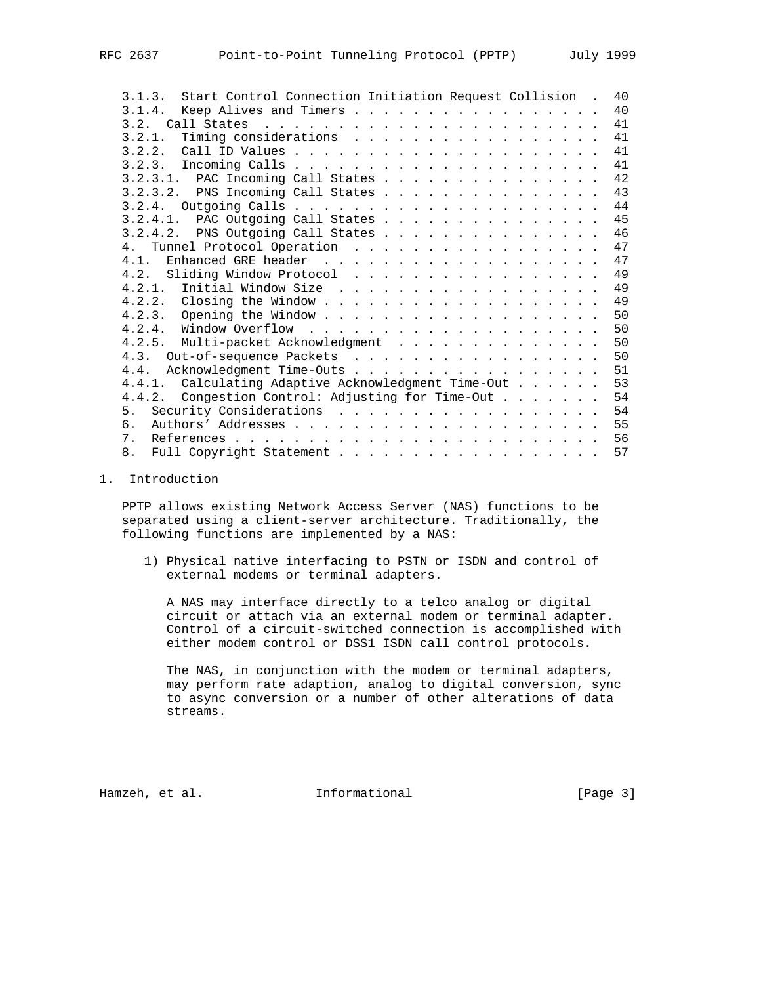| 3.1.3. Start Control Connection Initiation Request Collision. | 40 |
|---------------------------------------------------------------|----|
|                                                               | 40 |
|                                                               | 41 |
| 3.2.1. Timing considerations                                  | 41 |
|                                                               | 41 |
|                                                               | 41 |
|                                                               | 42 |
|                                                               | 43 |
|                                                               | 44 |
| 3.2.4.1. PAC Outgoing Call States                             | 45 |
| 3.2.4.2. PNS Outgoing Call States 46                          |    |
| 4. Tunnel Protocol Operation                                  | 47 |
| 4 1                                                           | 47 |
|                                                               | 49 |
|                                                               | 49 |
|                                                               | 49 |
|                                                               | 50 |
|                                                               | 50 |
| 4.2.5. Multi-packet Acknowledgment                            | 50 |
| 4.3. Out-of-sequence Packets                                  | 50 |
| 4.4. Acknowledgment Time-Outs                                 | 51 |
| 4.4.1. Calculating Adaptive Acknowledgment Time-Out 53        |    |
| 4.4.2. Congestion Control: Adjusting for Time-Out             | 54 |
|                                                               | 54 |
| რ.                                                            | 55 |
| 7.                                                            | 56 |
| 8.                                                            | 57 |

# 1. Introduction

 PPTP allows existing Network Access Server (NAS) functions to be separated using a client-server architecture. Traditionally, the following functions are implemented by a NAS:

 1) Physical native interfacing to PSTN or ISDN and control of external modems or terminal adapters.

 A NAS may interface directly to a telco analog or digital circuit or attach via an external modem or terminal adapter. Control of a circuit-switched connection is accomplished with either modem control or DSS1 ISDN call control protocols.

 The NAS, in conjunction with the modem or terminal adapters, may perform rate adaption, analog to digital conversion, sync to async conversion or a number of other alterations of data streams.

Hamzeh, et al. **Informational** [Page 3]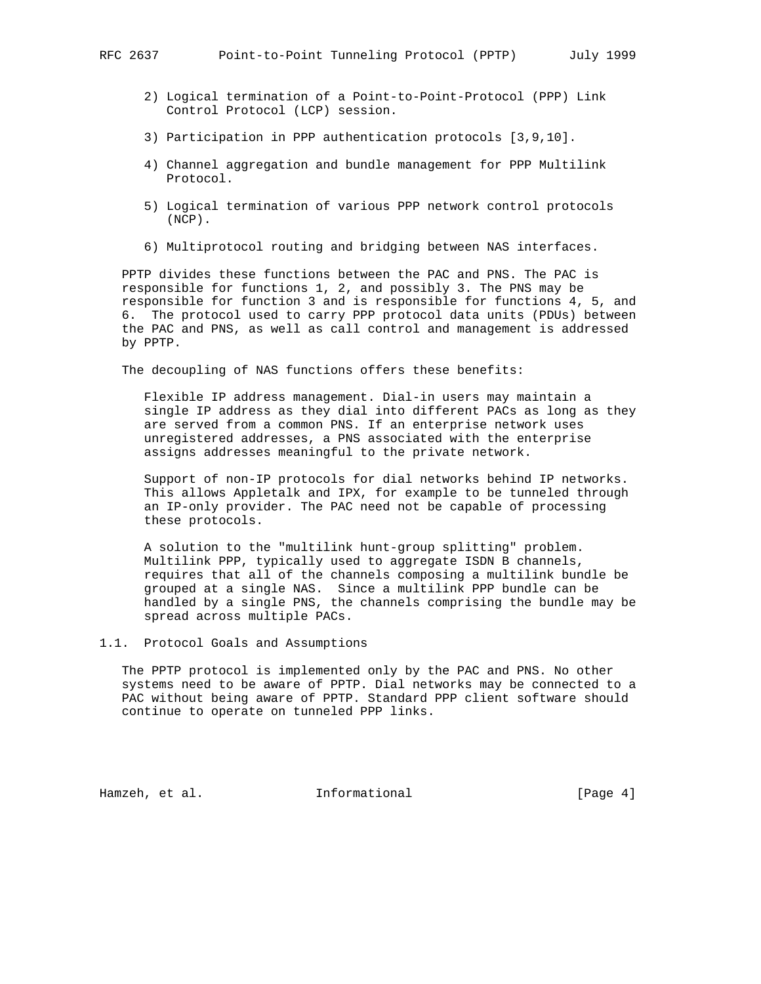- 2) Logical termination of a Point-to-Point-Protocol (PPP) Link Control Protocol (LCP) session.
- 3) Participation in PPP authentication protocols [3,9,10].
- 4) Channel aggregation and bundle management for PPP Multilink Protocol.
- 5) Logical termination of various PPP network control protocols (NCP).
- 6) Multiprotocol routing and bridging between NAS interfaces.

 PPTP divides these functions between the PAC and PNS. The PAC is responsible for functions 1, 2, and possibly 3. The PNS may be responsible for function 3 and is responsible for functions 4, 5, and 6. The protocol used to carry PPP protocol data units (PDUs) between the PAC and PNS, as well as call control and management is addressed by PPTP.

The decoupling of NAS functions offers these benefits:

 Flexible IP address management. Dial-in users may maintain a single IP address as they dial into different PACs as long as they are served from a common PNS. If an enterprise network uses unregistered addresses, a PNS associated with the enterprise assigns addresses meaningful to the private network.

 Support of non-IP protocols for dial networks behind IP networks. This allows Appletalk and IPX, for example to be tunneled through an IP-only provider. The PAC need not be capable of processing these protocols.

 A solution to the "multilink hunt-group splitting" problem. Multilink PPP, typically used to aggregate ISDN B channels, requires that all of the channels composing a multilink bundle be grouped at a single NAS. Since a multilink PPP bundle can be handled by a single PNS, the channels comprising the bundle may be spread across multiple PACs.

1.1. Protocol Goals and Assumptions

 The PPTP protocol is implemented only by the PAC and PNS. No other systems need to be aware of PPTP. Dial networks may be connected to a PAC without being aware of PPTP. Standard PPP client software should continue to operate on tunneled PPP links.

Hamzeh, et al. 1nformational 1999 [Page 4]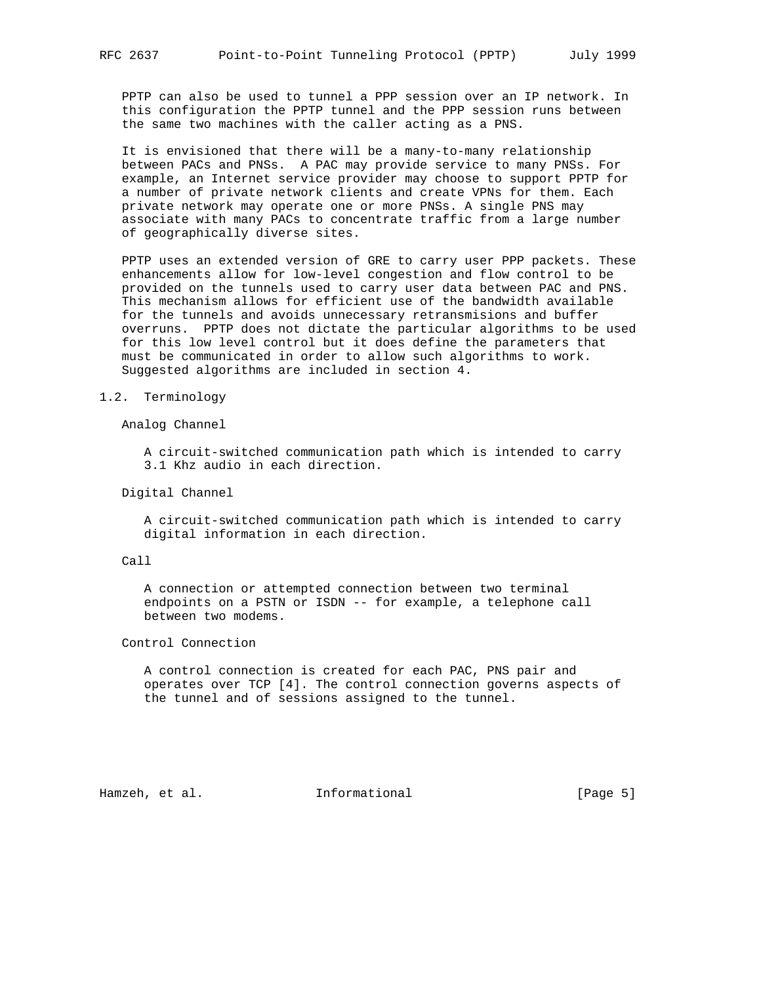PPTP can also be used to tunnel a PPP session over an IP network. In this configuration the PPTP tunnel and the PPP session runs between the same two machines with the caller acting as a PNS.

 It is envisioned that there will be a many-to-many relationship between PACs and PNSs. A PAC may provide service to many PNSs. For example, an Internet service provider may choose to support PPTP for a number of private network clients and create VPNs for them. Each private network may operate one or more PNSs. A single PNS may associate with many PACs to concentrate traffic from a large number of geographically diverse sites.

 PPTP uses an extended version of GRE to carry user PPP packets. These enhancements allow for low-level congestion and flow control to be provided on the tunnels used to carry user data between PAC and PNS. This mechanism allows for efficient use of the bandwidth available for the tunnels and avoids unnecessary retransmisions and buffer overruns. PPTP does not dictate the particular algorithms to be used for this low level control but it does define the parameters that must be communicated in order to allow such algorithms to work. Suggested algorithms are included in section 4.

#### 1.2. Terminology

Analog Channel

 A circuit-switched communication path which is intended to carry 3.1 Khz audio in each direction.

Digital Channel

 A circuit-switched communication path which is intended to carry digital information in each direction.

#### Call

 A connection or attempted connection between two terminal endpoints on a PSTN or ISDN -- for example, a telephone call between two modems.

Control Connection

 A control connection is created for each PAC, PNS pair and operates over TCP [4]. The control connection governs aspects of the tunnel and of sessions assigned to the tunnel.

Hamzeh, et al. **Informational** [Page 5]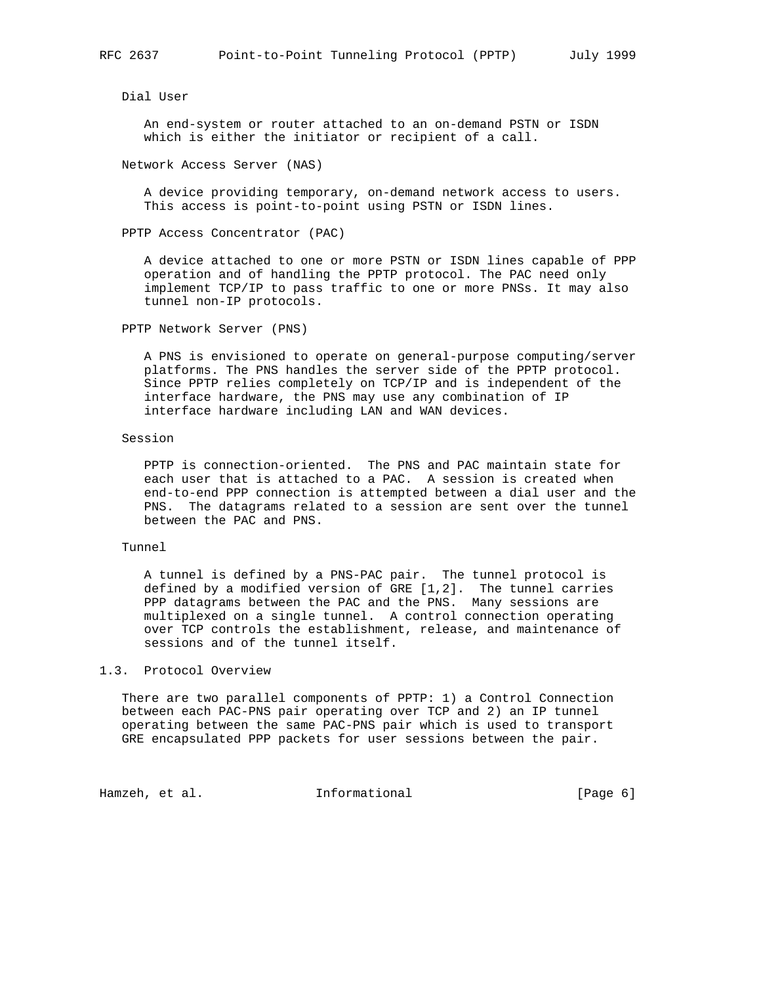Dial User

 An end-system or router attached to an on-demand PSTN or ISDN which is either the initiator or recipient of a call.

Network Access Server (NAS)

 A device providing temporary, on-demand network access to users. This access is point-to-point using PSTN or ISDN lines.

PPTP Access Concentrator (PAC)

 A device attached to one or more PSTN or ISDN lines capable of PPP operation and of handling the PPTP protocol. The PAC need only implement TCP/IP to pass traffic to one or more PNSs. It may also tunnel non-IP protocols.

PPTP Network Server (PNS)

 A PNS is envisioned to operate on general-purpose computing/server platforms. The PNS handles the server side of the PPTP protocol. Since PPTP relies completely on TCP/IP and is independent of the interface hardware, the PNS may use any combination of IP interface hardware including LAN and WAN devices.

Session

 PPTP is connection-oriented. The PNS and PAC maintain state for each user that is attached to a PAC. A session is created when end-to-end PPP connection is attempted between a dial user and the PNS. The datagrams related to a session are sent over the tunnel between the PAC and PNS.

#### Tunnel

 A tunnel is defined by a PNS-PAC pair. The tunnel protocol is defined by a modified version of GRE [1,2]. The tunnel carries PPP datagrams between the PAC and the PNS. Many sessions are multiplexed on a single tunnel. A control connection operating over TCP controls the establishment, release, and maintenance of sessions and of the tunnel itself.

### 1.3. Protocol Overview

 There are two parallel components of PPTP: 1) a Control Connection between each PAC-PNS pair operating over TCP and 2) an IP tunnel operating between the same PAC-PNS pair which is used to transport GRE encapsulated PPP packets for user sessions between the pair.

Hamzeh, et al. 1nformational 1999 [Page 6]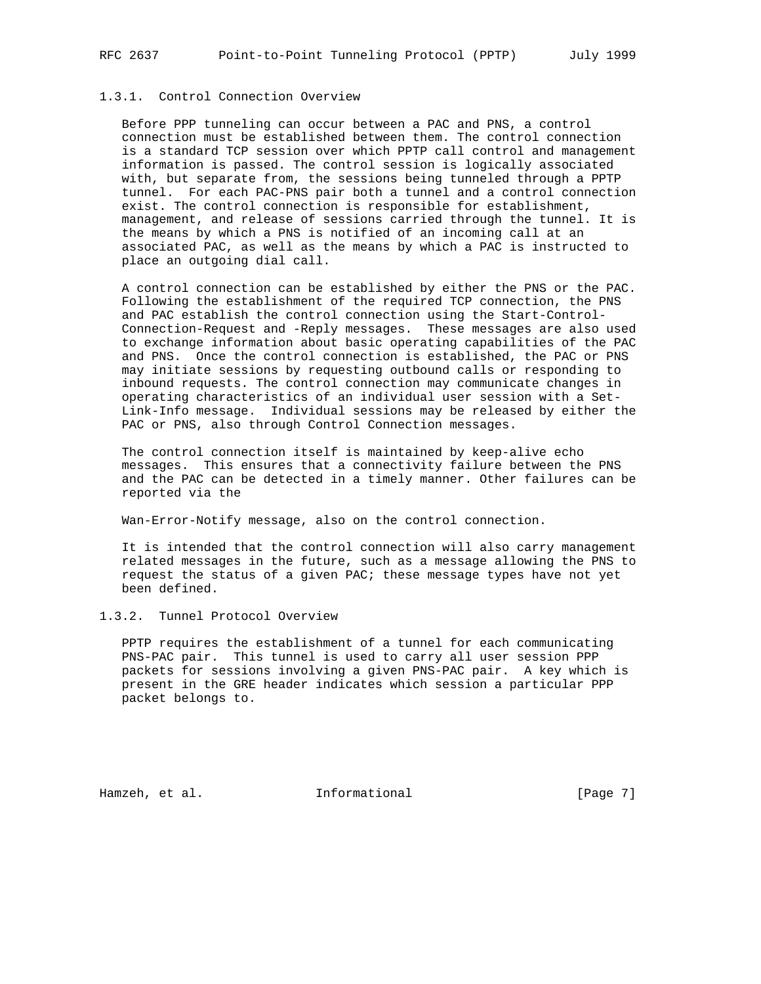# 1.3.1. Control Connection Overview

 Before PPP tunneling can occur between a PAC and PNS, a control connection must be established between them. The control connection is a standard TCP session over which PPTP call control and management information is passed. The control session is logically associated with, but separate from, the sessions being tunneled through a PPTP tunnel. For each PAC-PNS pair both a tunnel and a control connection exist. The control connection is responsible for establishment, management, and release of sessions carried through the tunnel. It is the means by which a PNS is notified of an incoming call at an associated PAC, as well as the means by which a PAC is instructed to place an outgoing dial call.

 A control connection can be established by either the PNS or the PAC. Following the establishment of the required TCP connection, the PNS and PAC establish the control connection using the Start-Control- Connection-Request and -Reply messages. These messages are also used to exchange information about basic operating capabilities of the PAC and PNS. Once the control connection is established, the PAC or PNS may initiate sessions by requesting outbound calls or responding to inbound requests. The control connection may communicate changes in operating characteristics of an individual user session with a Set- Link-Info message. Individual sessions may be released by either the PAC or PNS, also through Control Connection messages.

 The control connection itself is maintained by keep-alive echo messages. This ensures that a connectivity failure between the PNS and the PAC can be detected in a timely manner. Other failures can be reported via the

Wan-Error-Notify message, also on the control connection.

 It is intended that the control connection will also carry management related messages in the future, such as a message allowing the PNS to request the status of a given PAC; these message types have not yet been defined.

# 1.3.2. Tunnel Protocol Overview

 PPTP requires the establishment of a tunnel for each communicating PNS-PAC pair. This tunnel is used to carry all user session PPP packets for sessions involving a given PNS-PAC pair. A key which is present in the GRE header indicates which session a particular PPP packet belongs to.

Hamzeh, et al. **Informational** [Page 7]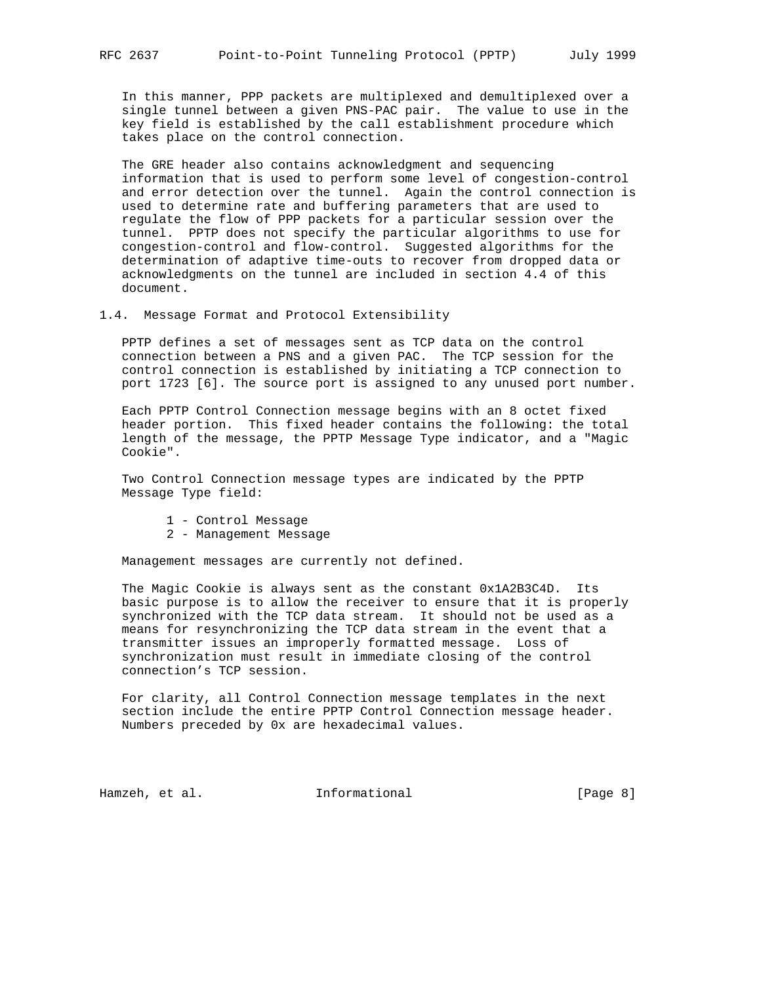In this manner, PPP packets are multiplexed and demultiplexed over a single tunnel between a given PNS-PAC pair. The value to use in the key field is established by the call establishment procedure which takes place on the control connection.

 The GRE header also contains acknowledgment and sequencing information that is used to perform some level of congestion-control and error detection over the tunnel. Again the control connection is used to determine rate and buffering parameters that are used to regulate the flow of PPP packets for a particular session over the tunnel. PPTP does not specify the particular algorithms to use for congestion-control and flow-control. Suggested algorithms for the determination of adaptive time-outs to recover from dropped data or acknowledgments on the tunnel are included in section 4.4 of this document.

1.4. Message Format and Protocol Extensibility

 PPTP defines a set of messages sent as TCP data on the control connection between a PNS and a given PAC. The TCP session for the control connection is established by initiating a TCP connection to port 1723 [6]. The source port is assigned to any unused port number.

 Each PPTP Control Connection message begins with an 8 octet fixed header portion. This fixed header contains the following: the total length of the message, the PPTP Message Type indicator, and a "Magic Cookie".

 Two Control Connection message types are indicated by the PPTP Message Type field:

- 1 Control Message
- 2 Management Message

Management messages are currently not defined.

 The Magic Cookie is always sent as the constant 0x1A2B3C4D. Its basic purpose is to allow the receiver to ensure that it is properly synchronized with the TCP data stream. It should not be used as a means for resynchronizing the TCP data stream in the event that a transmitter issues an improperly formatted message. Loss of synchronization must result in immediate closing of the control connection's TCP session.

 For clarity, all Control Connection message templates in the next section include the entire PPTP Control Connection message header. Numbers preceded by 0x are hexadecimal values.

Hamzeh, et al. **Informational** (Page 8)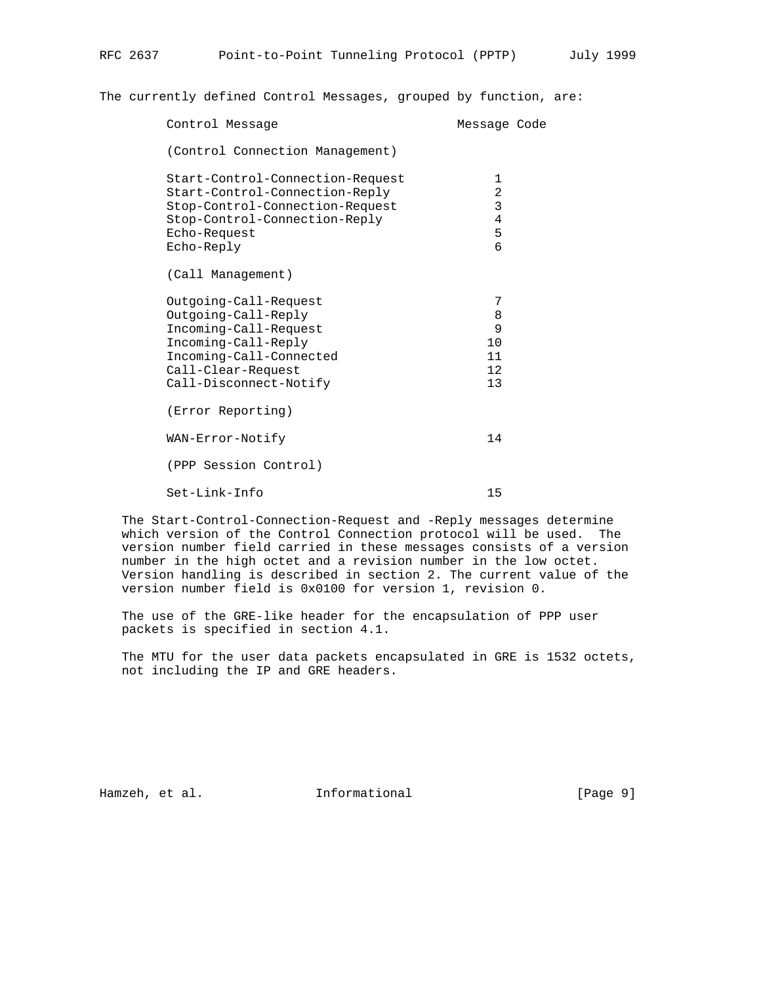The currently defined Control Messages, grouped by function, are:

| Control Message                                                                                                                                                         | Message Code                                                    |  |
|-------------------------------------------------------------------------------------------------------------------------------------------------------------------------|-----------------------------------------------------------------|--|
| (Control Connection Management)                                                                                                                                         |                                                                 |  |
| Start-Control-Connection-Request<br>Start-Control-Connection-Reply<br>Stop-Control-Connection-Request<br>Stop-Control-Connection-Reply<br>Echo-Request<br>Echo-Reply    | 1<br>$\overline{a}$<br>$\mathsf{3}$<br>$\overline{4}$<br>5<br>6 |  |
| (Call Management)                                                                                                                                                       |                                                                 |  |
| Outgoing-Call-Request<br>Outgoing-Call-Reply<br>Incoming-Call-Request<br>Incoming-Call-Reply<br>Incoming-Call-Connected<br>Call-Clear-Request<br>Call-Disconnect-Notify | 7<br>8<br>9<br>10<br>11<br>12<br>13                             |  |
| (Error Reporting)                                                                                                                                                       |                                                                 |  |
| WAN-Error-Notify                                                                                                                                                        | 14                                                              |  |
| (PPP Session Control)                                                                                                                                                   |                                                                 |  |
| $Set$ -Link-Info                                                                                                                                                        | 15                                                              |  |
|                                                                                                                                                                         |                                                                 |  |

 The Start-Control-Connection-Request and -Reply messages determine which version of the Control Connection protocol will be used. The version number field carried in these messages consists of a version number in the high octet and a revision number in the low octet. Version handling is described in section 2. The current value of the version number field is 0x0100 for version 1, revision 0.

 The use of the GRE-like header for the encapsulation of PPP user packets is specified in section 4.1.

 The MTU for the user data packets encapsulated in GRE is 1532 octets, not including the IP and GRE headers.

Hamzeh, et al. 1nformational 1999 [Page 9]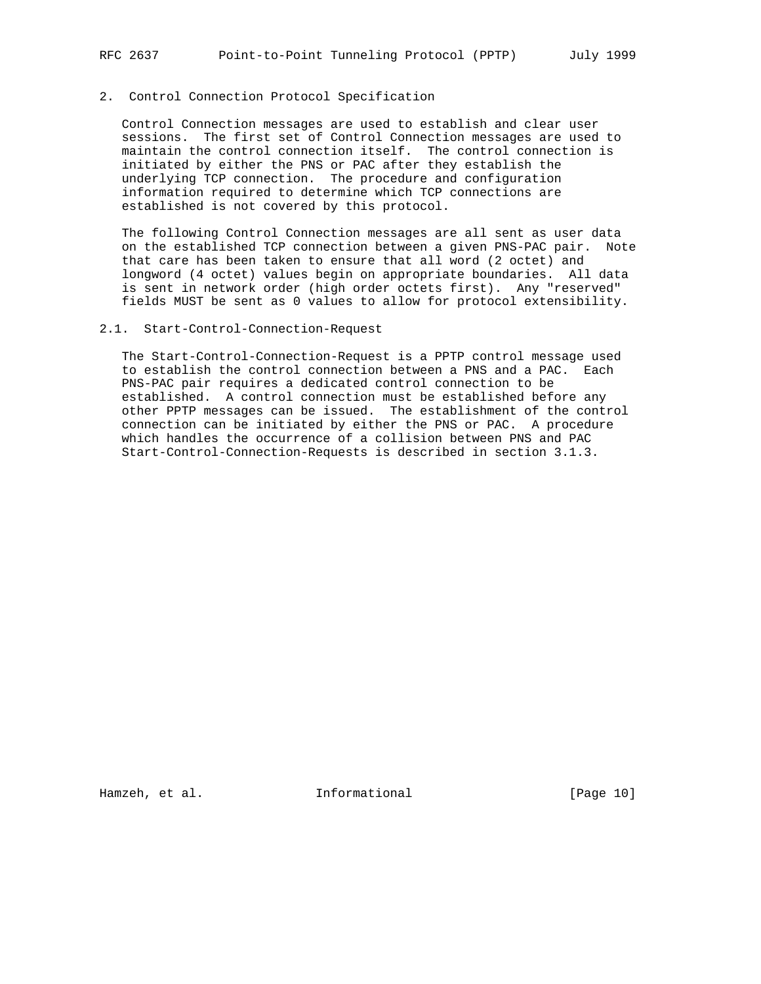# 2. Control Connection Protocol Specification

 Control Connection messages are used to establish and clear user sessions. The first set of Control Connection messages are used to maintain the control connection itself. The control connection is initiated by either the PNS or PAC after they establish the underlying TCP connection. The procedure and configuration information required to determine which TCP connections are established is not covered by this protocol.

 The following Control Connection messages are all sent as user data on the established TCP connection between a given PNS-PAC pair. Note that care has been taken to ensure that all word (2 octet) and longword (4 octet) values begin on appropriate boundaries. All data is sent in network order (high order octets first). Any "reserved" fields MUST be sent as 0 values to allow for protocol extensibility.

#### 2.1. Start-Control-Connection-Request

 The Start-Control-Connection-Request is a PPTP control message used to establish the control connection between a PNS and a PAC. Each PNS-PAC pair requires a dedicated control connection to be established. A control connection must be established before any other PPTP messages can be issued. The establishment of the control connection can be initiated by either the PNS or PAC. A procedure which handles the occurrence of a collision between PNS and PAC Start-Control-Connection-Requests is described in section 3.1.3.

Hamzeh, et al. **Informational** [Page 10]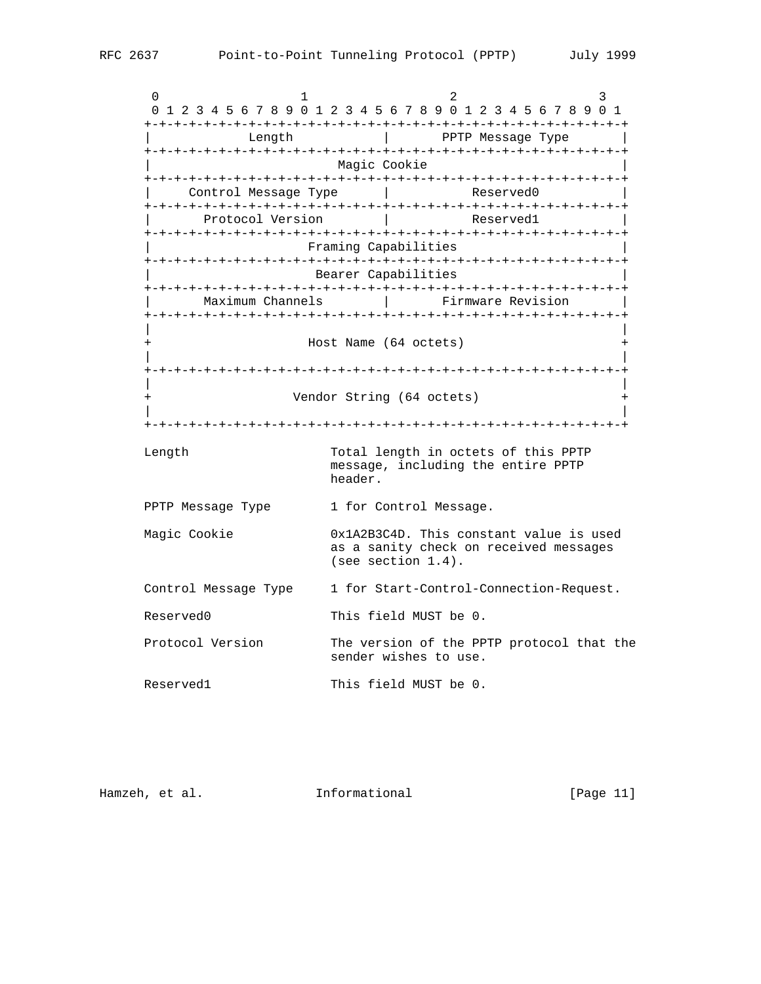$0$  1 2 3 0 1 2 3 4 5 6 7 8 9 0 1 2 3 4 5 6 7 8 9 0 1 2 3 4 5 6 7 8 9 0 1 +-+-+-+-+-+-+-+-+-+-+-+-+-+-+-+-+-+-+-+-+-+-+-+-+-+-+-+-+-+-+-+-+ Length  $|$  PPTP Message Type +-+-+-+-+-+-+-+-+-+-+-+-+-+-+-+-+-+-+-+-+-+-+-+-+-+-+-+-+-+-+-+-+ Magic Cookie +-+-+-+-+-+-+-+-+-+-+-+-+-+-+-+-+-+-+-+-+-+-+-+-+-+-+-+-+-+-+-+-+ | Control Message Type | Reserved0 | +-+-+-+-+-+-+-+-+-+-+-+-+-+-+-+-+-+-+-+-+-+-+-+-+-+-+-+-+-+-+-+-+ Protocol Version | Reserved1 +-+-+-+-+-+-+-+-+-+-+-+-+-+-+-+-+-+-+-+-+-+-+-+-+-+-+-+-+-+-+-+-+ | Framing Capabilities | +-+-+-+-+-+-+-+-+-+-+-+-+-+-+-+-+-+-+-+-+-+-+-+-+-+-+-+-+-+-+-+-+ Bearer Capabilities +-+-+-+-+-+-+-+-+-+-+-+-+-+-+-+-+-+-+-+-+-+-+-+-+-+-+-+-+-+-+-+-+ Maximum Channels | Firmware Revision +-+-+-+-+-+-+-+-+-+-+-+-+-+-+-+-+-+-+-+-+-+-+-+-+-+-+-+-+-+-+-+-+ | | + Host Name (64 octets) + | | +-+-+-+-+-+-+-+-+-+-+-+-+-+-+-+-+-+-+-+-+-+-+-+-+-+-+-+-+-+-+-+-+ | | + Vendor String (64 octets) + | | +-+-+-+-+-+-+-+-+-+-+-+-+-+-+-+-+-+-+-+-+-+-+-+-+-+-+-+-+-+-+-+-+ Length Total length in octets of this PPTP message, including the entire PPTP header. PPTP Message Type 1 for Control Message. Magic Cookie  $0x1A2B3C4D$ . This constant value is used as a sanity check on received messages (see section 1.4). Control Message Type 1 for Start-Control-Connection-Request. Reserved0 This field MUST be 0. Protocol Version The version of the PPTP protocol that the sender wishes to use. Reserved1 This field MUST be 0.

| Hamzeh, et al. | Informational | [Page 11] |  |
|----------------|---------------|-----------|--|
|                |               |           |  |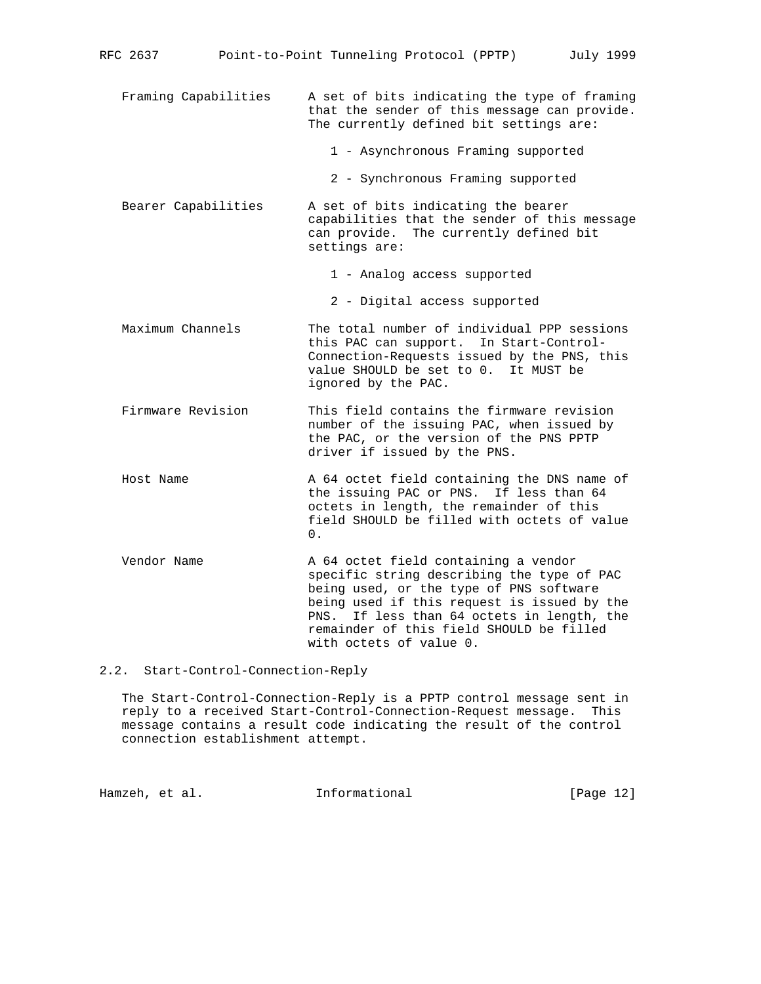- Framing Capabilities A set of bits indicating the type of framing that the sender of this message can provide. The currently defined bit settings are:
	- 1 Asynchronous Framing supported
	- 2 Synchronous Framing supported
- Bearer Capabilities A set of bits indicating the bearer capabilities that the sender of this message can provide. The currently defined bit settings are:
	- 1 Analog access supported
	- 2 Digital access supported
- Maximum Channels The total number of individual PPP sessions this PAC can support. In Start-Control- Connection-Requests issued by the PNS, this value SHOULD be set to 0. It MUST be ignored by the PAC.
- Firmware Revision This field contains the firmware revision number of the issuing PAC, when issued by the PAC, or the version of the PNS PPTP driver if issued by the PNS.
- Host Name  $A = A + B$  and  $A = A + B$  and  $A = A + B$  and  $A = A + B$  and  $A = A + B$  and  $A = A + B$  and  $A = A + B$  and  $A = A + B$  and  $A = A + B$  and  $A = A + B$  and  $A = A + B$  and  $A = A + B$  and  $A = A + B$  and  $A = A + B$  and  $A = A + B$  and  $A = A + B$  and  $A = A + B$  and  $A = A + B$  the issuing PAC or PNS. If less than 64 octets in length, the remainder of this field SHOULD be filled with octets of value  $\overline{\mathbf{0}}$ .
	- Vendor Name A 64 octet field containing a vendor specific string describing the type of PAC being used, or the type of PNS software being used if this request is issued by the PNS. If less than 64 octets in length, the remainder of this field SHOULD be filled with octets of value 0.

# 2.2. Start-Control-Connection-Reply

 The Start-Control-Connection-Reply is a PPTP control message sent in reply to a received Start-Control-Connection-Request message. This message contains a result code indicating the result of the control connection establishment attempt.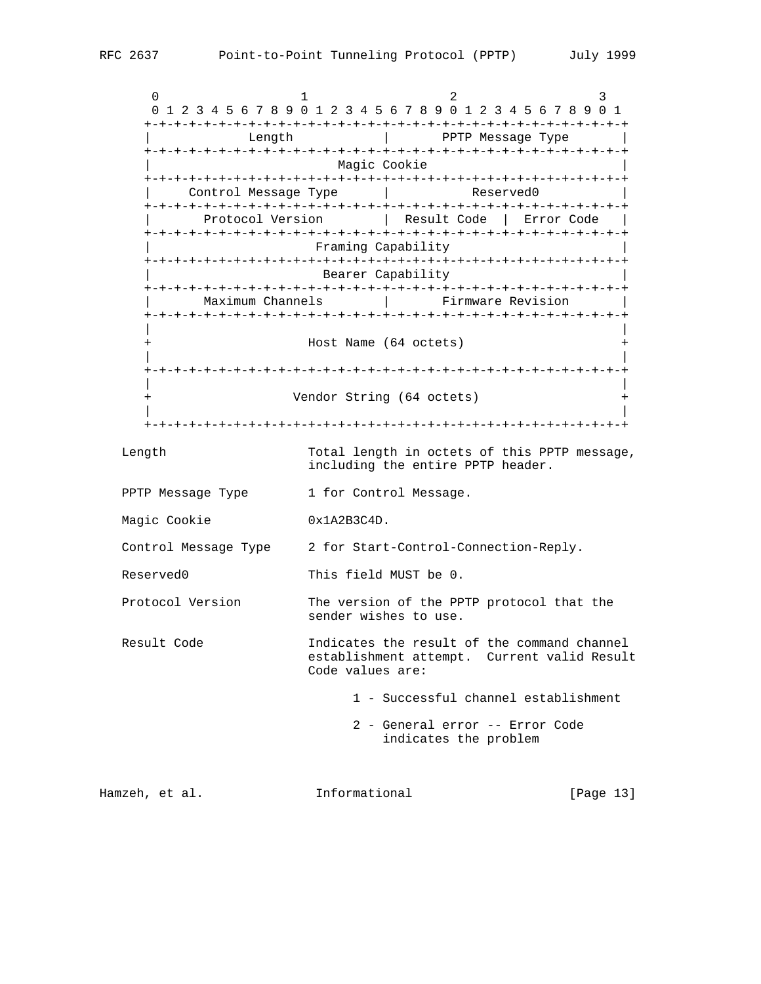$0$  1 2 3 0 1 2 3 4 5 6 7 8 9 0 1 2 3 4 5 6 7 8 9 0 1 2 3 4 5 6 7 8 9 0 1 +-+-+-+-+-+-+-+-+-+-+-+-+-+-+-+-+-+-+-+-+-+-+-+-+-+-+-+-+-+-+-+-+ Length  $|$  PPTP Message Type +-+-+-+-+-+-+-+-+-+-+-+-+-+-+-+-+-+-+-+-+-+-+-+-+-+-+-+-+-+-+-+-+ Magic Cookie +-+-+-+-+-+-+-+-+-+-+-+-+-+-+-+-+-+-+-+-+-+-+-+-+-+-+-+-+-+-+-+-+ | Control Message Type | Reserved0 | +-+-+-+-+-+-+-+-+-+-+-+-+-+-+-+-+-+-+-+-+-+-+-+-+-+-+-+-+-+-+-+-+ Protocol Version | Result Code | Error Code | +-+-+-+-+-+-+-+-+-+-+-+-+-+-+-+-+-+-+-+-+-+-+-+-+-+-+-+-+-+-+-+-+ | Framing Capability | +-+-+-+-+-+-+-+-+-+-+-+-+-+-+-+-+-+-+-+-+-+-+-+-+-+-+-+-+-+-+-+-+ Bearer Capability +-+-+-+-+-+-+-+-+-+-+-+-+-+-+-+-+-+-+-+-+-+-+-+-+-+-+-+-+-+-+-+-+ | Maximum Channels | Firmware Revision | +-+-+-+-+-+-+-+-+-+-+-+-+-+-+-+-+-+-+-+-+-+-+-+-+-+-+-+-+-+-+-+-+ | | + Host Name (64 octets) + | | +-+-+-+-+-+-+-+-+-+-+-+-+-+-+-+-+-+-+-+-+-+-+-+-+-+-+-+-+-+-+-+-+ | | + Vendor String (64 octets) + | | +-+-+-+-+-+-+-+-+-+-+-+-+-+-+-+-+-+-+-+-+-+-+-+-+-+-+-+-+-+-+-+-+ Length Total length in octets of this PPTP message, including the entire PPTP header. PPTP Message Type 1 for Control Message. Magic Cookie 0x1A2B3C4D. Control Message Type 2 for Start-Control-Connection-Reply. Reserved0 This field MUST be 0. Protocol Version The version of the PPTP protocol that the sender wishes to use. Result Code The Indicates the result of the command channel establishment attempt. Current valid Result Code values are: 1 - Successful channel establishment 2 - General error -- Error Code indicates the problem Hamzeh, et al. 1nformational [Page 13]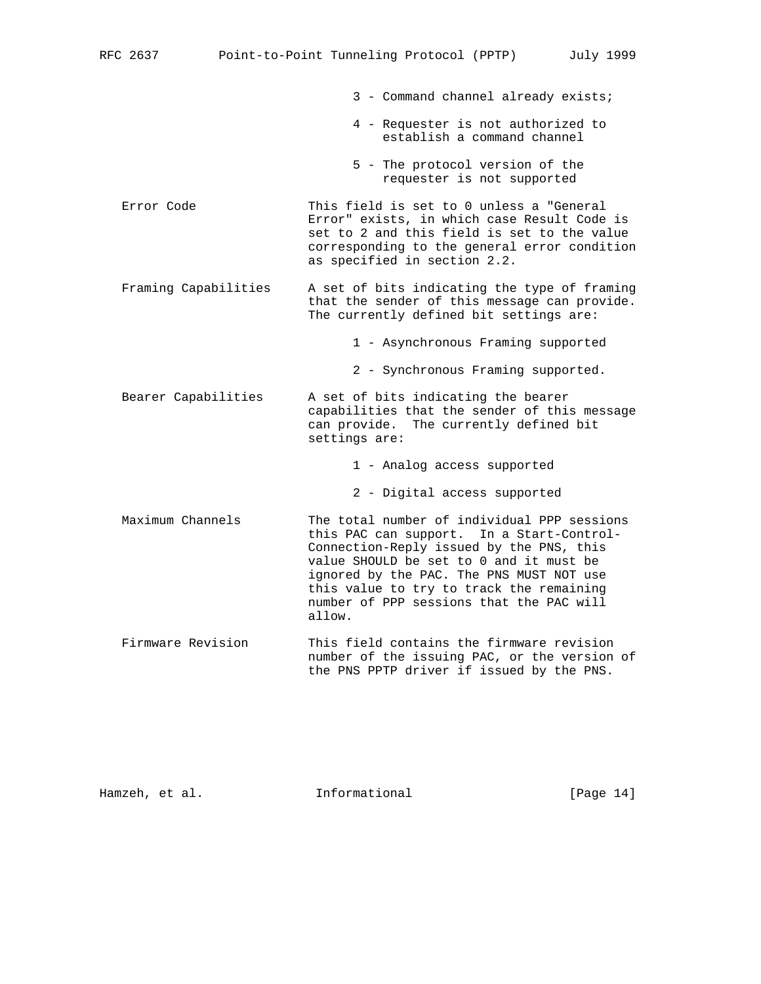- 3 Command channel already exists;
- 4 Requester is not authorized to establish a command channel
- 5 The protocol version of the requester is not supported
- Error Code This field is set to 0 unless a "General Error" exists, in which case Result Code is set to 2 and this field is set to the value corresponding to the general error condition as specified in section 2.2.
- Framing Capabilities A set of bits indicating the type of framing that the sender of this message can provide. The currently defined bit settings are:
	- 1 Asynchronous Framing supported
	- 2 Synchronous Framing supported.
- Bearer Capabilities A set of bits indicating the bearer capabilities that the sender of this message can provide. The currently defined bit settings are:

1 - Analog access supported

- 2 Digital access supported
- Maximum Channels The total number of individual PPP sessions this PAC can support. In a Start-Control- Connection-Reply issued by the PNS, this value SHOULD be set to 0 and it must be ignored by the PAC. The PNS MUST NOT use this value to try to track the remaining number of PPP sessions that the PAC will allow.
- Firmware Revision This field contains the firmware revision number of the issuing PAC, or the version of the PNS PPTP driver if issued by the PNS.

Hamzeh, et al. **Informational** [Page 14]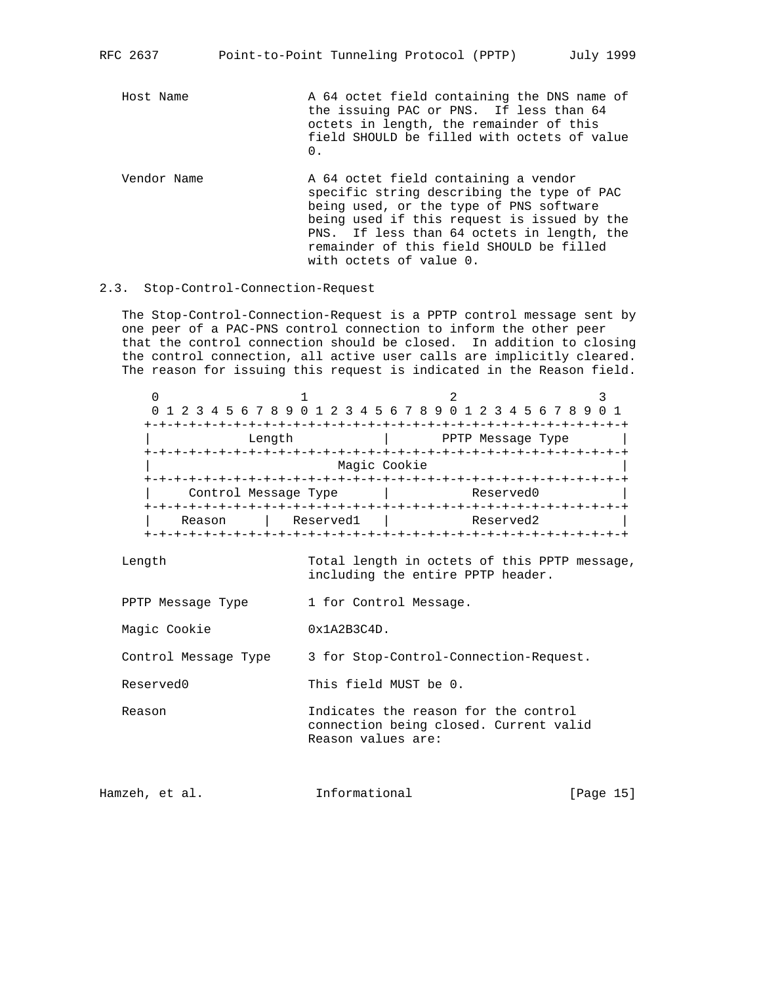Host Name  $A \t64$  octet field containing the DNS name of the issuing PAC or PNS. If less than 64 octets in length, the remainder of this field SHOULD be filled with octets of value  $\overline{\mathbf{0}}$ .

Vendor Name  $A \ 64$  octet field containing a vendor specific string describing the type of PAC being used, or the type of PNS software being used if this request is issued by the PNS. If less than 64 octets in length, the remainder of this field SHOULD be filled with octets of value 0.

# 2.3. Stop-Control-Connection-Request

 The Stop-Control-Connection-Request is a PPTP control message sent by one peer of a PAC-PNS control connection to inform the other peer that the control connection should be closed. In addition to closing the control connection, all active user calls are implicitly cleared. The reason for issuing this request is indicated in the Reason field.

| 0 1 2 3 4 5 6 7 8 9 0 1 2 3 4 5 6 7 8 9 0 1 2 3 4 5 6 7 8 9 |              |                   |  |  |  |  |
|-------------------------------------------------------------|--------------|-------------------|--|--|--|--|
|                                                             |              |                   |  |  |  |  |
| Length                                                      |              | PPTP Message Type |  |  |  |  |
|                                                             |              |                   |  |  |  |  |
|                                                             | Magic Cookie |                   |  |  |  |  |
|                                                             |              |                   |  |  |  |  |
| Control Message Type                                        |              | Reserved0         |  |  |  |  |
|                                                             |              |                   |  |  |  |  |
| Reason                                                      | Reserved1    | Reserved2         |  |  |  |  |
|                                                             |              |                   |  |  |  |  |

 Length Total length in octets of this PPTP message, including the entire PPTP header.

- PPTP Message Type 1 for Control Message.
- Magic Cookie 0x1A2B3C4D.

Control Message Type 3 for Stop-Control-Connection-Request.

Reserved0 This field MUST be 0.

 Reason Indicates the reason for the control connection being closed. Current valid Reason values are:

Hamzeh, et al. 1nformational [Page 15]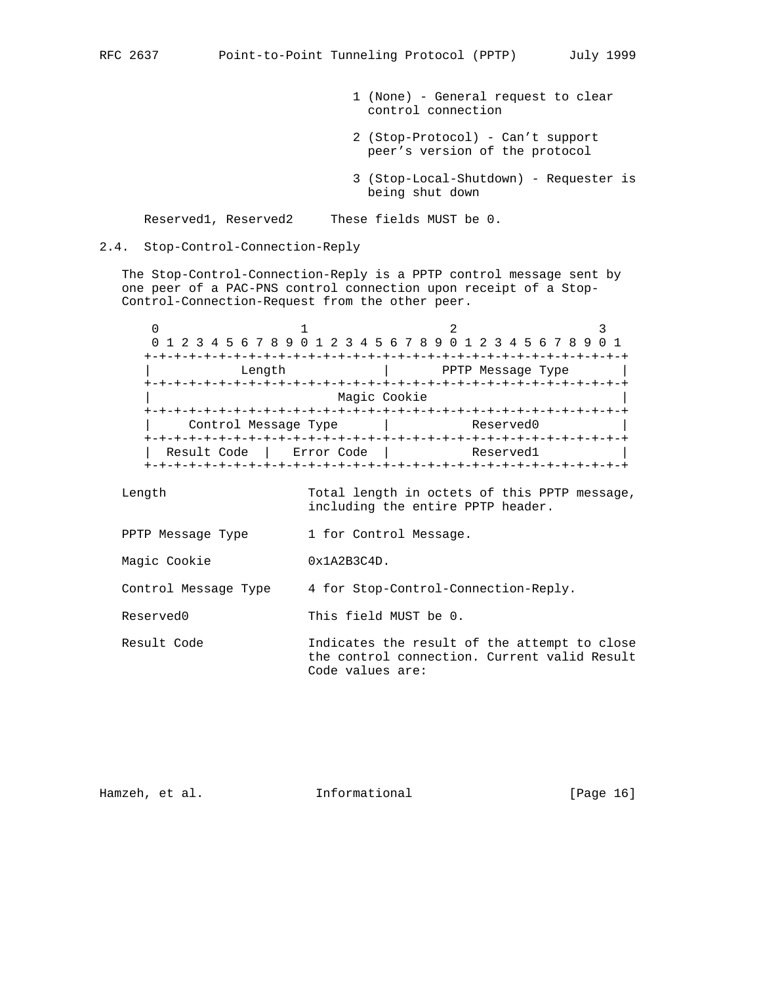- 1 (None) General request to clear control connection
- 2 (Stop-Protocol) Can't support peer's version of the protocol
- 3 (Stop-Local-Shutdown) Requester is being shut down

Reserved1, Reserved2 These fields MUST be 0.

#### 2.4. Stop-Control-Connection-Reply

 The Stop-Control-Connection-Reply is a PPTP control message sent by one peer of a PAC-PNS control connection upon receipt of a Stop- Control-Connection-Request from the other peer.

0  $1$  2 3 0 1 2 3 4 5 6 7 8 9 0 1 2 3 4 5 6 7 8 9 0 1 2 3 4 5 6 7 8 9 0 1 +-+-+-+-+-+-+-+-+-+-+-+-+-+-+-+-+-+-+-+-+-+-+-+-+-+-+-+-+-+-+-+-+ | Length | PPTP Message Type | +-+-+-+-+-+-+-+-+-+-+-+-+-+-+-+-+-+-+-+-+-+-+-+-+-+-+-+-+-+-+-+-+ Magic Cookie +-+-+-+-+-+-+-+-+-+-+-+-+-+-+-+-+-+-+-+-+-+-+-+-+-+-+-+-+-+-+-+-+ | Control Message Type | Reserved0 | +-+-+-+-+-+-+-+-+-+-+-+-+-+-+-+-+-+-+-+-+-+-+-+-+-+-+-+-+-+-+-+-+ Result Code | Error Code | Reserved1 +-+-+-+-+-+-+-+-+-+-+-+-+-+-+-+-+-+-+-+-+-+-+-+-+-+-+-+-+-+-+-+-+

 Length Total length in octets of this PPTP message, including the entire PPTP header.

PPTP Message Type 1 for Control Message.

Magic Cookie 0x1A2B3C4D.

Control Message Type 4 for Stop-Control-Connection-Reply.

Reserved0 This field MUST be 0.

 Result Code Indicates the result of the attempt to close the control connection. Current valid Result Code values are:

Hamzeh, et al. 1nformational [Page 16]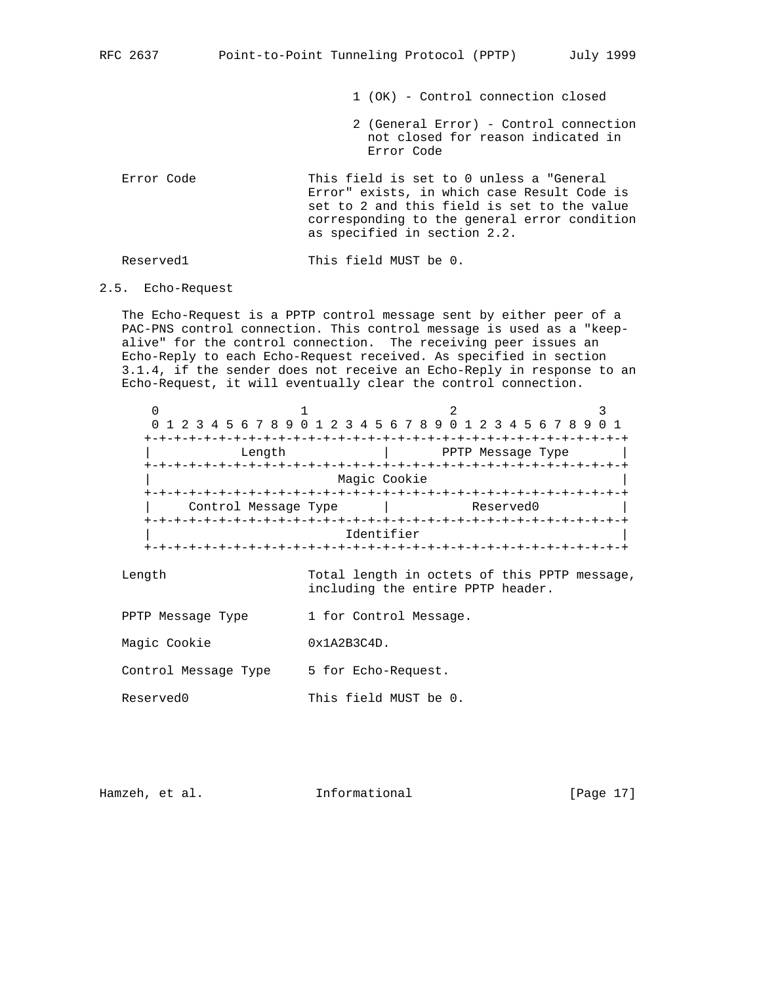1 (OK) - Control connection closed

- 2 (General Error) Control connection not closed for reason indicated in Error Code
- Error Code This field is set to 0 unless a "General Error" exists, in which case Result Code is set to 2 and this field is set to the value corresponding to the general error condition as specified in section 2.2.

Reserved1 This field MUST be 0.

# 2.5. Echo-Request

 The Echo-Request is a PPTP control message sent by either peer of a PAC-PNS control connection. This control message is used as a "keep alive" for the control connection. The receiving peer issues an Echo-Reply to each Echo-Request received. As specified in section 3.1.4, if the sender does not receive an Echo-Reply in response to an Echo-Request, it will eventually clear the control connection.

|                      | 0 1 2 3 4 5 6 7 8 9 0 1 2 3 4 5 6 7 8 9 0 1 2 3 4 5 6 7 8 9 |  |  |  |  |
|----------------------|-------------------------------------------------------------|--|--|--|--|
|                      |                                                             |  |  |  |  |
| Length               | PPTP Message Type                                           |  |  |  |  |
|                      |                                                             |  |  |  |  |
| Magic Cookie         |                                                             |  |  |  |  |
|                      |                                                             |  |  |  |  |
| Control Message Type | Reserved0                                                   |  |  |  |  |
|                      |                                                             |  |  |  |  |
|                      | Identifier                                                  |  |  |  |  |
|                      |                                                             |  |  |  |  |

 Length Total length in octets of this PPTP message, including the entire PPTP header.

- PPTP Message Type 1 for Control Message.
- Magic Cookie 0x1A2B3C4D.

Control Message Type 5 for Echo-Request.

Reserved0 This field MUST be 0.

Hamzeh, et al. **Informational** [Page 17]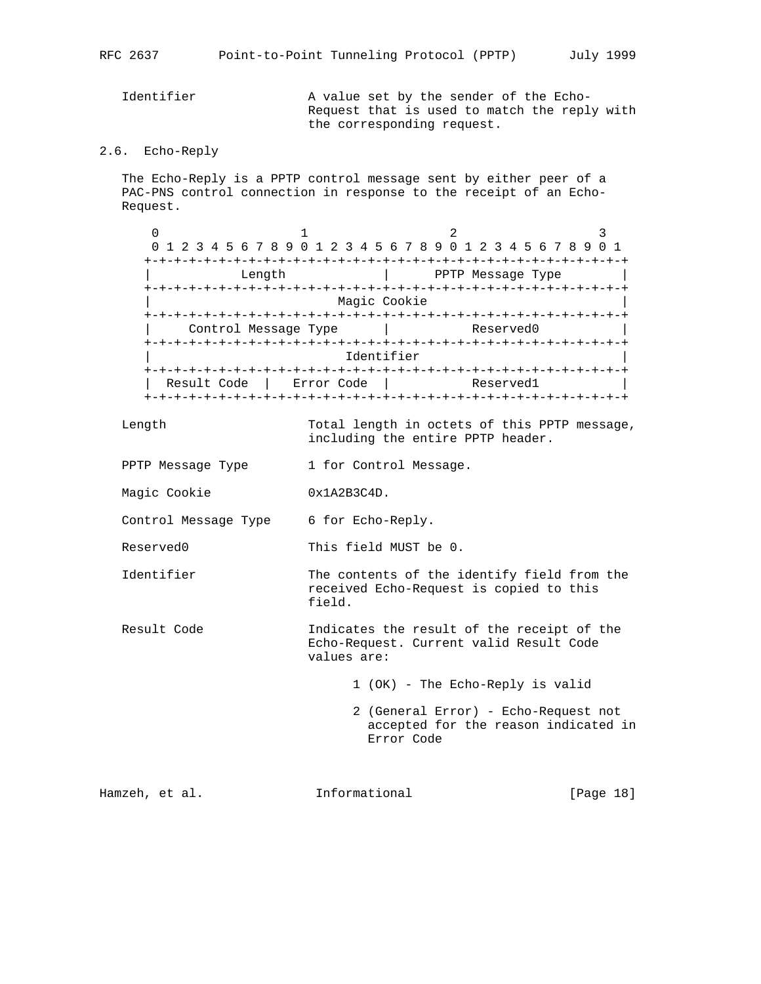Identifier A value set by the sender of the Echo- Request that is used to match the reply with the corresponding request.

# 2.6. Echo-Reply

 The Echo-Reply is a PPTP control message sent by either peer of a PAC-PNS control connection in response to the receipt of an Echo- Request.

 $0$  1 2 3 0 1 2 3 4 5 6 7 8 9 0 1 2 3 4 5 6 7 8 9 0 1 2 3 4 5 6 7 8 9 0 1 +-+-+-+-+-+-+-+-+-+-+-+-+-+-+-+-+-+-+-+-+-+-+-+-+-+-+-+-+-+-+-+-+ | Length | PPTP Message Type | +-+-+-+-+-+-+-+-+-+-+-+-+-+-+-+-+-+-+-+-+-+-+-+-+-+-+-+-+-+-+-+-+ Magic Cookie +-+-+-+-+-+-+-+-+-+-+-+-+-+-+-+-+-+-+-+-+-+-+-+-+-+-+-+-+-+-+-+-+ Control Message Type | Reserved0 +-+-+-+-+-+-+-+-+-+-+-+-+-+-+-+-+-+-+-+-+-+-+-+-+-+-+-+-+-+-+-+-+ Identifier +-+-+-+-+-+-+-+-+-+-+-+-+-+-+-+-+-+-+-+-+-+-+-+-+-+-+-+-+-+-+-+-+ | Result Code | Error Code | Reserved1 | +-+-+-+-+-+-+-+-+-+-+-+-+-+-+-+-+-+-+-+-+-+-+-+-+-+-+-+-+-+-+-+-+

 Length Total length in octets of this PPTP message, including the entire PPTP header.

- PPTP Message Type 1 for Control Message.
- Magic Cookie 0x1A2B3C4D.

Control Message Type 6 for Echo-Reply.

Reserved0 This field MUST be 0.

- Identifier The contents of the identify field from the received Echo-Request is copied to this field.
- Result Code The Indicates the result of the receipt of the Echo-Request. Current valid Result Code values are:

1 (OK) - The Echo-Reply is valid

 2 (General Error) - Echo-Request not accepted for the reason indicated in Error Code

Hamzeh, et al. 1nformational [Page 18]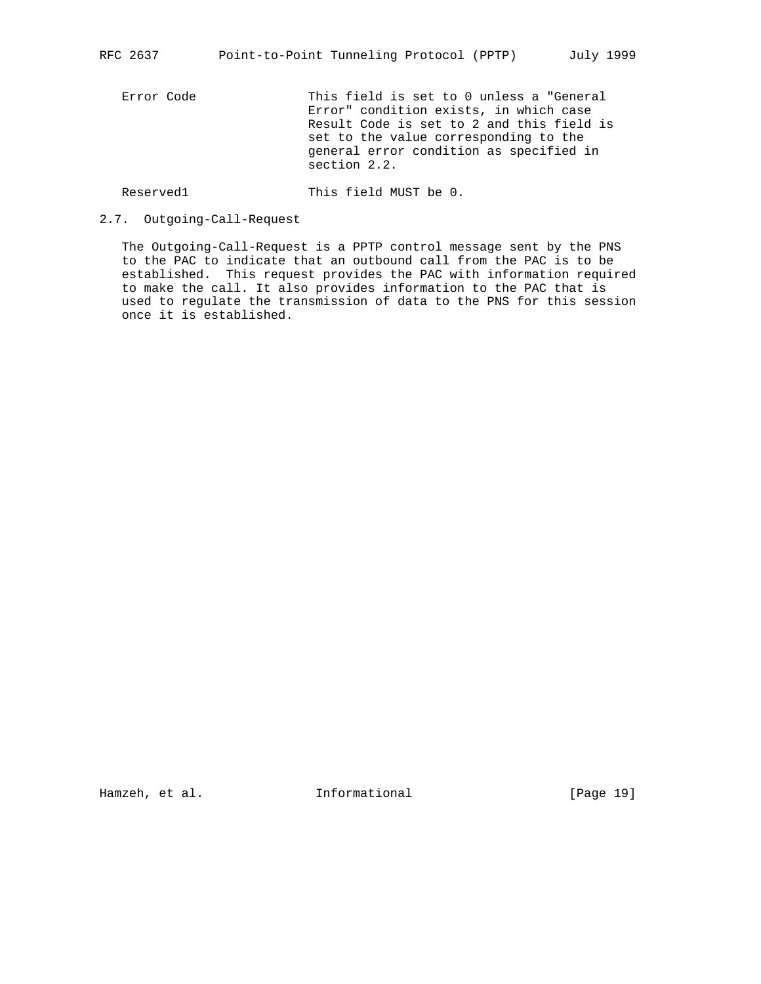Error Code This field is set to 0 unless a "General Error" condition exists, in which case Result Code is set to 2 and this field is set to the value corresponding to the general error condition as specified in section 2.2.

Reserved1 This field MUST be 0.

2.7. Outgoing-Call-Request

 The Outgoing-Call-Request is a PPTP control message sent by the PNS to the PAC to indicate that an outbound call from the PAC is to be established. This request provides the PAC with information required to make the call. It also provides information to the PAC that is used to regulate the transmission of data to the PNS for this session once it is established.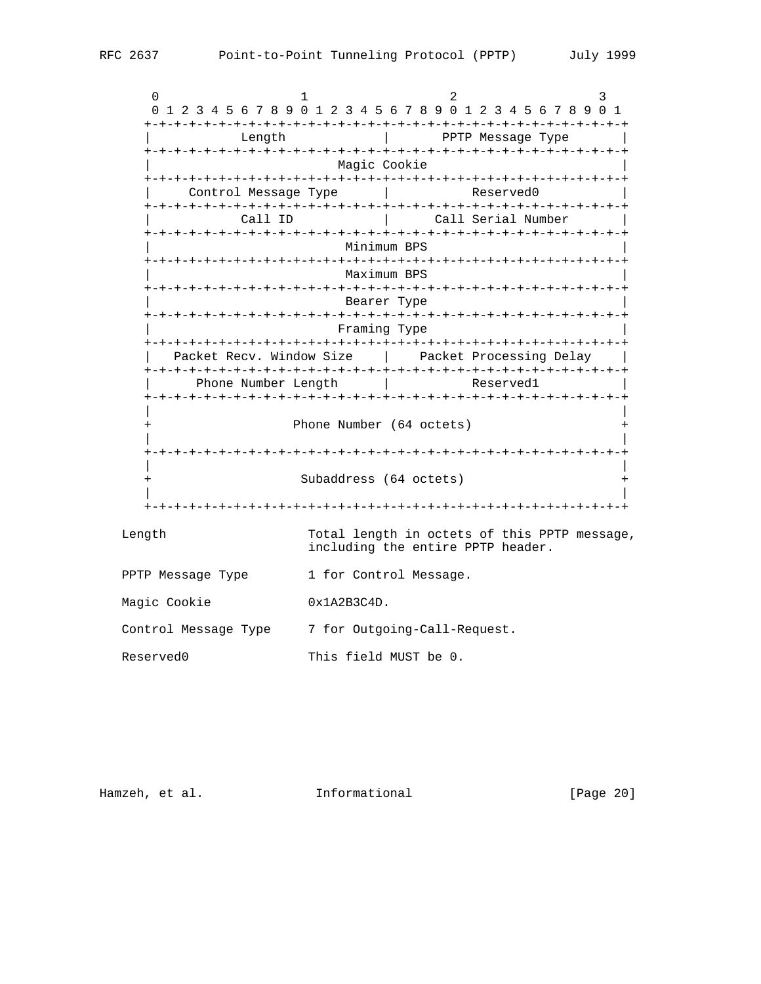$0$  1 2 3 0 1 2 3 4 5 6 7 8 9 0 1 2 3 4 5 6 7 8 9 0 1 2 3 4 5 6 7 8 9 0 1 +-+-+-+-+-+-+-+-+-+-+-+-+-+-+-+-+-+-+-+-+-+-+-+-+-+-+-+-+-+-+-+-+ Length  $|$  PPTP Message Type +-+-+-+-+-+-+-+-+-+-+-+-+-+-+-+-+-+-+-+-+-+-+-+-+-+-+-+-+-+-+-+-+ Magic Cookie +-+-+-+-+-+-+-+-+-+-+-+-+-+-+-+-+-+-+-+-+-+-+-+-+-+-+-+-+-+-+-+-+ Control Message Type | Reserved0 +-+-+-+-+-+-+-+-+-+-+-+-+-+-+-+-+-+-+-+-+-+-+-+-+-+-+-+-+-+-+-+-+ | Call ID | Call Serial Number | +-+-+-+-+-+-+-+-+-+-+-+-+-+-+-+-+-+-+-+-+-+-+-+-+-+-+-+-+-+-+-+-+ | Minimum BPS | +-+-+-+-+-+-+-+-+-+-+-+-+-+-+-+-+-+-+-+-+-+-+-+-+-+-+-+-+-+-+-+-+ | Maximum BPS | +-+-+-+-+-+-+-+-+-+-+-+-+-+-+-+-+-+-+-+-+-+-+-+-+-+-+-+-+-+-+-+-+ Bearer Type +-+-+-+-+-+-+-+-+-+-+-+-+-+-+-+-+-+-+-+-+-+-+-+-+-+-+-+-+-+-+-+-+ | Framing Type | +-+-+-+-+-+-+-+-+-+-+-+-+-+-+-+-+-+-+-+-+-+-+-+-+-+-+-+-+-+-+-+-+ Packet Recv. Window Size | Packet Processing Delay | +-+-+-+-+-+-+-+-+-+-+-+-+-+-+-+-+-+-+-+-+-+-+-+-+-+-+-+-+-+-+-+-+ Phone Number Length | Reserved1 +-+-+-+-+-+-+-+-+-+-+-+-+-+-+-+-+-+-+-+-+-+-+-+-+-+-+-+-+-+-+-+-+ | | + Phone Number (64 octets) + | | +-+-+-+-+-+-+-+-+-+-+-+-+-+-+-+-+-+-+-+-+-+-+-+-+-+-+-+-+-+-+-+-+ | | + Subaddress (64 octets) + | | +-+-+-+-+-+-+-+-+-+-+-+-+-+-+-+-+-+-+-+-+-+-+-+-+-+-+-+-+-+-+-+-+ Length Total length in octets of this PPTP message, including the entire PPTP header. PPTP Message Type 1 for Control Message. Magic Cookie 0x1A2B3C4D. Control Message Type 7 for Outgoing-Call-Request. Reserved0 This field MUST be 0.

Hamzeh, et al. 1nformational [Page 20]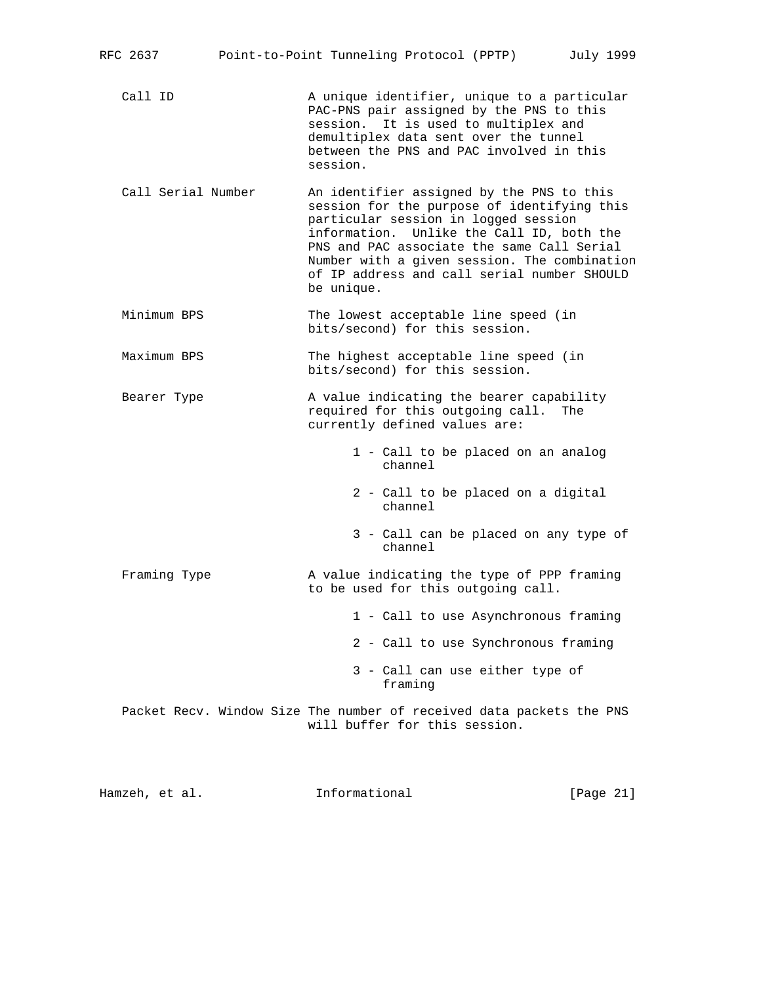| RFC 2637 | Point-to-Point Tunneling Protocol (PPTP) |  | July 1999 |  |
|----------|------------------------------------------|--|-----------|--|
|          |                                          |  |           |  |

Call ID A unique identifier, unique to a particular PAC-PNS pair assigned by the PNS to this session. It is used to multiplex and demultiplex data sent over the tunnel between the PNS and PAC involved in this session.

 Call Serial Number An identifier assigned by the PNS to this session for the purpose of identifying this particular session in logged session information. Unlike the Call ID, both the PNS and PAC associate the same Call Serial Number with a given session. The combination of IP address and call serial number SHOULD be unique.

 Minimum BPS The lowest acceptable line speed (in bits/second) for this session.

Maximum BPS The highest acceptable line speed (in bits/second) for this session.

Bearer Type  $\longrightarrow$  A value indicating the bearer capability required for this outgoing call. The currently defined values are:

> 1 - Call to be placed on an analog channel

- 2 Call to be placed on a digital channel
- 3 Call can be placed on any type of channel

Framing Type  $\lambda$  value indicating the type of PPP framing to be used for this outgoing call.

1 - Call to use Asynchronous framing

2 - Call to use Synchronous framing

 3 - Call can use either type of framing

 Packet Recv. Window Size The number of received data packets the PNS will buffer for this session.

Hamzeh, et al. **Informational** [Page 21]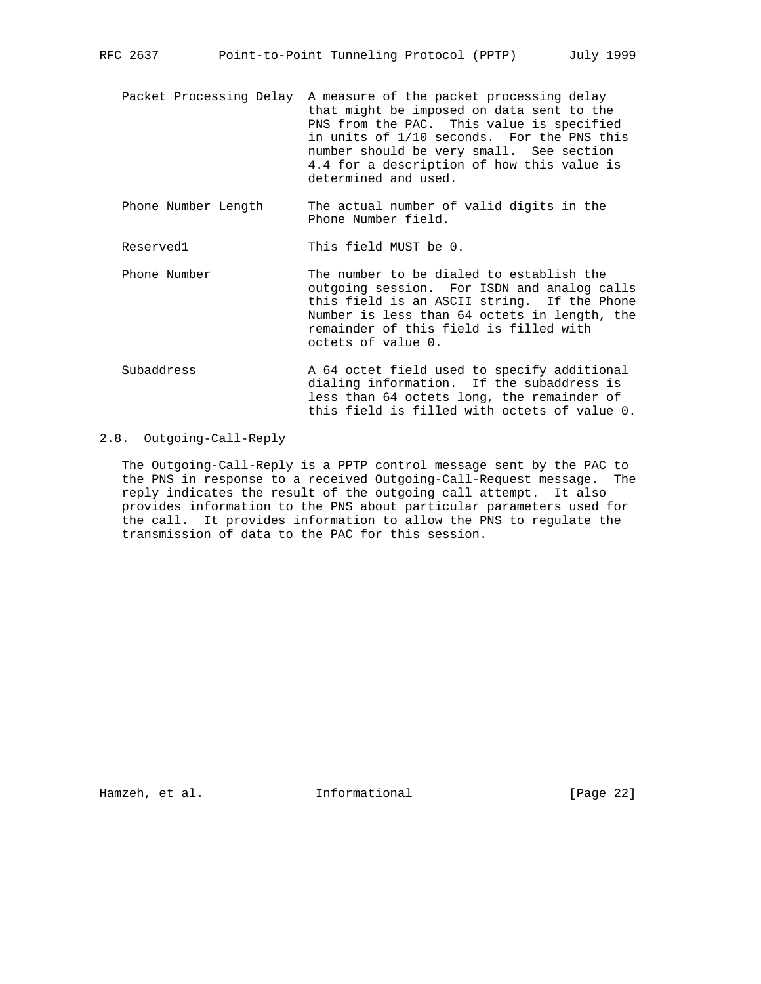- Packet Processing Delay A measure of the packet processing delay that might be imposed on data sent to the PNS from the PAC. This value is specified in units of 1/10 seconds. For the PNS this number should be very small. See section 4.4 for a description of how this value is determined and used.
- Phone Number Length The actual number of valid digits in the Phone Number field.

Reserved1 This field MUST be 0.

- Phone Number The number to be dialed to establish the outgoing session. For ISDN and analog calls this field is an ASCII string. If the Phone Number is less than 64 octets in length, the remainder of this field is filled with octets of value 0.
- Subaddress The A 64 octet field used to specify additional dialing information. If the subaddress is less than 64 octets long, the remainder of this field is filled with octets of value 0.

# 2.8. Outgoing-Call-Reply

 The Outgoing-Call-Reply is a PPTP control message sent by the PAC to the PNS in response to a received Outgoing-Call-Request message. The reply indicates the result of the outgoing call attempt. It also provides information to the PNS about particular parameters used for the call. It provides information to allow the PNS to regulate the transmission of data to the PAC for this session.

Hamzeh, et al. **Informational** [Page 22]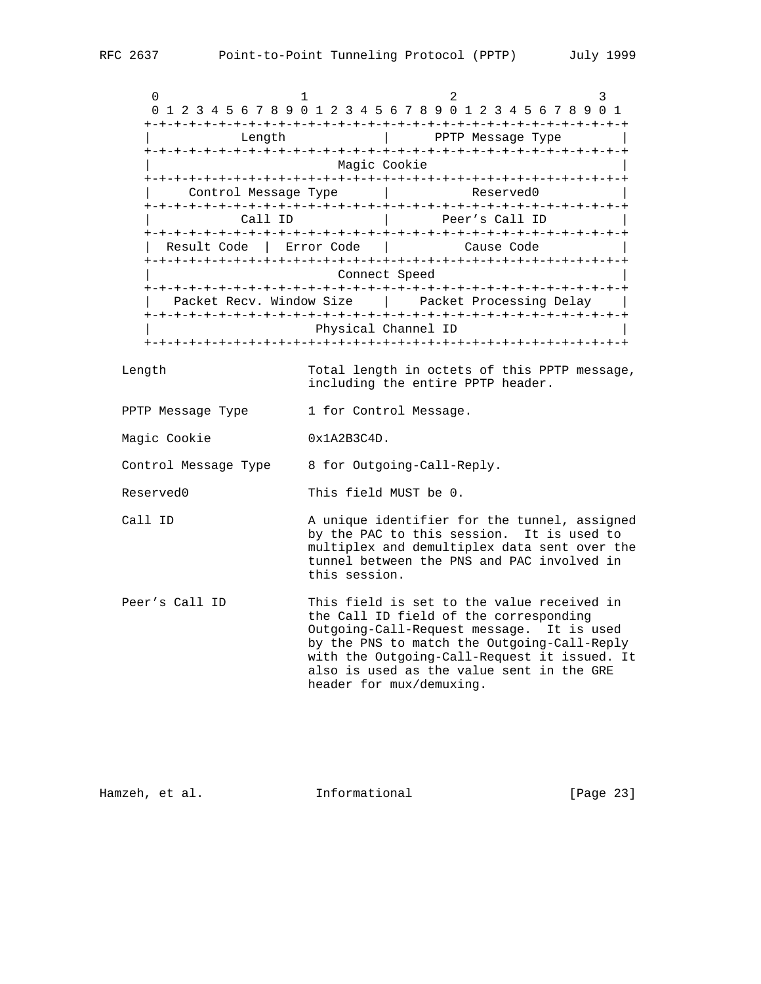$0$  1 2 3 0 1 2 3 4 5 6 7 8 9 0 1 2 3 4 5 6 7 8 9 0 1 2 3 4 5 6 7 8 9 0 1 +-+-+-+-+-+-+-+-+-+-+-+-+-+-+-+-+-+-+-+-+-+-+-+-+-+-+-+-+-+-+-+-+ | Length | PPTP Message Type | +-+-+-+-+-+-+-+-+-+-+-+-+-+-+-+-+-+-+-+-+-+-+-+-+-+-+-+-+-+-+-+-+ Magic Cookie +-+-+-+-+-+-+-+-+-+-+-+-+-+-+-+-+-+-+-+-+-+-+-+-+-+-+-+-+-+-+-+-+ | Control Message Type | Reserved0 +-+-+-+-+-+-+-+-+-+-+-+-+-+-+-+-+-+-+-+-+-+-+-+-+-+-+-+-+-+-+-+-+ Call ID | Peer's Call ID +-+-+-+-+-+-+-+-+-+-+-+-+-+-+-+-+-+-+-+-+-+-+-+-+-+-+-+-+-+-+-+-+ Result Code | Error Code | Cause Code +-+-+-+-+-+-+-+-+-+-+-+-+-+-+-+-+-+-+-+-+-+-+-+-+-+-+-+-+-+-+-+-+ Connect Speed

 +-+-+-+-+-+-+-+-+-+-+-+-+-+-+-+-+-+-+-+-+-+-+-+-+-+-+-+-+-+-+-+-+ Packet Recv. Window Size | Packet Processing Delay +-+-+-+-+-+-+-+-+-+-+-+-+-+-+-+-+-+-+-+-+-+-+-+-+-+-+-+-+-+-+-+-+ Physical Channel ID +-+-+-+-+-+-+-+-+-+-+-+-+-+-+-+-+-+-+-+-+-+-+-+-+-+-+-+-+-+-+-+-+

 Length Total length in octets of this PPTP message, including the entire PPTP header.

- PPTP Message Type 1 for Control Message.
- Magic Cookie 0x1A2B3C4D.

Control Message Type 8 for Outgoing-Call-Reply.

Reserved0 This field MUST be 0.

- Call ID **A** unique identifier for the tunnel, assigned by the PAC to this session. It is used to multiplex and demultiplex data sent over the tunnel between the PNS and PAC involved in this session.
- Peer's Call ID This field is set to the value received in the Call ID field of the corresponding Outgoing-Call-Request message. It is used by the PNS to match the Outgoing-Call-Reply with the Outgoing-Call-Request it issued. It also is used as the value sent in the GRE header for mux/demuxing.

Hamzeh, et al. 1nformational [Page 23]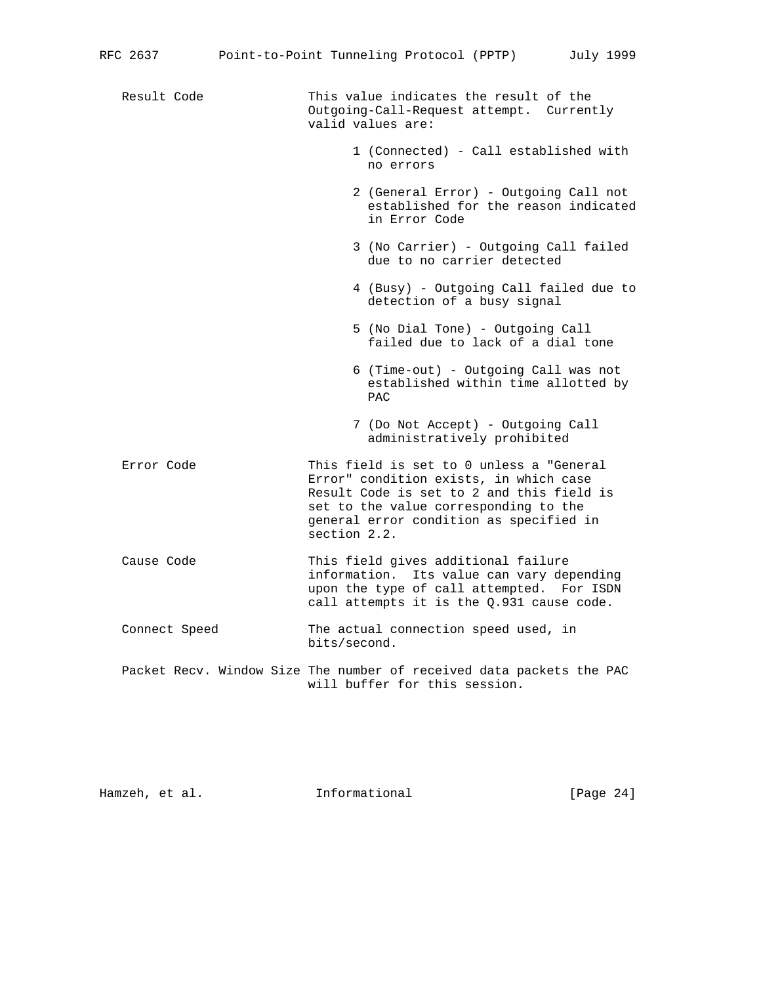| Result Code   | This value indicates the result of the<br>Outgoing-Call-Request attempt. Currently<br>valid values are:                                                                                                                             |
|---------------|-------------------------------------------------------------------------------------------------------------------------------------------------------------------------------------------------------------------------------------|
|               | 1 (Connected) - Call established with<br>no errors                                                                                                                                                                                  |
|               | 2 (General Error) - Outgoing Call not<br>established for the reason indicated<br>in Error Code                                                                                                                                      |
|               | 3 (No Carrier) - Outgoing Call failed<br>due to no carrier detected                                                                                                                                                                 |
|               | 4 (Busy) - Outgoing Call failed due to<br>detection of a busy signal                                                                                                                                                                |
|               | 5 (No Dial Tone) - Outgoing Call<br>failed due to lack of a dial tone                                                                                                                                                               |
|               | 6 (Time-out) - Outgoing Call was not<br>established within time allotted by<br><b>PAC</b>                                                                                                                                           |
|               | 7 (Do Not Accept) - Outgoing Call<br>administratively prohibited                                                                                                                                                                    |
| Error Code    | This field is set to 0 unless a "General<br>Error" condition exists, in which case<br>Result Code is set to 2 and this field is<br>set to the value corresponding to the<br>general error condition as specified in<br>section 2.2. |
| Cause Code    | This field gives additional failure<br>information. Its value can vary depending<br>upon the type of call attempted. For ISDN<br>call attempts it is the Q.931 cause code.                                                          |
| Connect Speed | The actual connection speed used, in<br>bits/second.                                                                                                                                                                                |
|               | Packet Recv. Window Size The number of received data packets the PAC<br>will buffer for this session.                                                                                                                               |
|               |                                                                                                                                                                                                                                     |

Hamzeh, et al. 1nformational [Page 24]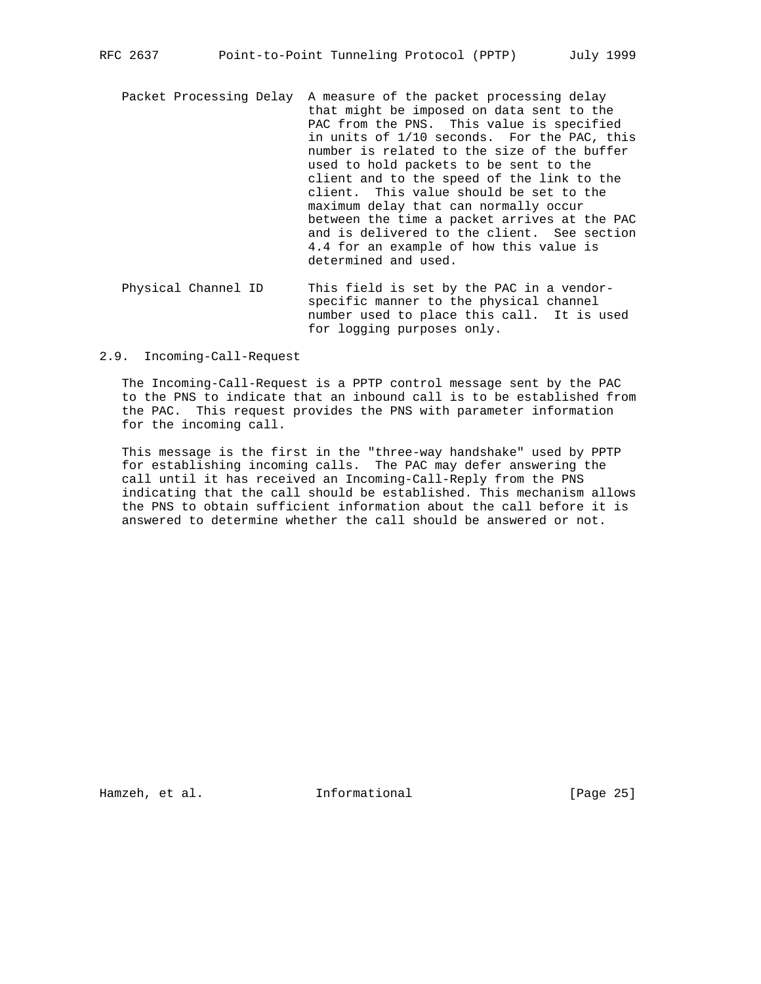- Packet Processing Delay A measure of the packet processing delay that might be imposed on data sent to the PAC from the PNS. This value is specified in units of 1/10 seconds. For the PAC, this number is related to the size of the buffer used to hold packets to be sent to the client and to the speed of the link to the client. This value should be set to the maximum delay that can normally occur between the time a packet arrives at the PAC and is delivered to the client. See section 4.4 for an example of how this value is determined and used.
- Physical Channel ID This field is set by the PAC in a vendor specific manner to the physical channel number used to place this call. It is used for logging purposes only.

2.9. Incoming-Call-Request

 The Incoming-Call-Request is a PPTP control message sent by the PAC to the PNS to indicate that an inbound call is to be established from the PAC. This request provides the PNS with parameter information for the incoming call.

 This message is the first in the "three-way handshake" used by PPTP for establishing incoming calls. The PAC may defer answering the call until it has received an Incoming-Call-Reply from the PNS indicating that the call should be established. This mechanism allows the PNS to obtain sufficient information about the call before it is answered to determine whether the call should be answered or not.

Hamzeh, et al. **Informational** [Page 25]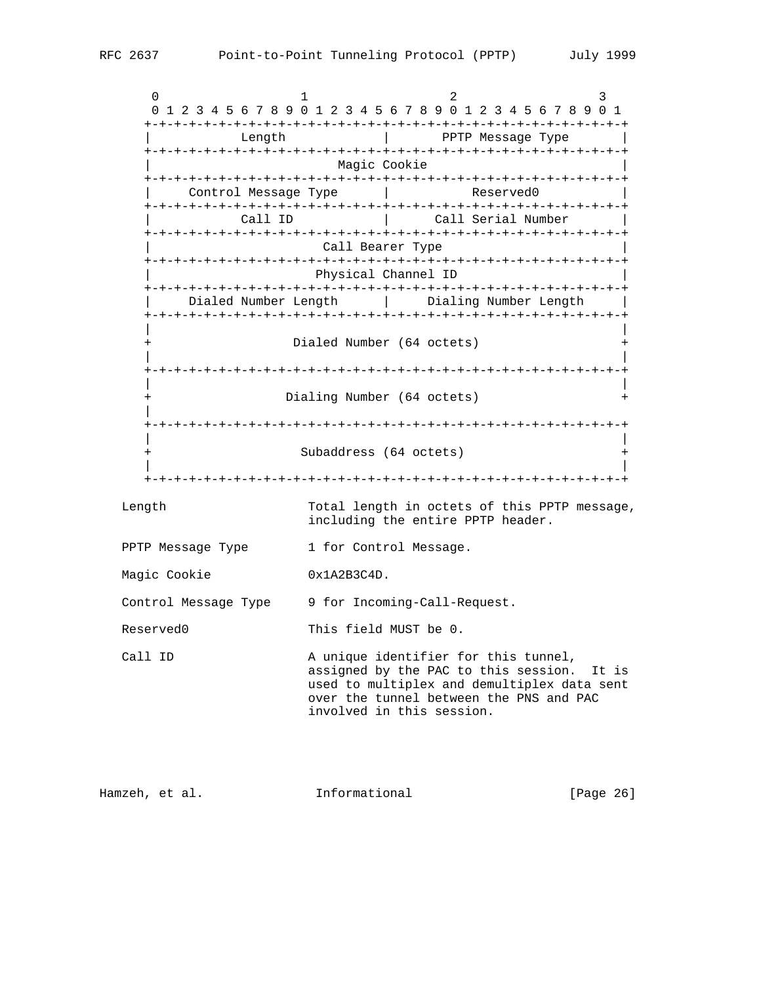$0$  1 2 3 0 1 2 3 4 5 6 7 8 9 0 1 2 3 4 5 6 7 8 9 0 1 2 3 4 5 6 7 8 9 0 1 +-+-+-+-+-+-+-+-+-+-+-+-+-+-+-+-+-+-+-+-+-+-+-+-+-+-+-+-+-+-+-+-+ Length  $|$  PPTP Message Type +-+-+-+-+-+-+-+-+-+-+-+-+-+-+-+-+-+-+-+-+-+-+-+-+-+-+-+-+-+-+-+-+ Magic Cookie +-+-+-+-+-+-+-+-+-+-+-+-+-+-+-+-+-+-+-+-+-+-+-+-+-+-+-+-+-+-+-+-+ Control Message Type | Reserved0 +-+-+-+-+-+-+-+-+-+-+-+-+-+-+-+-+-+-+-+-+-+-+-+-+-+-+-+-+-+-+-+-+ Call ID | Call Serial Number +-+-+-+-+-+-+-+-+-+-+-+-+-+-+-+-+-+-+-+-+-+-+-+-+-+-+-+-+-+-+-+-+ Call Bearer Type +-+-+-+-+-+-+-+-+-+-+-+-+-+-+-+-+-+-+-+-+-+-+-+-+-+-+-+-+-+-+-+-+ | Physical Channel ID | +-+-+-+-+-+-+-+-+-+-+-+-+-+-+-+-+-+-+-+-+-+-+-+-+-+-+-+-+-+-+-+-+ Dialed Number Length | Dialing Number Length +-+-+-+-+-+-+-+-+-+-+-+-+-+-+-+-+-+-+-+-+-+-+-+-+-+-+-+-+-+-+-+-+ | | Dialed Number (64 octets) | | +-+-+-+-+-+-+-+-+-+-+-+-+-+-+-+-+-+-+-+-+-+-+-+-+-+-+-+-+-+-+-+-+ | | + Dialing Number (64 octets) + | +-+-+-+-+-+-+-+-+-+-+-+-+-+-+-+-+-+-+-+-+-+-+-+-+-+-+-+-+-+-+-+-+ | | Subaddress (64 octets) + | | +-+-+-+-+-+-+-+-+-+-+-+-+-+-+-+-+-+-+-+-+-+-+-+-+-+-+-+-+-+-+-+-+ Length Total length in octets of this PPTP message, including the entire PPTP header. PPTP Message Type 1 for Control Message. Magic Cookie 0x1A2B3C4D. Control Message Type 9 for Incoming-Call-Request. Reserved0 This field MUST be 0. Call ID  $A$  unique identifier for this tunnel, assigned by the PAC to this session. It is used to multiplex and demultiplex data sent over the tunnel between the PNS and PAC involved in this session.

Hamzeh, et al. 1nformational [Page 26]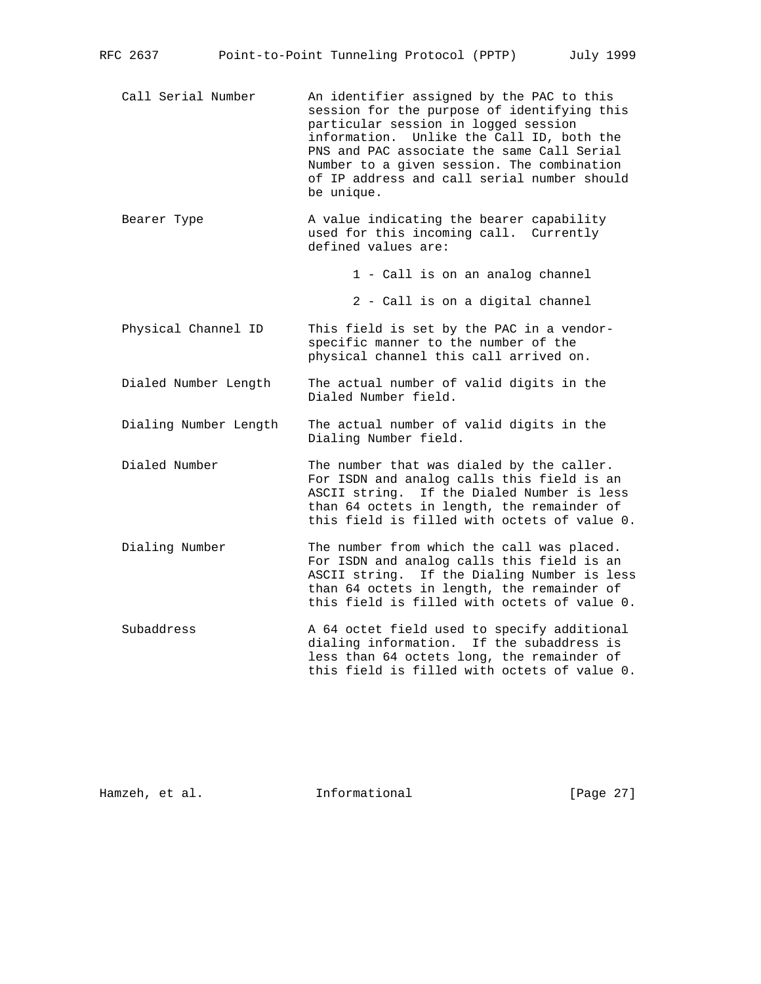- Call Serial Number An identifier assigned by the PAC to this session for the purpose of identifying this particular session in logged session information. Unlike the Call ID, both the PNS and PAC associate the same Call Serial Number to a given session. The combination of IP address and call serial number should be unique.
- Bearer Type  $\longrightarrow$  A value indicating the bearer capability used for this incoming call. Currently defined values are:

1 - Call is on an analog channel

2 - Call is on a digital channel

- Physical Channel ID This field is set by the PAC in a vendor specific manner to the number of the physical channel this call arrived on.
- Dialed Number Length The actual number of valid digits in the Dialed Number field.
- Dialing Number Length The actual number of valid digits in the Dialing Number field.
- Dialed Number The number that was dialed by the caller. For ISDN and analog calls this field is an ASCII string. If the Dialed Number is less than 64 octets in length, the remainder of this field is filled with octets of value 0.
- Dialing Number The number from which the call was placed. For ISDN and analog calls this field is an ASCII string. If the Dialing Number is less than 64 octets in length, the remainder of this field is filled with octets of value 0.
- Subaddress The A 64 octet field used to specify additional dialing information. If the subaddress is less than 64 octets long, the remainder of this field is filled with octets of value 0.

Hamzeh, et al. 1nformational [Page 27]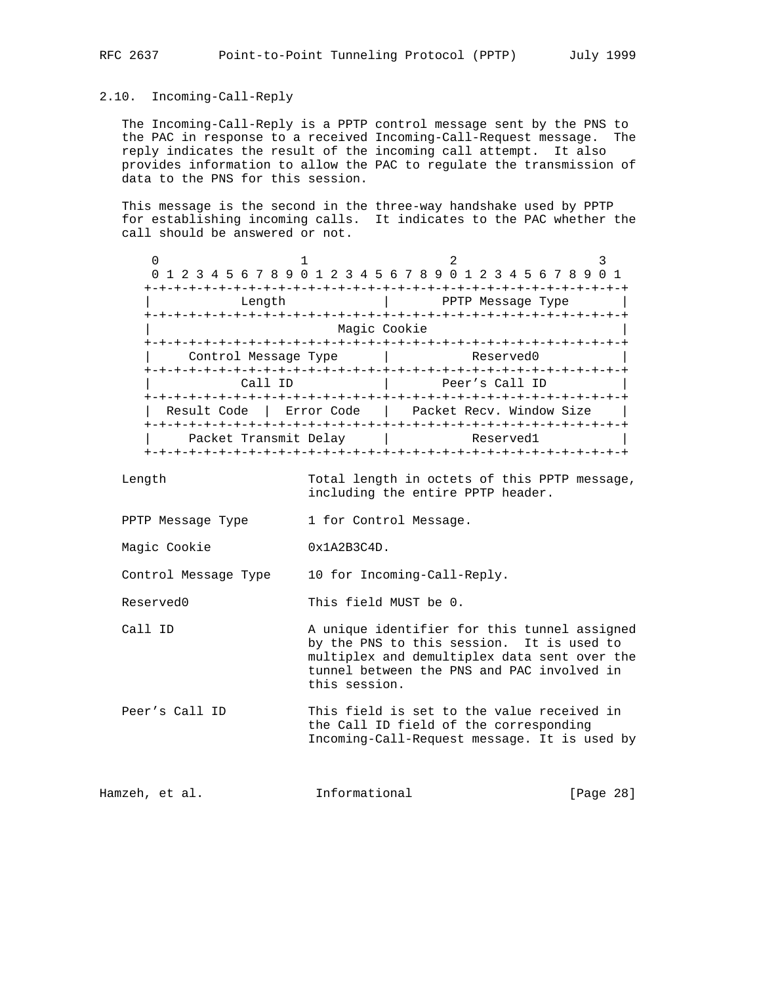2.10. Incoming-Call-Reply

 The Incoming-Call-Reply is a PPTP control message sent by the PNS to the PAC in response to a received Incoming-Call-Request message. The reply indicates the result of the incoming call attempt. It also provides information to allow the PAC to regulate the transmission of data to the PNS for this session.

 This message is the second in the three-way handshake used by PPTP for establishing incoming calls. It indicates to the PAC whether the call should be answered or not.

| 0 1 2 3 4 5 6 7 8 9 0 1 2 3 4 5 6 7 8 9 0 1 2 3 4 5 6 7 8 9 |                               |              |                                      |                   |  |
|-------------------------------------------------------------|-------------------------------|--------------|--------------------------------------|-------------------|--|
|                                                             |                               |              | -+-+-+-+-+-+-+-+-+-+-+-+-+-+-+-+-+-+ |                   |  |
| Length                                                      |                               |              |                                      | PPTP Message Type |  |
|                                                             |                               |              |                                      |                   |  |
|                                                             |                               | Magic Cookie |                                      |                   |  |
|                                                             |                               |              |                                      |                   |  |
| Control Message Type                                        |                               |              |                                      | Reserved0         |  |
|                                                             |                               |              | .+-+-+-+-+-+-+-+-+-+-+-+-+-+-+       |                   |  |
| Call ID                                                     |                               |              | Peer's Call ID                       |                   |  |
| -+-+-+-+-+-+-+-+-+-+-+-+-+-+-+-+-+-+                        |                               |              |                                      |                   |  |
| Result Code                                                 | Error Code                    |              | Packet Recv. Window Size             |                   |  |
|                                                             | -+-+-+-+-+-+-+-+-+            |              |                                      |                   |  |
| Packet Transmit Delay                                       |                               |              |                                      | Reserved1         |  |
|                                                             | +-+-+-+-+-+-+-+-+-+-+-+-+-+-+ |              |                                      |                   |  |

 Length Total length in octets of this PPTP message, including the entire PPTP header.

- PPTP Message Type 1 for Control Message.
- Magic Cookie 0x1A2B3C4D.

Control Message Type 10 for Incoming-Call-Reply.

Reserved0 This field MUST be 0.

- Call ID A unique identifier for this tunnel assigned by the PNS to this session. It is used to multiplex and demultiplex data sent over the tunnel between the PNS and PAC involved in this session.
- Peer's Call ID This field is set to the value received in the Call ID field of the corresponding Incoming-Call-Request message. It is used by

Hamzeh, et al. 1nformational [Page 28]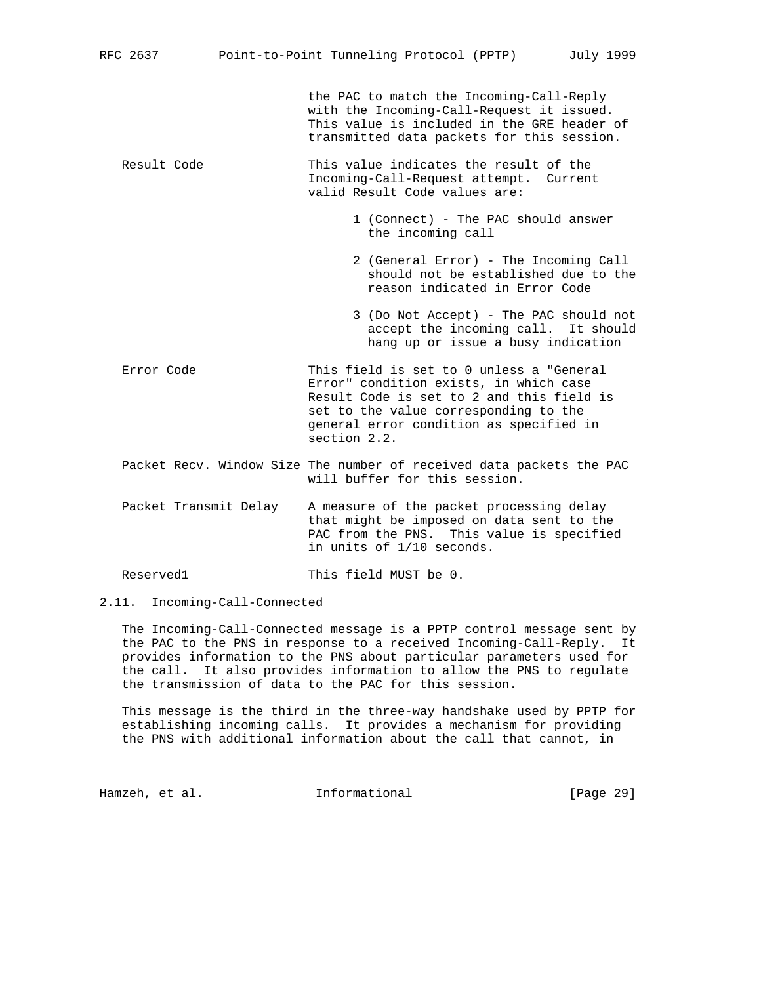the PAC to match the Incoming-Call-Reply with the Incoming-Call-Request it issued. This value is included in the GRE header of transmitted data packets for this session.

- Result Code This value indicates the result of the Incoming-Call-Request attempt. Current valid Result Code values are:
	- 1 (Connect) The PAC should answer the incoming call
	- 2 (General Error) The Incoming Call should not be established due to the reason indicated in Error Code
	- 3 (Do Not Accept) The PAC should not accept the incoming call. It should hang up or issue a busy indication
- Error Code This field is set to 0 unless a "General Error" condition exists, in which case Result Code is set to 2 and this field is set to the value corresponding to the general error condition as specified in section 2.2.
- Packet Recv. Window Size The number of received data packets the PAC will buffer for this session.
- Packet Transmit Delay A measure of the packet processing delay that might be imposed on data sent to the PAC from the PNS. This value is specified in units of 1/10 seconds.

Reserved1 This field MUST be 0.

2.11. Incoming-Call-Connected

 The Incoming-Call-Connected message is a PPTP control message sent by the PAC to the PNS in response to a received Incoming-Call-Reply. It provides information to the PNS about particular parameters used for the call. It also provides information to allow the PNS to regulate the transmission of data to the PAC for this session.

 This message is the third in the three-way handshake used by PPTP for establishing incoming calls. It provides a mechanism for providing the PNS with additional information about the call that cannot, in

Hamzeh, et al. 1nformational [Page 29]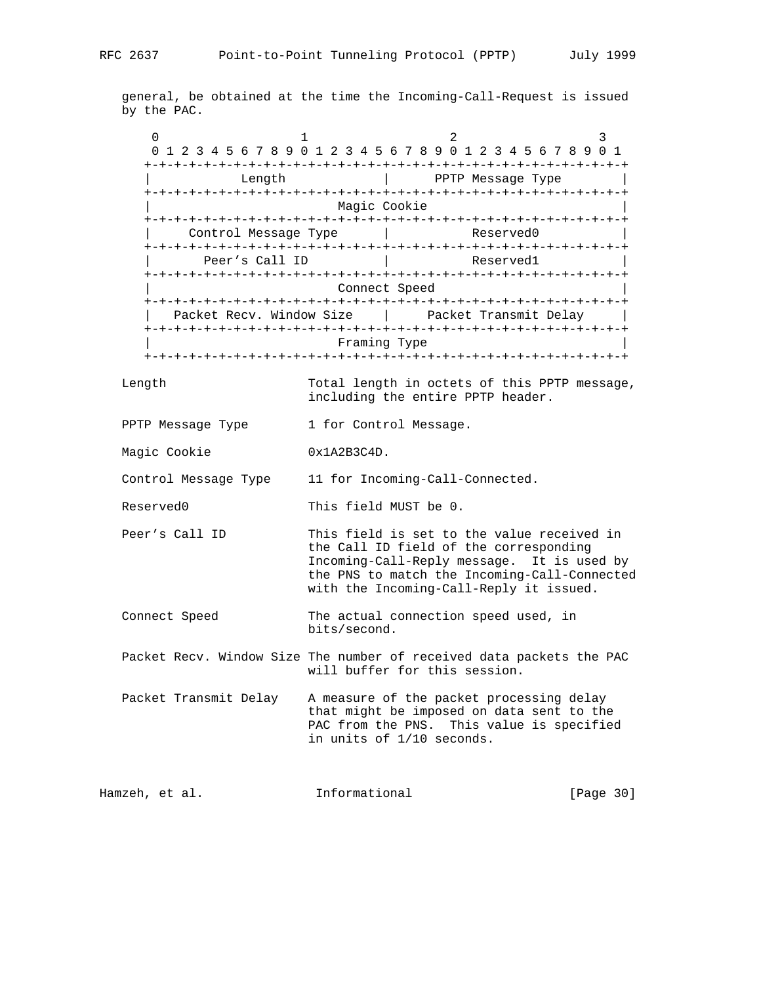general, be obtained at the time the Incoming-Call-Request is issued by the PAC.

 $0$  1 2 3 0 1 2 3 4 5 6 7 8 9 0 1 2 3 4 5 6 7 8 9 0 1 2 3 4 5 6 7 8 9 0 1 +-+-+-+-+-+-+-+-+-+-+-+-+-+-+-+-+-+-+-+-+-+-+-+-+-+-+-+-+-+-+-+-+ | Length | PPTP Message Type | +-+-+-+-+-+-+-+-+-+-+-+-+-+-+-+-+-+-+-+-+-+-+-+-+-+-+-+-+-+-+-+-+ Magic Cookie +-+-+-+-+-+-+-+-+-+-+-+-+-+-+-+-+-+-+-+-+-+-+-+-+-+-+-+-+-+-+-+-+ Control Message Type | Reserved0 +-+-+-+-+-+-+-+-+-+-+-+-+-+-+-+-+-+-+-+-+-+-+-+-+-+-+-+-+-+-+-+-+ Peer's Call ID | Reserved1 +-+-+-+-+-+-+-+-+-+-+-+-+-+-+-+-+-+-+-+-+-+-+-+-+-+-+-+-+-+-+-+-+ Connect Speed +-+-+-+-+-+-+-+-+-+-+-+-+-+-+-+-+-+-+-+-+-+-+-+-+-+-+-+-+-+-+-+-+ Packet Recv. Window Size | Packet Transmit Delay +-+-+-+-+-+-+-+-+-+-+-+-+-+-+-+-+-+-+-+-+-+-+-+-+-+-+-+-+-+-+-+-+ | Framing Type | +-+-+-+-+-+-+-+-+-+-+-+-+-+-+-+-+-+-+-+-+-+-+-+-+-+-+-+-+-+-+-+-+

 Length Total length in octets of this PPTP message, including the entire PPTP header.

- PPTP Message Type 1 for Control Message.
- Magic Cookie 0x1A2B3C4D.

Control Message Type 11 for Incoming-Call-Connected.

Reserved0 This field MUST be 0.

- Peer's Call ID This field is set to the value received in the Call ID field of the corresponding Incoming-Call-Reply message. It is used by the PNS to match the Incoming-Call-Connected with the Incoming-Call-Reply it issued.
- Connect Speed The actual connection speed used, in bits/second.

 Packet Recv. Window Size The number of received data packets the PAC will buffer for this session.

 Packet Transmit Delay A measure of the packet processing delay that might be imposed on data sent to the PAC from the PNS. This value is specified in units of 1/10 seconds.

Hamzeh, et al. 1nformational [Page 30]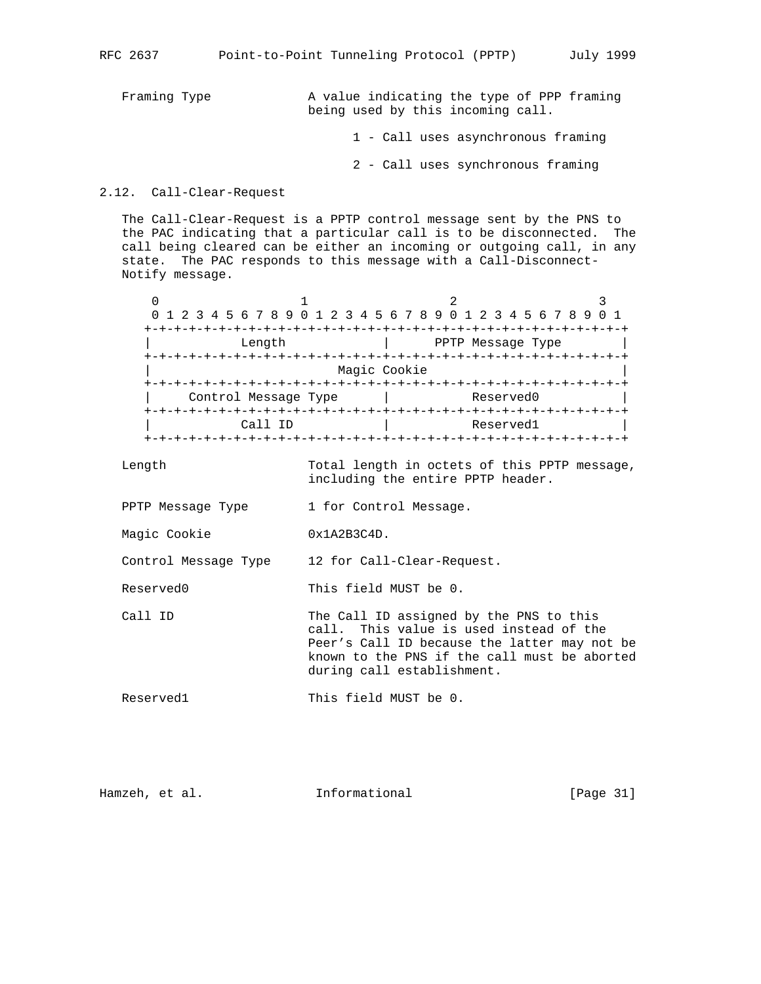Framing Type  $\lambda$  value indicating the type of PPP framing being used by this incoming call.

1 - Call uses asynchronous framing

2 - Call uses synchronous framing

```
2.12. Call-Clear-Request
```
 The Call-Clear-Request is a PPTP control message sent by the PNS to the PAC indicating that a particular call is to be disconnected. The call being cleared can be either an incoming or outgoing call, in any state. The PAC responds to this message with a Call-Disconnect- Notify message.

|                      | 0 1 2 3 4 5 6 7 8 9 0 1 2 3 4 5 6 7 8 9 0 1 2 3 4 5 6 7 8 9 |                   |  |
|----------------------|-------------------------------------------------------------|-------------------|--|
|                      |                                                             |                   |  |
| Length               |                                                             | PPTP Message Type |  |
|                      |                                                             |                   |  |
|                      | Magic Cookie                                                |                   |  |
|                      |                                                             |                   |  |
| Control Message Type |                                                             | Reserved0         |  |
|                      |                                                             |                   |  |
| Call ID              |                                                             | Reserved1         |  |
|                      |                                                             |                   |  |

 Length Total length in octets of this PPTP message, including the entire PPTP header.

PPTP Message Type 1 for Control Message.

Magic Cookie 0x1A2B3C4D.

Control Message Type 12 for Call-Clear-Request.

Reserved0 This field MUST be 0.

```
Call ID The Call ID assigned by the PNS to this
                        call. This value is used instead of the
                        Peer's Call ID because the latter may not be
                        known to the PNS if the call must be aborted
                        during call establishment.
```

```
Reserved1 This field MUST be 0.
```
Hamzeh, et al. **Informational** [Page 31]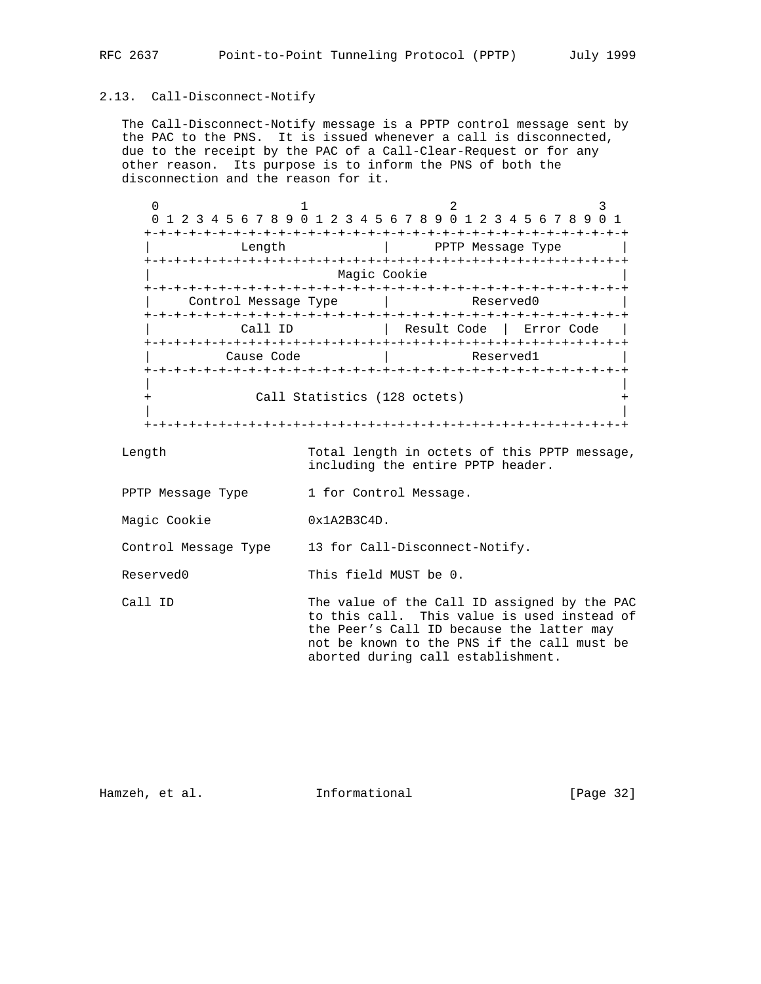# 2.13. Call-Disconnect-Notify

 The Call-Disconnect-Notify message is a PPTP control message sent by the PAC to the PNS. It is issued whenever a call is disconnected, due to the receipt by the PAC of a Call-Clear-Request or for any other reason. Its purpose is to inform the PNS of both the disconnection and the reason for it.

0  $1$  2 3 0 1 2 3 4 5 6 7 8 9 0 1 2 3 4 5 6 7 8 9 0 1 2 3 4 5 6 7 8 9 0 1 +-+-+-+-+-+-+-+-+-+-+-+-+-+-+-+-+-+-+-+-+-+-+-+-+-+-+-+-+-+-+-+-+ | Length | PPTP Message Type | +-+-+-+-+-+-+-+-+-+-+-+-+-+-+-+-+-+-+-+-+-+-+-+-+-+-+-+-+-+-+-+-+ Magic Cookie +-+-+-+-+-+-+-+-+-+-+-+-+-+-+-+-+-+-+-+-+-+-+-+-+-+-+-+-+-+-+-+-+ Control Message Type | Reserved +-+-+-+-+-+-+-+-+-+-+-+-+-+-+-+-+-+-+-+-+-+-+-+-+-+-+-+-+-+-+-+-+ | Call ID | Result Code | Error Code | +-+-+-+-+-+-+-+-+-+-+-+-+-+-+-+-+-+-+-+-+-+-+-+-+-+-+-+-+-+-+-+-+ | Cause Code | Reserved1 +-+-+-+-+-+-+-+-+-+-+-+-+-+-+-+-+-+-+-+-+-+-+-+-+-+-+-+-+-+-+-+-+ | | + Call Statistics (128 octets) + | | +-+-+-+-+-+-+-+-+-+-+-+-+-+-+-+-+-+-+-+-+-+-+-+-+-+-+-+-+-+-+-+-+

 Length Total length in octets of this PPTP message, including the entire PPTP header.

PPTP Message Type 1 for Control Message.

Magic Cookie 0x1A2B3C4D.

Control Message Type 13 for Call-Disconnect-Notify.

Reserved0 This field MUST be 0.

Call ID The value of the Call ID assigned by the PAC to this call. This value is used instead of the Peer's Call ID because the latter may not be known to the PNS if the call must be aborted during call establishment.

Hamzeh, et al. 1nformational [Page 32]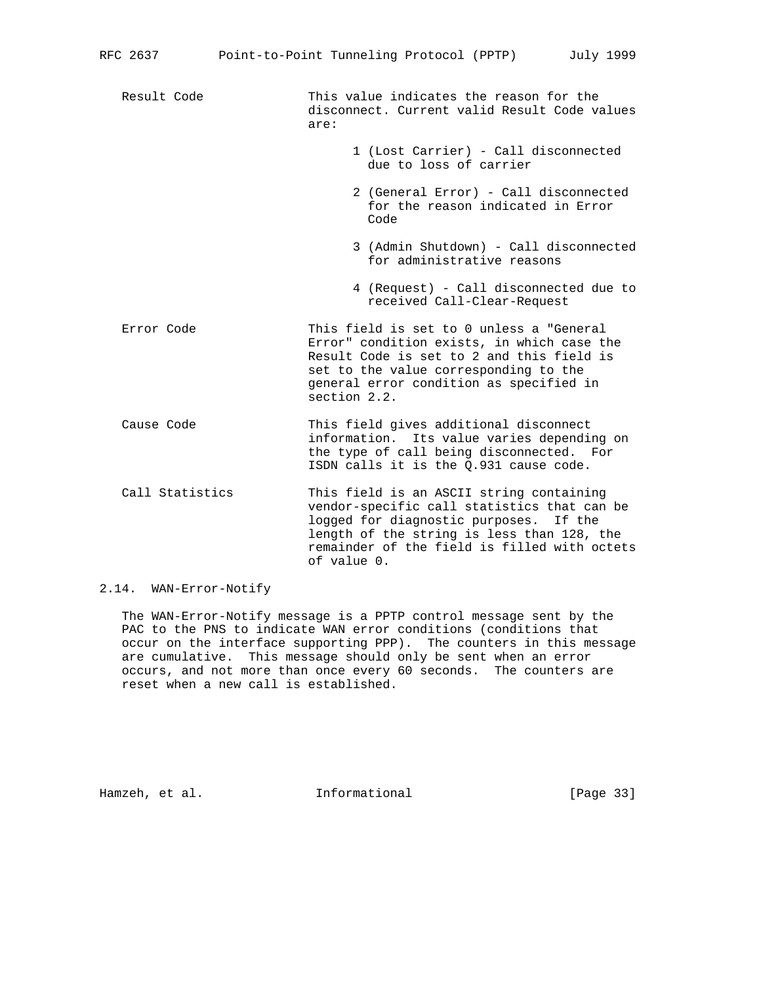Result Code This value indicates the reason for the disconnect. Current valid Result Code values are: 1 (Lost Carrier) - Call disconnected due to loss of carrier 2 (General Error) - Call disconnected for the reason indicated in Error <u>Code de la componentación de la code de la code de la code de la code de la code de la code de la code de la c</u> 3 (Admin Shutdown) - Call disconnected for administrative reasons 4 (Request) - Call disconnected due to received Call-Clear-Request Error Code This field is set to 0 unless a "General Error" condition exists, in which case the Result Code is set to 2 and this field is set to the value corresponding to the general error condition as specified in section 2.2. Cause Code This field gives additional disconnect information. Its value varies depending on the type of call being disconnected. For ISDN calls it is the Q.931 cause code. Call Statistics This field is an ASCII string containing vendor-specific call statistics that can be logged for diagnostic purposes. If the length of the string is less than 128, the remainder of the field is filled with octets of value 0.

# 2.14. WAN-Error-Notify

 The WAN-Error-Notify message is a PPTP control message sent by the PAC to the PNS to indicate WAN error conditions (conditions that occur on the interface supporting PPP). The counters in this message are cumulative. This message should only be sent when an error occurs, and not more than once every 60 seconds. The counters are reset when a new call is established.

Hamzeh, et al. **Informational** [Page 33]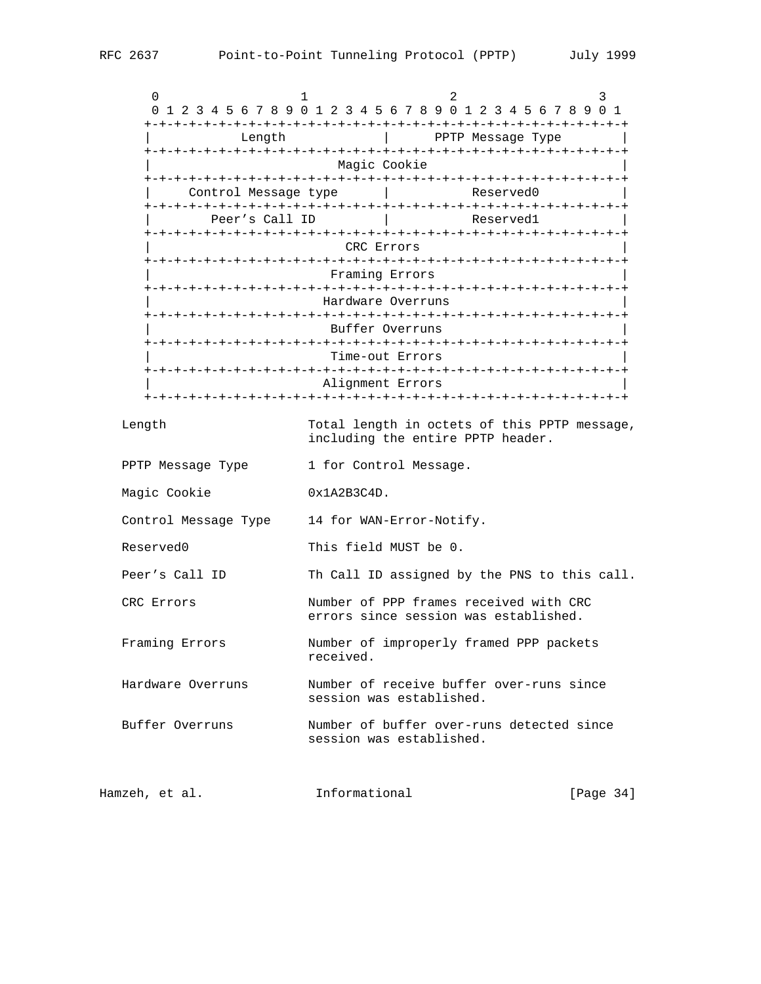| 0<br>0 1 2 3 4 5 6 7 8 9 0 1 2 3 4 5 6 7 8 9 0 1 2 3 4 5 6 7 8 9 0 1 | 1                                                                                 |                   | 2 |                   | 3         |  |
|----------------------------------------------------------------------|-----------------------------------------------------------------------------------|-------------------|---|-------------------|-----------|--|
| Length                                                               |                                                                                   |                   |   | PPTP Message Type |           |  |
|                                                                      |                                                                                   | Magic Cookie      |   |                   |           |  |
|                                                                      | Control Message type                                                              |                   |   | Reserved0         |           |  |
| Peer's Call ID                                                       |                                                                                   |                   |   | Reservedl         |           |  |
|                                                                      |                                                                                   | CRC Errors        |   |                   |           |  |
|                                                                      |                                                                                   | Framing Errors    |   |                   |           |  |
|                                                                      |                                                                                   | Hardware Overruns |   |                   |           |  |
|                                                                      |                                                                                   | Buffer Overruns   |   |                   |           |  |
|                                                                      |                                                                                   | Time-out Errors   |   |                   |           |  |
|                                                                      |                                                                                   | Alignment Errors  |   |                   |           |  |
| Length                                                               | Total length in octets of this PPTP message,<br>including the entire PPTP header. |                   |   |                   |           |  |
| PPTP Message Type                                                    | 1 for Control Message.                                                            |                   |   |                   |           |  |
| Magic Cookie                                                         | 0x1A2B3C4D.                                                                       |                   |   |                   |           |  |
| Control Message Type                                                 | 14 for WAN-Error-Notify.                                                          |                   |   |                   |           |  |
| Reserved0                                                            | This field MUST be 0.                                                             |                   |   |                   |           |  |
| Peer's Call ID                                                       | Th Call ID assigned by the PNS to this call.                                      |                   |   |                   |           |  |
| CRC Errors                                                           | Number of PPP frames received with CRC<br>errors since session was established.   |                   |   |                   |           |  |
| Framing Errors                                                       | Number of improperly framed PPP packets<br>received.                              |                   |   |                   |           |  |
| Hardware Overruns                                                    | Number of receive buffer over-runs since<br>session was established.              |                   |   |                   |           |  |
| Buffer Overruns                                                      | Number of buffer over-runs detected since<br>session was established.             |                   |   |                   |           |  |
| Hamzeh, et al.                                                       | Informational                                                                     |                   |   |                   | [Page 34] |  |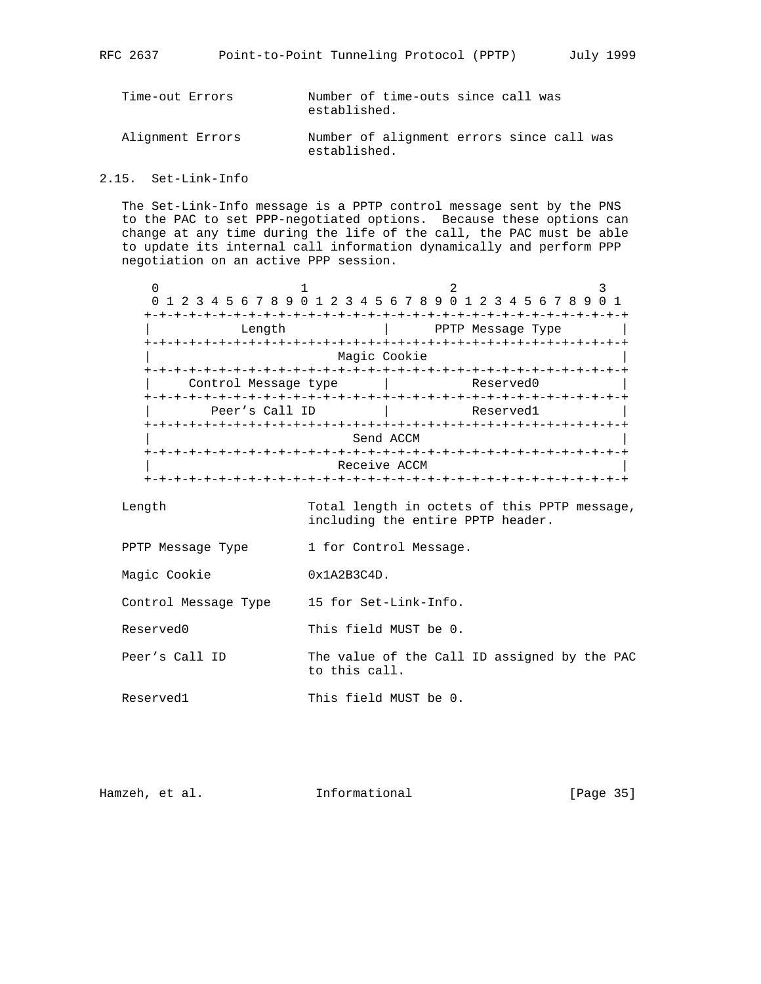- Time-out Errors Number of time-outs since call was established.
- Alignment Errors Number of alignment errors since call was established.

2.15. Set-Link-Info

 The Set-Link-Info message is a PPTP control message sent by the PNS to the PAC to set PPP-negotiated options. Because these options can change at any time during the life of the call, the PAC must be able to update its internal call information dynamically and perform PPP negotiation on an active PPP session.

| 0 | 1 2 3 4 5 6 7 8 9 0 1 2 3 4 5 6 7 8 9 0 1 2 3 4 5 6 7 8 9                           |                    |              |                   |  |
|---|-------------------------------------------------------------------------------------|--------------------|--------------|-------------------|--|
|   | Length                                                                              |                    | -+-+-+-+-+-+ | PPTP Message Type |  |
|   | Magic Cookie                                                                        |                    |              |                   |  |
|   |                                                                                     | -+-+-+-+-+-+-+-+-+ |              |                   |  |
|   | Control Message type                                                                |                    |              | Reserved0         |  |
|   |                                                                                     |                    |              |                   |  |
|   | Peer's Call ID                                                                      |                    | Reserved1    |                   |  |
|   | ----------<br>- - - - - - - -<br>+-+-+-+-+-+-+-+-+-<br>Send ACCM<br>+-+-+-+-+-+-+-+ |                    |              |                   |  |
|   | -+-+-+-+-+-+-+-+<br>Receive ACCM                                                    |                    |              |                   |  |

 Length Total length in octets of this PPTP message, including the entire PPTP header.

PPTP Message Type 1 for Control Message.

Magic Cookie 0x1A2B3C4D.

Control Message Type 15 for Set-Link-Info.

Reserved0 This field MUST be 0.

Peer's Call ID The value of the Call ID assigned by the PAC to this call.

Reserved1 This field MUST be 0.

| Informational<br>Hamzeh, et al. | [Page 35] |
|---------------------------------|-----------|
|---------------------------------|-----------|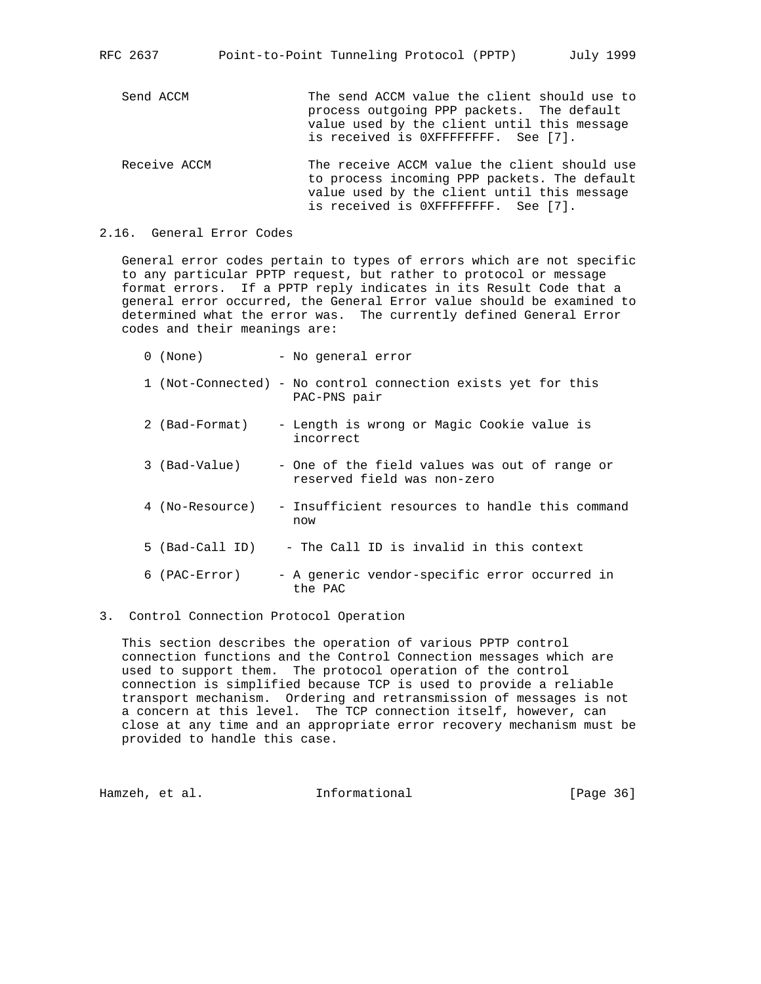RFC 2637 Point-to-Point Tunneling Protocol (PPTP) July 1999

Send ACCM The send ACCM value the client should use to process outgoing PPP packets. The default value used by the client until this message is received is 0XFFFFFFFF. See [7].

- Receive ACCM The receive ACCM value the client should use to process incoming PPP packets. The default value used by the client until this message is received is 0XFFFFFFFF. See [7].
- 2.16. General Error Codes

 General error codes pertain to types of errors which are not specific to any particular PPTP request, but rather to protocol or message format errors. If a PPTP reply indicates in its Result Code that a general error occurred, the General Error value should be examined to determined what the error was. The currently defined General Error codes and their meanings are:

| $\Omega$ | (None)          | - No general error                                                            |
|----------|-----------------|-------------------------------------------------------------------------------|
|          |                 | 1 (Not-Connected) - No control connection exists yet for this<br>PAC-PNS pair |
|          | 2 (Bad-Format)  | - Length is wrong or Magic Cookie value is<br>incorrect                       |
|          | 3 (Bad-Value)   | - One of the field values was out of range or<br>reserved field was non-zero  |
|          | 4 (No-Resource) | - Insufficient resources to handle this command<br>now                        |
|          | 5 (Bad-Call ID) | - The Call ID is invalid in this context                                      |
| 6        | (PAC-Error)     | - A generic vendor-specific error occurred in<br>the PAC                      |

3. Control Connection Protocol Operation

 This section describes the operation of various PPTP control connection functions and the Control Connection messages which are used to support them. The protocol operation of the control connection is simplified because TCP is used to provide a reliable transport mechanism. Ordering and retransmission of messages is not a concern at this level. The TCP connection itself, however, can close at any time and an appropriate error recovery mechanism must be provided to handle this case.

Hamzeh, et al. 1nformational [Page 36]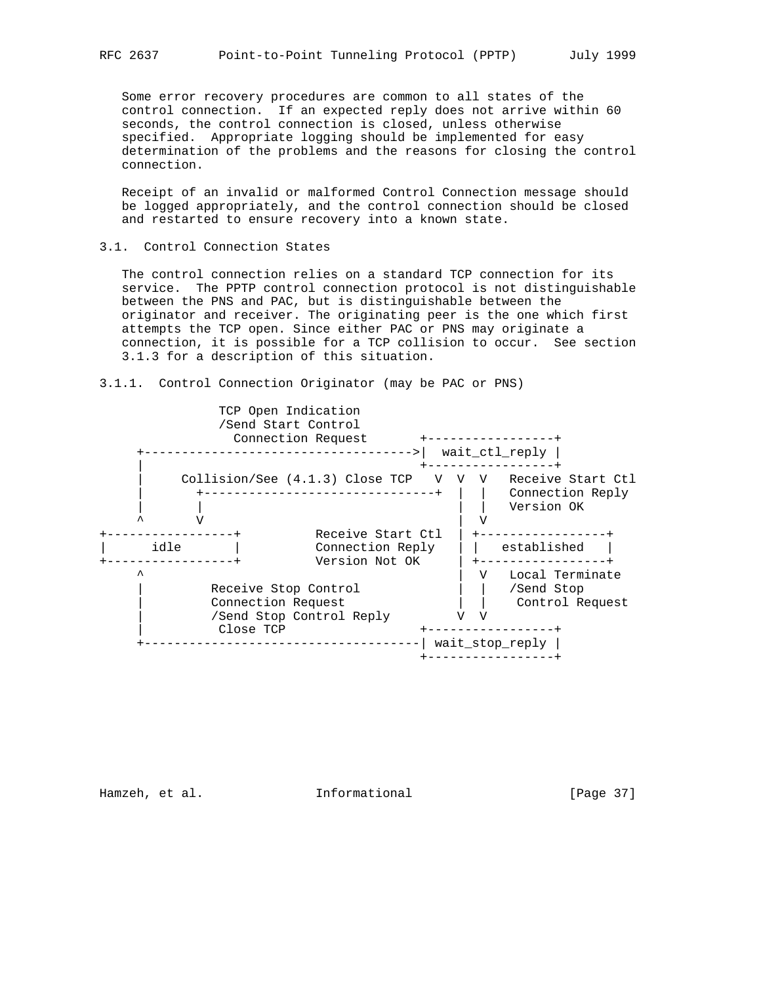Some error recovery procedures are common to all states of the control connection. If an expected reply does not arrive within 60 seconds, the control connection is closed, unless otherwise specified. Appropriate logging should be implemented for easy determination of the problems and the reasons for closing the control connection.

 Receipt of an invalid or malformed Control Connection message should be logged appropriately, and the control connection should be closed and restarted to ensure recovery into a known state.

#### 3.1. Control Connection States

 The control connection relies on a standard TCP connection for its service. The PPTP control connection protocol is not distinguishable between the PNS and PAC, but is distinguishable between the originator and receiver. The originating peer is the one which first attempts the TCP open. Since either PAC or PNS may originate a connection, it is possible for a TCP collision to occur. See section 3.1.3 for a description of this situation.





Hamzeh, et al. 1nformational [Page 37]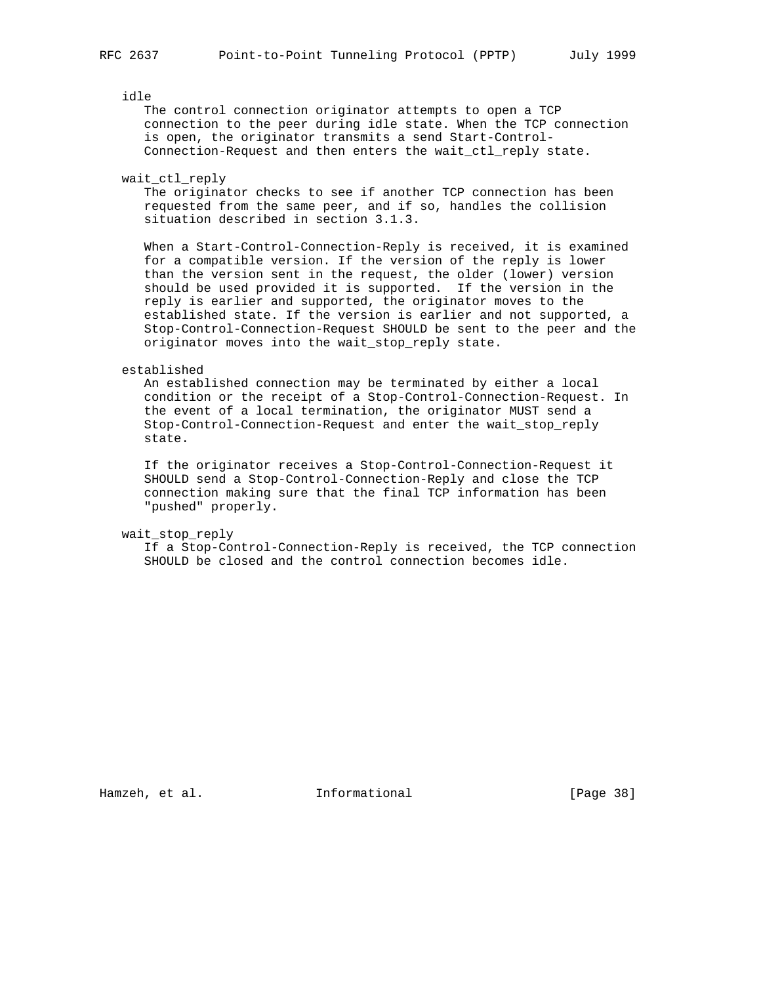idle

 The control connection originator attempts to open a TCP connection to the peer during idle state. When the TCP connection is open, the originator transmits a send Start-Control- Connection-Request and then enters the wait\_ctl\_reply state.

```
 wait_ctl_reply
```
 The originator checks to see if another TCP connection has been requested from the same peer, and if so, handles the collision situation described in section 3.1.3.

 When a Start-Control-Connection-Reply is received, it is examined for a compatible version. If the version of the reply is lower than the version sent in the request, the older (lower) version should be used provided it is supported. If the version in the reply is earlier and supported, the originator moves to the established state. If the version is earlier and not supported, a Stop-Control-Connection-Request SHOULD be sent to the peer and the originator moves into the wait\_stop\_reply state.

#### established

 An established connection may be terminated by either a local condition or the receipt of a Stop-Control-Connection-Request. In the event of a local termination, the originator MUST send a Stop-Control-Connection-Request and enter the wait\_stop\_reply state.

 If the originator receives a Stop-Control-Connection-Request it SHOULD send a Stop-Control-Connection-Reply and close the TCP connection making sure that the final TCP information has been "pushed" properly.

wait\_stop\_reply

 If a Stop-Control-Connection-Reply is received, the TCP connection SHOULD be closed and the control connection becomes idle.

Hamzeh, et al. **Informational** [Page 38]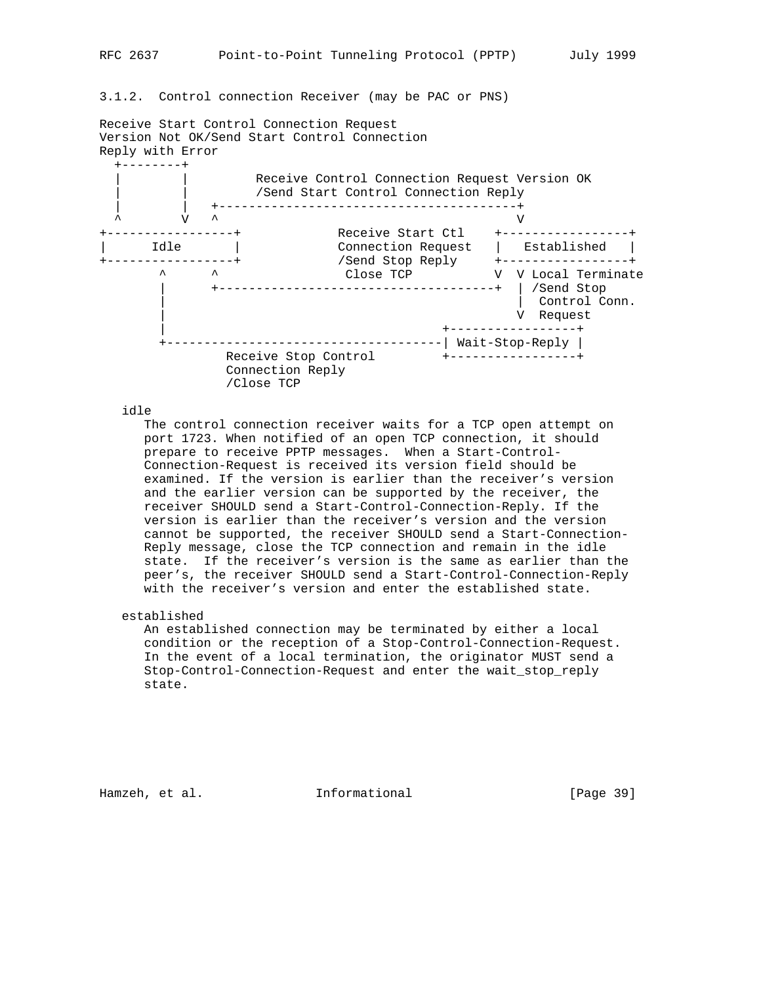# 3.1.2. Control connection Receiver (may be PAC or PNS)

Receive Start Control Connection Request Version Not OK/Send Start Control Connection Reply with Error



idle

 The control connection receiver waits for a TCP open attempt on port 1723. When notified of an open TCP connection, it should prepare to receive PPTP messages. When a Start-Control- Connection-Request is received its version field should be examined. If the version is earlier than the receiver's version and the earlier version can be supported by the receiver, the receiver SHOULD send a Start-Control-Connection-Reply. If the version is earlier than the receiver's version and the version cannot be supported, the receiver SHOULD send a Start-Connection- Reply message, close the TCP connection and remain in the idle state. If the receiver's version is the same as earlier than the peer's, the receiver SHOULD send a Start-Control-Connection-Reply with the receiver's version and enter the established state.

established

 An established connection may be terminated by either a local condition or the reception of a Stop-Control-Connection-Request. In the event of a local termination, the originator MUST send a Stop-Control-Connection-Request and enter the wait\_stop\_reply state.

Hamzeh, et al. 1nformational 1999 [Page 39]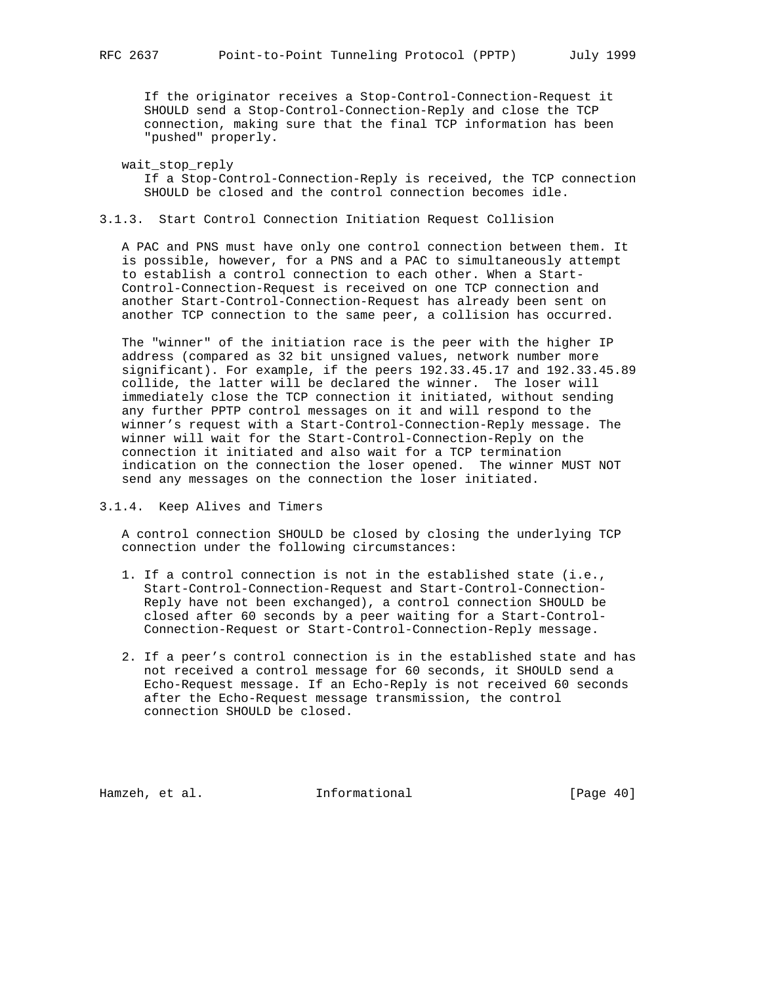If the originator receives a Stop-Control-Connection-Request it SHOULD send a Stop-Control-Connection-Reply and close the TCP connection, making sure that the final TCP information has been "pushed" properly.

```
 wait_stop_reply
```
 If a Stop-Control-Connection-Reply is received, the TCP connection SHOULD be closed and the control connection becomes idle.

# 3.1.3. Start Control Connection Initiation Request Collision

 A PAC and PNS must have only one control connection between them. It is possible, however, for a PNS and a PAC to simultaneously attempt to establish a control connection to each other. When a Start- Control-Connection-Request is received on one TCP connection and another Start-Control-Connection-Request has already been sent on another TCP connection to the same peer, a collision has occurred.

 The "winner" of the initiation race is the peer with the higher IP address (compared as 32 bit unsigned values, network number more significant). For example, if the peers 192.33.45.17 and 192.33.45.89 collide, the latter will be declared the winner. The loser will immediately close the TCP connection it initiated, without sending any further PPTP control messages on it and will respond to the winner's request with a Start-Control-Connection-Reply message. The winner will wait for the Start-Control-Connection-Reply on the connection it initiated and also wait for a TCP termination indication on the connection the loser opened. The winner MUST NOT send any messages on the connection the loser initiated.

3.1.4. Keep Alives and Timers

 A control connection SHOULD be closed by closing the underlying TCP connection under the following circumstances:

- 1. If a control connection is not in the established state (i.e., Start-Control-Connection-Request and Start-Control-Connection- Reply have not been exchanged), a control connection SHOULD be closed after 60 seconds by a peer waiting for a Start-Control- Connection-Request or Start-Control-Connection-Reply message.
- 2. If a peer's control connection is in the established state and has not received a control message for 60 seconds, it SHOULD send a Echo-Request message. If an Echo-Reply is not received 60 seconds after the Echo-Request message transmission, the control connection SHOULD be closed.

Hamzeh, et al. **Informational** [Page 40]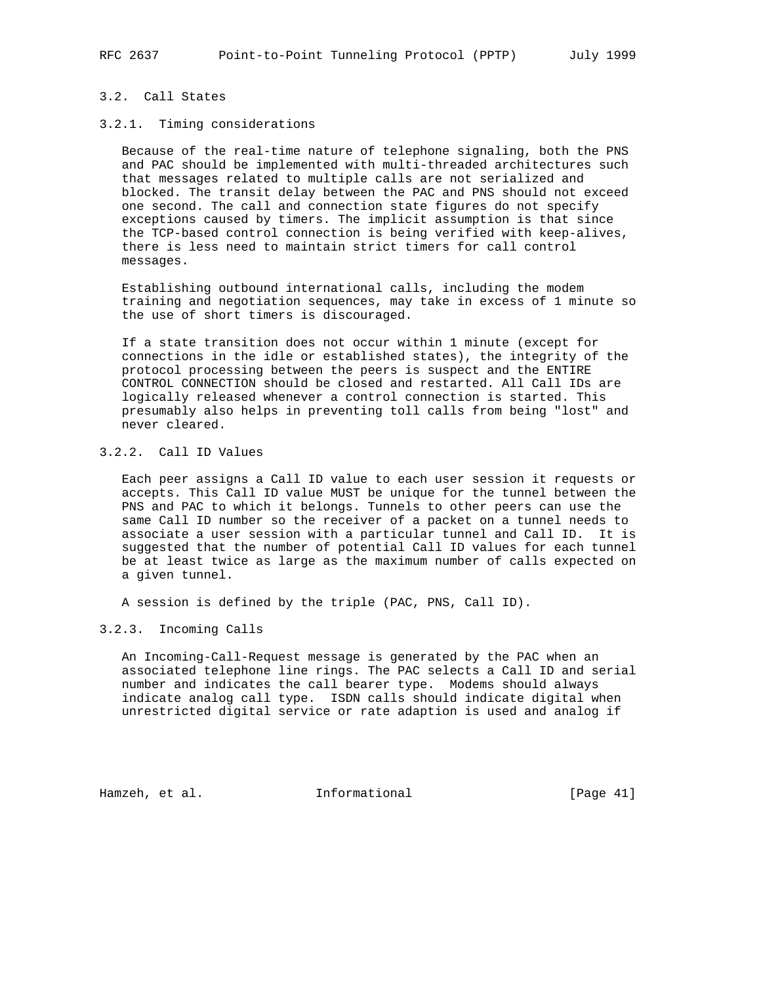# 3.2. Call States

## 3.2.1. Timing considerations

 Because of the real-time nature of telephone signaling, both the PNS and PAC should be implemented with multi-threaded architectures such that messages related to multiple calls are not serialized and blocked. The transit delay between the PAC and PNS should not exceed one second. The call and connection state figures do not specify exceptions caused by timers. The implicit assumption is that since the TCP-based control connection is being verified with keep-alives, there is less need to maintain strict timers for call control messages.

 Establishing outbound international calls, including the modem training and negotiation sequences, may take in excess of 1 minute so the use of short timers is discouraged.

 If a state transition does not occur within 1 minute (except for connections in the idle or established states), the integrity of the protocol processing between the peers is suspect and the ENTIRE CONTROL CONNECTION should be closed and restarted. All Call IDs are logically released whenever a control connection is started. This presumably also helps in preventing toll calls from being "lost" and never cleared.

# 3.2.2. Call ID Values

 Each peer assigns a Call ID value to each user session it requests or accepts. This Call ID value MUST be unique for the tunnel between the PNS and PAC to which it belongs. Tunnels to other peers can use the same Call ID number so the receiver of a packet on a tunnel needs to associate a user session with a particular tunnel and Call ID. It is suggested that the number of potential Call ID values for each tunnel be at least twice as large as the maximum number of calls expected on a given tunnel.

A session is defined by the triple (PAC, PNS, Call ID).

3.2.3. Incoming Calls

 An Incoming-Call-Request message is generated by the PAC when an associated telephone line rings. The PAC selects a Call ID and serial number and indicates the call bearer type. Modems should always indicate analog call type. ISDN calls should indicate digital when unrestricted digital service or rate adaption is used and analog if

Hamzeh, et al. **Informational** [Page 41]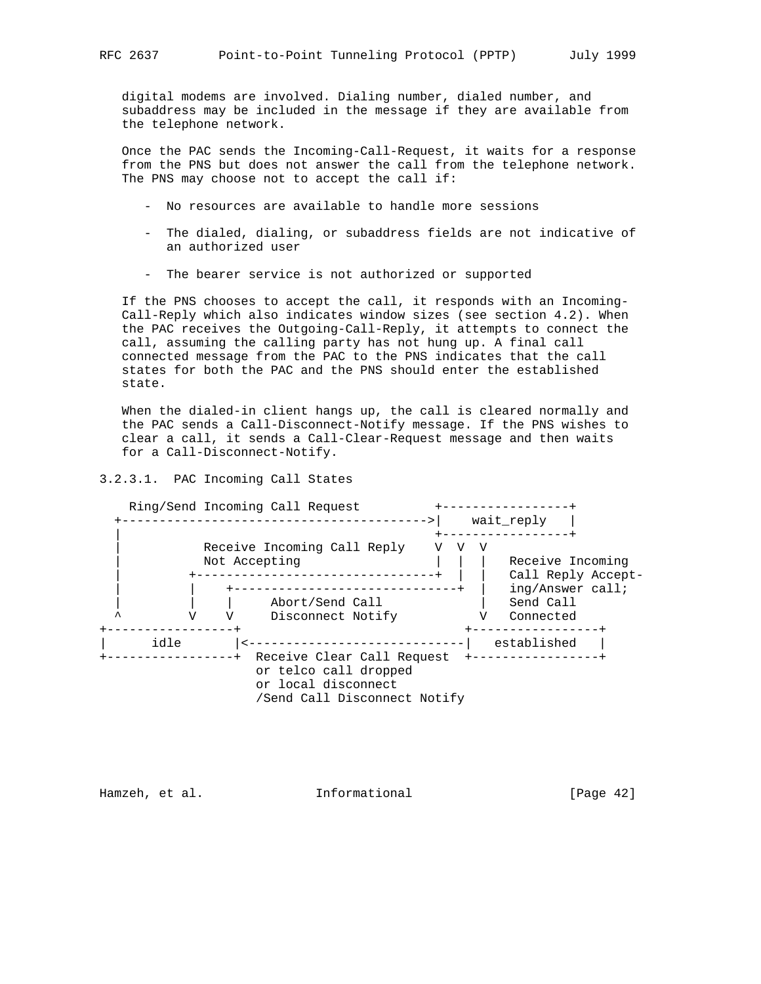digital modems are involved. Dialing number, dialed number, and subaddress may be included in the message if they are available from the telephone network.

 Once the PAC sends the Incoming-Call-Request, it waits for a response from the PNS but does not answer the call from the telephone network. The PNS may choose not to accept the call if:

- No resources are available to handle more sessions
- The dialed, dialing, or subaddress fields are not indicative of an authorized user
- The bearer service is not authorized or supported

 If the PNS chooses to accept the call, it responds with an Incoming- Call-Reply which also indicates window sizes (see section 4.2). When the PAC receives the Outgoing-Call-Reply, it attempts to connect the call, assuming the calling party has not hung up. A final call connected message from the PAC to the PNS indicates that the call states for both the PAC and the PNS should enter the established state.

 When the dialed-in client hangs up, the call is cleared normally and the PAC sends a Call-Disconnect-Notify message. If the PNS wishes to clear a call, it sends a Call-Clear-Request message and then waits for a Call-Disconnect-Notify.

#### 3.2.3.1. PAC Incoming Call States



Hamzeh, et al. 1nformational 1999 [Page 42]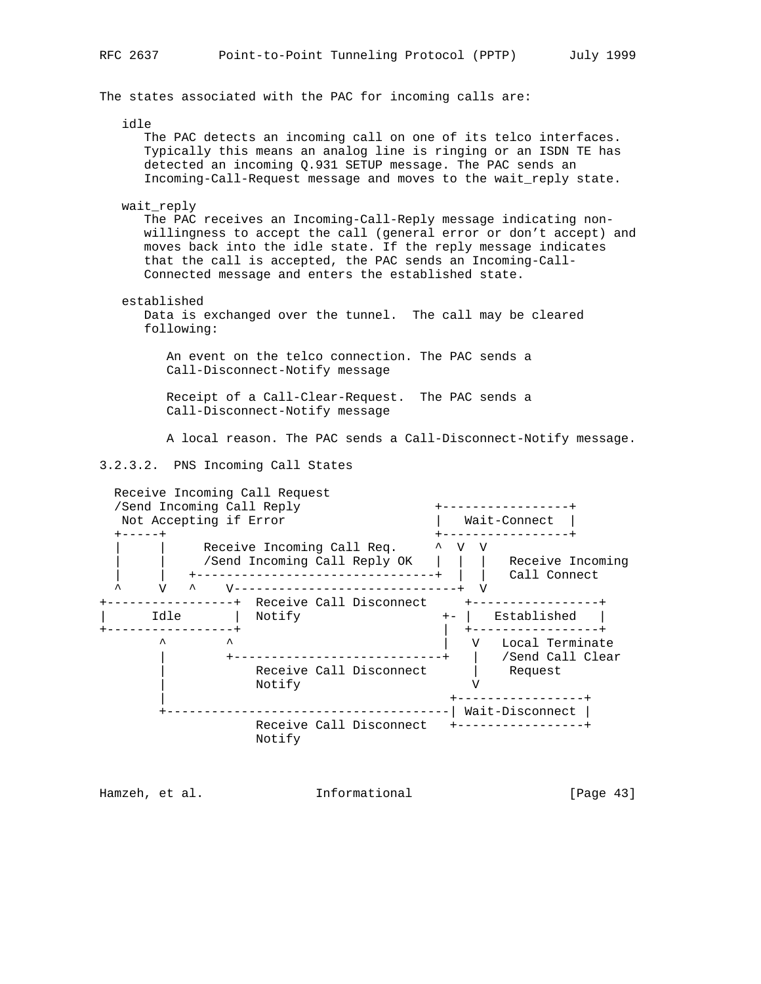The states associated with the PAC for incoming calls are:

idle

 The PAC detects an incoming call on one of its telco interfaces. Typically this means an analog line is ringing or an ISDN TE has detected an incoming Q.931 SETUP message. The PAC sends an Incoming-Call-Request message and moves to the wait\_reply state.

wait reply

 The PAC receives an Incoming-Call-Reply message indicating non willingness to accept the call (general error or don't accept) and moves back into the idle state. If the reply message indicates that the call is accepted, the PAC sends an Incoming-Call- Connected message and enters the established state.

established

 Data is exchanged over the tunnel. The call may be cleared following:

 An event on the telco connection. The PAC sends a Call-Disconnect-Notify message

 Receipt of a Call-Clear-Request. The PAC sends a Call-Disconnect-Notify message

A local reason. The PAC sends a Call-Disconnect-Notify message.

3.2.3.2. PNS Incoming Call States



Hamzeh, et al. 1nformational [Page 43]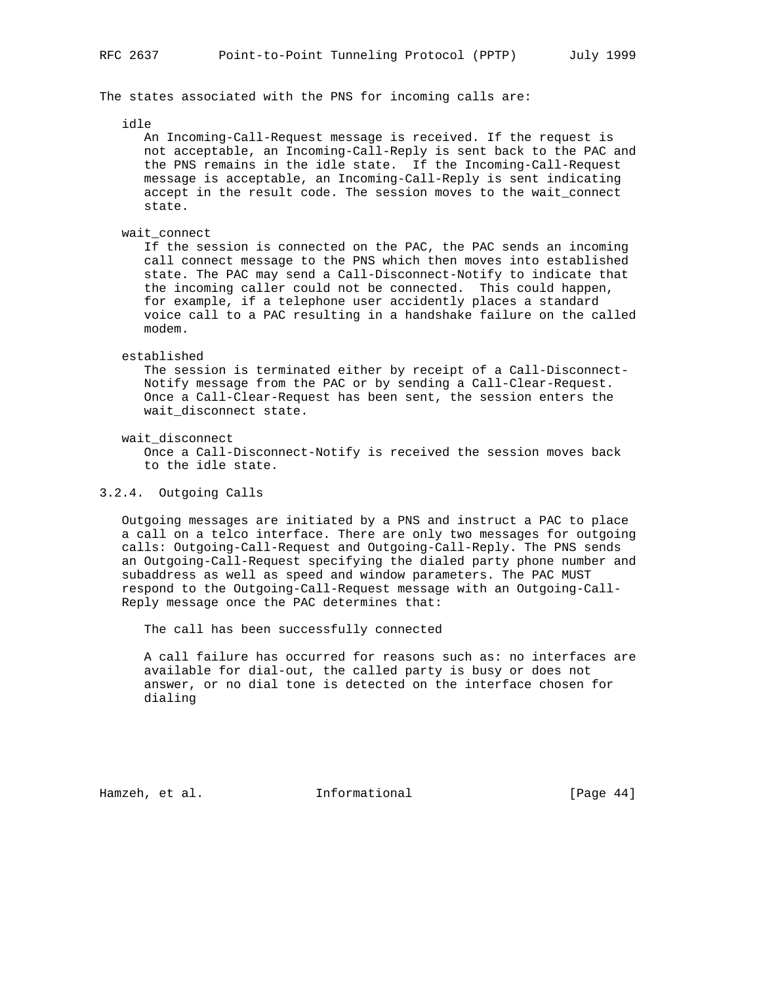The states associated with the PNS for incoming calls are:

idle

 An Incoming-Call-Request message is received. If the request is not acceptable, an Incoming-Call-Reply is sent back to the PAC and the PNS remains in the idle state. If the Incoming-Call-Request message is acceptable, an Incoming-Call-Reply is sent indicating accept in the result code. The session moves to the wait\_connect state.

wait\_connect

 If the session is connected on the PAC, the PAC sends an incoming call connect message to the PNS which then moves into established state. The PAC may send a Call-Disconnect-Notify to indicate that the incoming caller could not be connected. This could happen, for example, if a telephone user accidently places a standard voice call to a PAC resulting in a handshake failure on the called modem.

#### established

 The session is terminated either by receipt of a Call-Disconnect- Notify message from the PAC or by sending a Call-Clear-Request. Once a Call-Clear-Request has been sent, the session enters the wait\_disconnect state.

wait\_disconnect

 Once a Call-Disconnect-Notify is received the session moves back to the idle state.

## 3.2.4. Outgoing Calls

 Outgoing messages are initiated by a PNS and instruct a PAC to place a call on a telco interface. There are only two messages for outgoing calls: Outgoing-Call-Request and Outgoing-Call-Reply. The PNS sends an Outgoing-Call-Request specifying the dialed party phone number and subaddress as well as speed and window parameters. The PAC MUST respond to the Outgoing-Call-Request message with an Outgoing-Call- Reply message once the PAC determines that:

The call has been successfully connected

 A call failure has occurred for reasons such as: no interfaces are available for dial-out, the called party is busy or does not answer, or no dial tone is detected on the interface chosen for dialing

Hamzeh, et al. **Informational** [Page 44]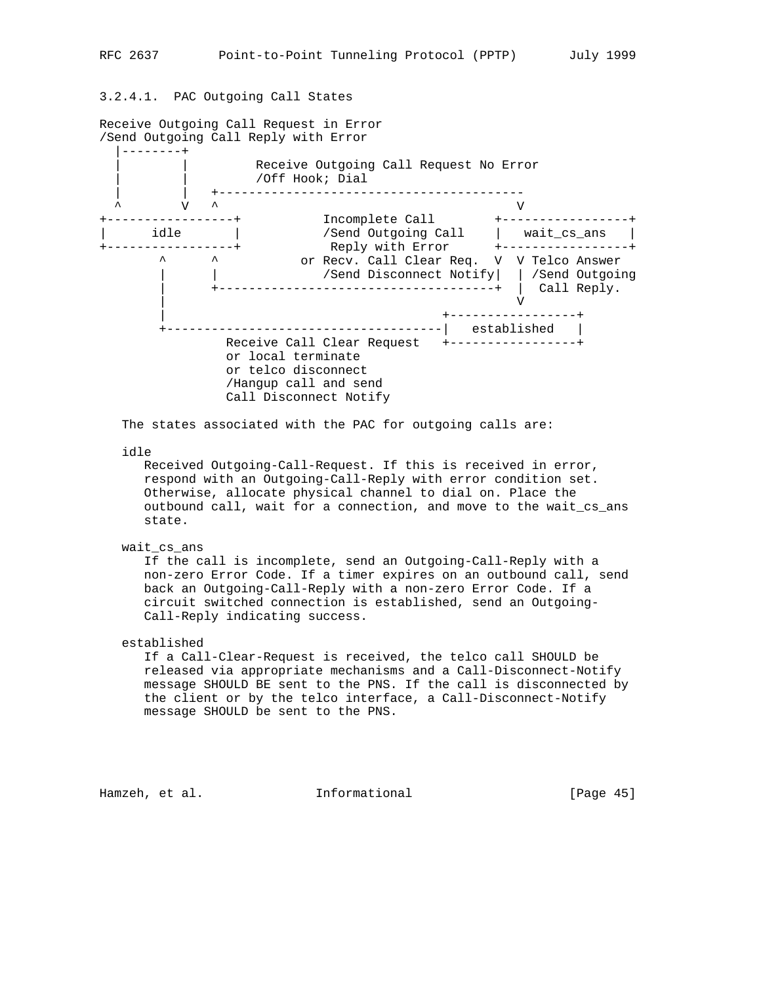# 3.2.4.1. PAC Outgoing Call States



The states associated with the PAC for outgoing calls are:

idle

 Received Outgoing-Call-Request. If this is received in error, respond with an Outgoing-Call-Reply with error condition set. Otherwise, allocate physical channel to dial on. Place the outbound call, wait for a connection, and move to the wait\_cs\_ans state.

#### wait cs ans

 If the call is incomplete, send an Outgoing-Call-Reply with a non-zero Error Code. If a timer expires on an outbound call, send back an Outgoing-Call-Reply with a non-zero Error Code. If a circuit switched connection is established, send an Outgoing- Call-Reply indicating success.

## established

 If a Call-Clear-Request is received, the telco call SHOULD be released via appropriate mechanisms and a Call-Disconnect-Notify message SHOULD BE sent to the PNS. If the call is disconnected by the client or by the telco interface, a Call-Disconnect-Notify message SHOULD be sent to the PNS.

Hamzeh, et al. 1nformational 1999 [Page 45]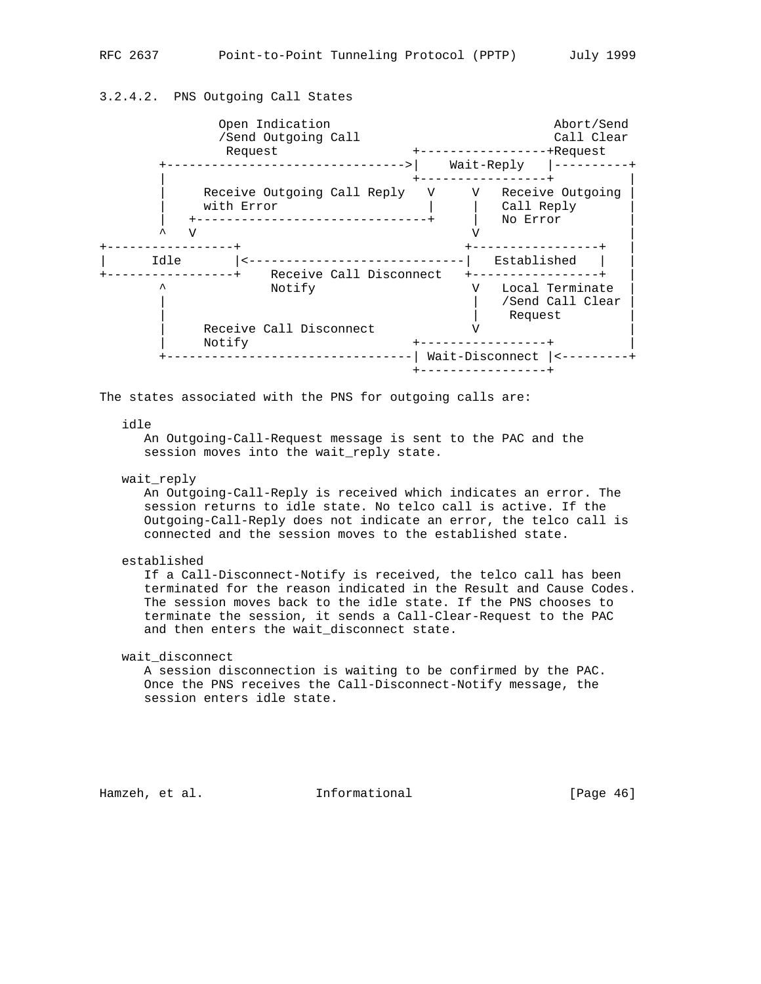# 3.2.4.2. PNS Outgoing Call States

| Open Indication<br>/Send Outgoing Call<br>Request |   | -----------<br>Wait-Reply     | Abort/Send<br>Call Clear<br>-+Request |
|---------------------------------------------------|---|-------------------------------|---------------------------------------|
| Receive Outgoing Call Reply<br>with Error<br>٦Z   | V | V —<br>Call Reply<br>No Error | Receive Outgoing                      |
| Idle<br>Receive Call Disconnect                   |   | Established                   |                                       |
| ᄉ<br>Notify                                       |   | Request                       | Local Terminate<br>/Send Call Clear   |
| Receive Call Disconnect<br>Notify                 |   | Wait-Disconnect               |                                       |

The states associated with the PNS for outgoing calls are:

#### idle

 An Outgoing-Call-Request message is sent to the PAC and the session moves into the wait\_reply state.

wait\_reply

 An Outgoing-Call-Reply is received which indicates an error. The session returns to idle state. No telco call is active. If the Outgoing-Call-Reply does not indicate an error, the telco call is connected and the session moves to the established state.

#### established

 If a Call-Disconnect-Notify is received, the telco call has been terminated for the reason indicated in the Result and Cause Codes. The session moves back to the idle state. If the PNS chooses to terminate the session, it sends a Call-Clear-Request to the PAC and then enters the wait\_disconnect state.

wait\_disconnect

 A session disconnection is waiting to be confirmed by the PAC. Once the PNS receives the Call-Disconnect-Notify message, the session enters idle state.

Hamzeh, et al. **Informational** [Page 46]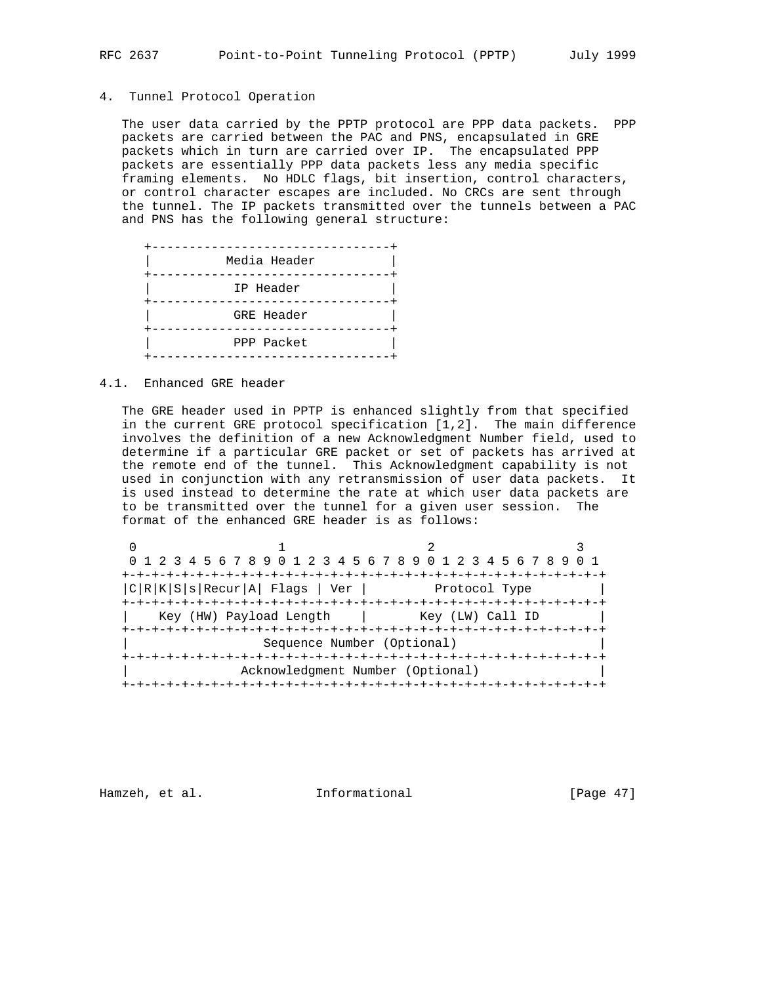# 4. Tunnel Protocol Operation

 The user data carried by the PPTP protocol are PPP data packets. PPP packets are carried between the PAC and PNS, encapsulated in GRE packets which in turn are carried over IP. The encapsulated PPP packets are essentially PPP data packets less any media specific framing elements. No HDLC flags, bit insertion, control characters, or control character escapes are included. No CRCs are sent through the tunnel. The IP packets transmitted over the tunnels between a PAC and PNS has the following general structure:

| Media Header      |  |
|-------------------|--|
| IP Header         |  |
| <b>GRE Header</b> |  |
| PPP Packet        |  |

#### 4.1. Enhanced GRE header

 The GRE header used in PPTP is enhanced slightly from that specified in the current GRE protocol specification [1,2]. The main difference involves the definition of a new Acknowledgment Number field, used to determine if a particular GRE packet or set of packets has arrived at the remote end of the tunnel. This Acknowledgment capability is not used in conjunction with any retransmission of user data packets. It is used instead to determine the rate at which user data packets are to be transmitted over the tunnel for a given user session. The format of the enhanced GRE header is as follows:

|                                  |                                | 0 1 2 3 4 5 6 7 8 9 0 1 2 3 4 5 6 7 8 9 0 1 2 3 4 5 6 7 8 9 |  |  |  |
|----------------------------------|--------------------------------|-------------------------------------------------------------|--|--|--|
|                                  |                                |                                                             |  |  |  |
|                                  | C R K S s Recur A  Flags   Ver | Protocol Type                                               |  |  |  |
|                                  |                                |                                                             |  |  |  |
|                                  | Key (HW) Payload Length        | Key (LW) Call ID                                            |  |  |  |
|                                  |                                |                                                             |  |  |  |
| Sequence Number (Optional)       |                                |                                                             |  |  |  |
|                                  |                                |                                                             |  |  |  |
| Acknowledgment Number (Optional) |                                |                                                             |  |  |  |
|                                  |                                |                                                             |  |  |  |

Hamzeh, et al. **Informational** [Page 47]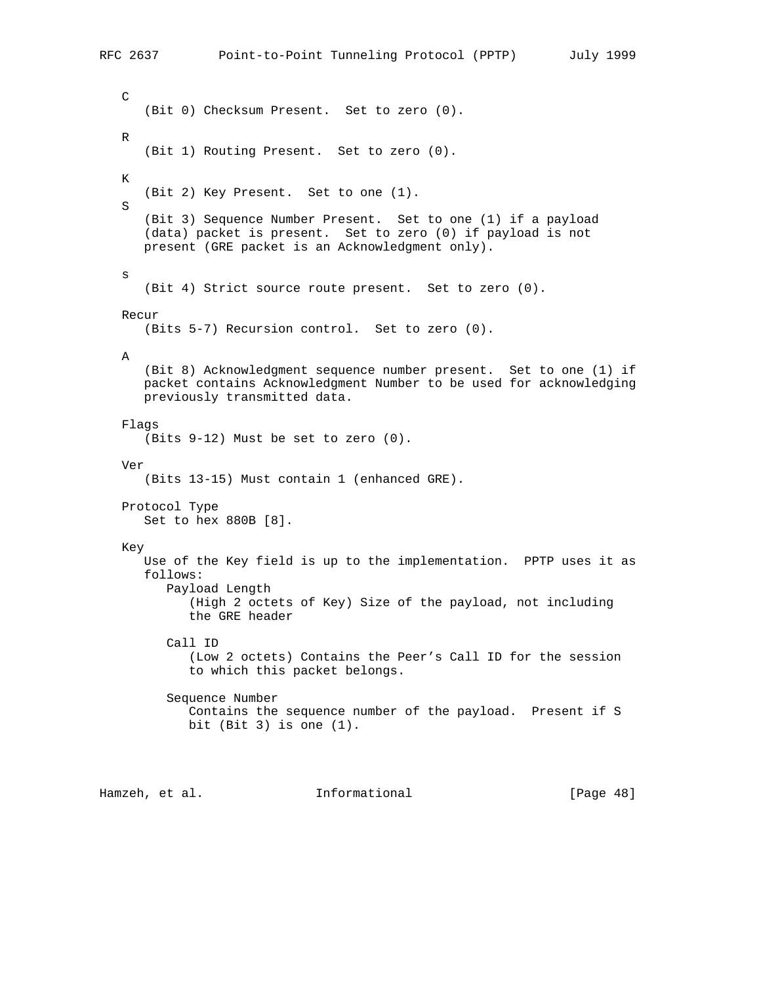```
 C
       (Bit 0) Checksum Present. Set to zero (0).
   R
       (Bit 1) Routing Present. Set to zero (0).
   K
       (Bit 2) Key Present. Set to one (1).
    S
      (Bit 3) Sequence Number Present. Set to one (1) if a payload
       (data) packet is present. Set to zero (0) if payload is not
      present (GRE packet is an Acknowledgment only).
    s
       (Bit 4) Strict source route present. Set to zero (0).
   Recur
      (Bits 5-7) Recursion control. Set to zero (0).
    A
       (Bit 8) Acknowledgment sequence number present. Set to one (1) if
      packet contains Acknowledgment Number to be used for acknowledging
      previously transmitted data.
    Flags
       (Bits 9-12) Must be set to zero (0).
    Ver
       (Bits 13-15) Must contain 1 (enhanced GRE).
    Protocol Type
      Set to hex 880B [8].
   Key
       Use of the Key field is up to the implementation. PPTP uses it as
       follows:
          Payload Length
             (High 2 octets of Key) Size of the payload, not including
             the GRE header
          Call ID
             (Low 2 octets) Contains the Peer's Call ID for the session
             to which this packet belongs.
          Sequence Number
            Contains the sequence number of the payload. Present if S
           bit (Bit 3) is one (1).
Hamzeh, et al. Informational [Page 48]
```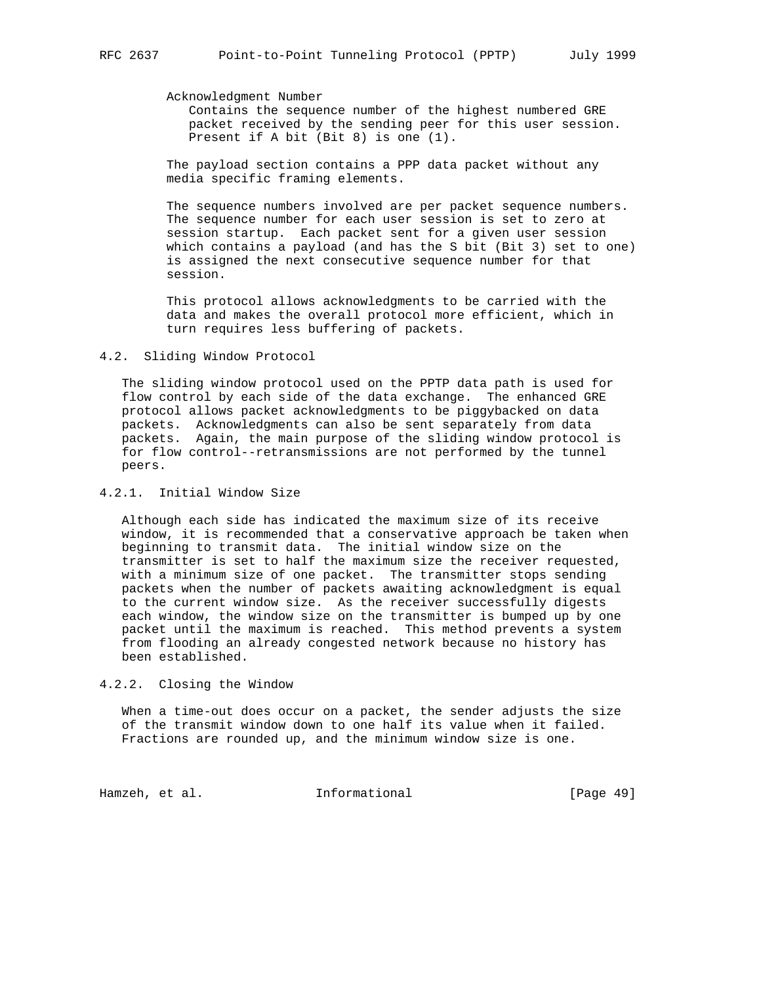#### Acknowledgment Number

 Contains the sequence number of the highest numbered GRE packet received by the sending peer for this user session. Present if A bit (Bit 8) is one (1).

 The payload section contains a PPP data packet without any media specific framing elements.

 The sequence numbers involved are per packet sequence numbers. The sequence number for each user session is set to zero at session startup. Each packet sent for a given user session which contains a payload (and has the S bit (Bit 3) set to one) is assigned the next consecutive sequence number for that session.

 This protocol allows acknowledgments to be carried with the data and makes the overall protocol more efficient, which in turn requires less buffering of packets.

#### 4.2. Sliding Window Protocol

 The sliding window protocol used on the PPTP data path is used for flow control by each side of the data exchange. The enhanced GRE protocol allows packet acknowledgments to be piggybacked on data packets. Acknowledgments can also be sent separately from data packets. Again, the main purpose of the sliding window protocol is for flow control--retransmissions are not performed by the tunnel peers.

# 4.2.1. Initial Window Size

 Although each side has indicated the maximum size of its receive window, it is recommended that a conservative approach be taken when beginning to transmit data. The initial window size on the transmitter is set to half the maximum size the receiver requested, with a minimum size of one packet. The transmitter stops sending packets when the number of packets awaiting acknowledgment is equal to the current window size. As the receiver successfully digests each window, the window size on the transmitter is bumped up by one packet until the maximum is reached. This method prevents a system from flooding an already congested network because no history has been established.

#### 4.2.2. Closing the Window

 When a time-out does occur on a packet, the sender adjusts the size of the transmit window down to one half its value when it failed. Fractions are rounded up, and the minimum window size is one.

Hamzeh, et al. 1nformational [Page 49]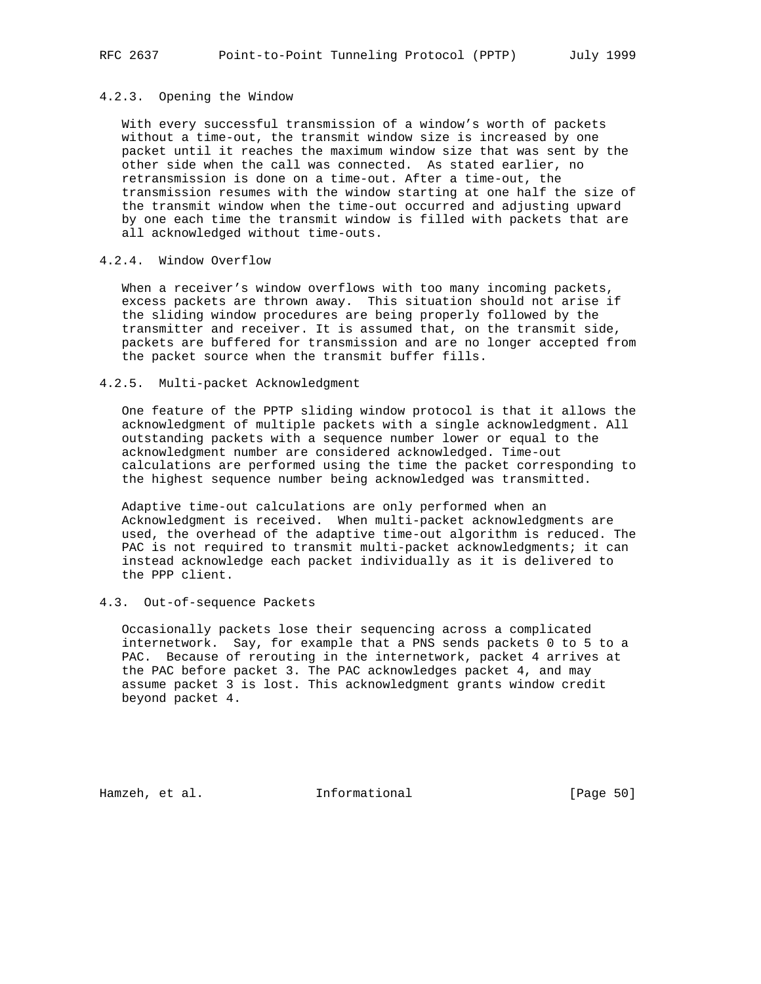### 4.2.3. Opening the Window

 With every successful transmission of a window's worth of packets without a time-out, the transmit window size is increased by one packet until it reaches the maximum window size that was sent by the other side when the call was connected. As stated earlier, no retransmission is done on a time-out. After a time-out, the transmission resumes with the window starting at one half the size of the transmit window when the time-out occurred and adjusting upward by one each time the transmit window is filled with packets that are all acknowledged without time-outs.

## 4.2.4. Window Overflow

 When a receiver's window overflows with too many incoming packets, excess packets are thrown away. This situation should not arise if the sliding window procedures are being properly followed by the transmitter and receiver. It is assumed that, on the transmit side, packets are buffered for transmission and are no longer accepted from the packet source when the transmit buffer fills.

#### 4.2.5. Multi-packet Acknowledgment

 One feature of the PPTP sliding window protocol is that it allows the acknowledgment of multiple packets with a single acknowledgment. All outstanding packets with a sequence number lower or equal to the acknowledgment number are considered acknowledged. Time-out calculations are performed using the time the packet corresponding to the highest sequence number being acknowledged was transmitted.

 Adaptive time-out calculations are only performed when an Acknowledgment is received. When multi-packet acknowledgments are used, the overhead of the adaptive time-out algorithm is reduced. The PAC is not required to transmit multi-packet acknowledgments; it can instead acknowledge each packet individually as it is delivered to the PPP client.

#### 4.3. Out-of-sequence Packets

 Occasionally packets lose their sequencing across a complicated internetwork. Say, for example that a PNS sends packets 0 to 5 to a PAC. Because of rerouting in the internetwork, packet 4 arrives at the PAC before packet 3. The PAC acknowledges packet 4, and may assume packet 3 is lost. This acknowledgment grants window credit beyond packet 4.

Hamzeh, et al. **Informational** [Page 50]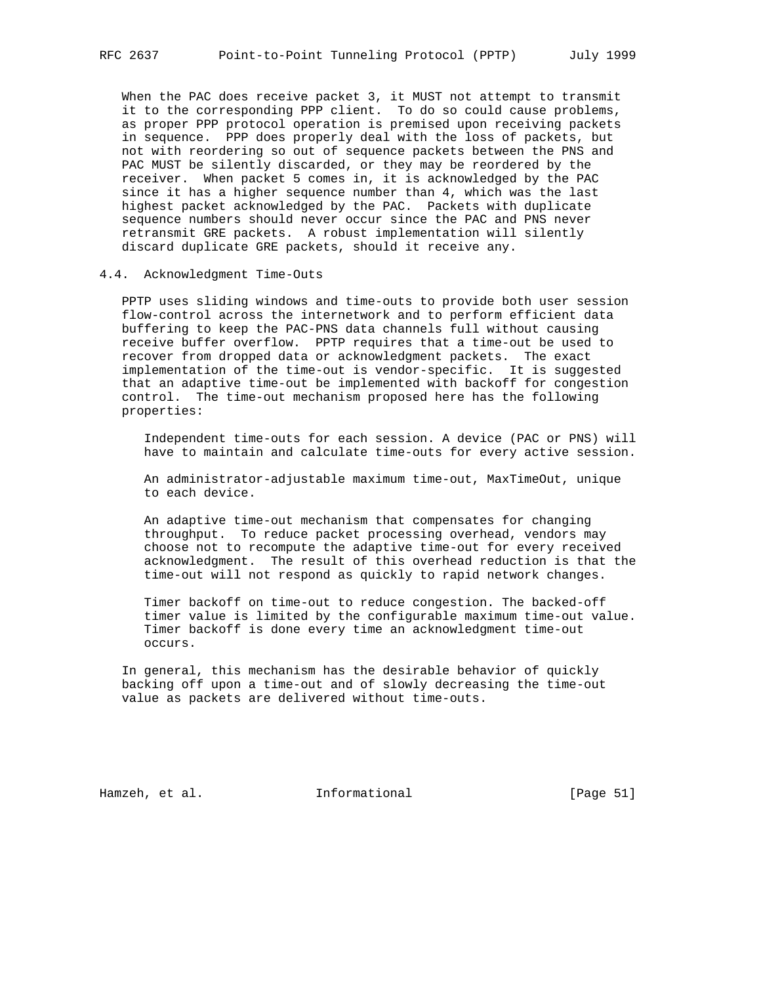When the PAC does receive packet 3, it MUST not attempt to transmit it to the corresponding PPP client. To do so could cause problems, as proper PPP protocol operation is premised upon receiving packets in sequence. PPP does properly deal with the loss of packets, but not with reordering so out of sequence packets between the PNS and PAC MUST be silently discarded, or they may be reordered by the receiver. When packet 5 comes in, it is acknowledged by the PAC since it has a higher sequence number than 4, which was the last highest packet acknowledged by the PAC. Packets with duplicate sequence numbers should never occur since the PAC and PNS never retransmit GRE packets. A robust implementation will silently discard duplicate GRE packets, should it receive any.

#### 4.4. Acknowledgment Time-Outs

 PPTP uses sliding windows and time-outs to provide both user session flow-control across the internetwork and to perform efficient data buffering to keep the PAC-PNS data channels full without causing receive buffer overflow. PPTP requires that a time-out be used to recover from dropped data or acknowledgment packets. The exact implementation of the time-out is vendor-specific. It is suggested that an adaptive time-out be implemented with backoff for congestion control. The time-out mechanism proposed here has the following properties:

 Independent time-outs for each session. A device (PAC or PNS) will have to maintain and calculate time-outs for every active session.

 An administrator-adjustable maximum time-out, MaxTimeOut, unique to each device.

 An adaptive time-out mechanism that compensates for changing throughput. To reduce packet processing overhead, vendors may choose not to recompute the adaptive time-out for every received acknowledgment. The result of this overhead reduction is that the time-out will not respond as quickly to rapid network changes.

 Timer backoff on time-out to reduce congestion. The backed-off timer value is limited by the configurable maximum time-out value. Timer backoff is done every time an acknowledgment time-out occurs.

 In general, this mechanism has the desirable behavior of quickly backing off upon a time-out and of slowly decreasing the time-out value as packets are delivered without time-outs.

Hamzeh, et al. **Informational** [Page 51]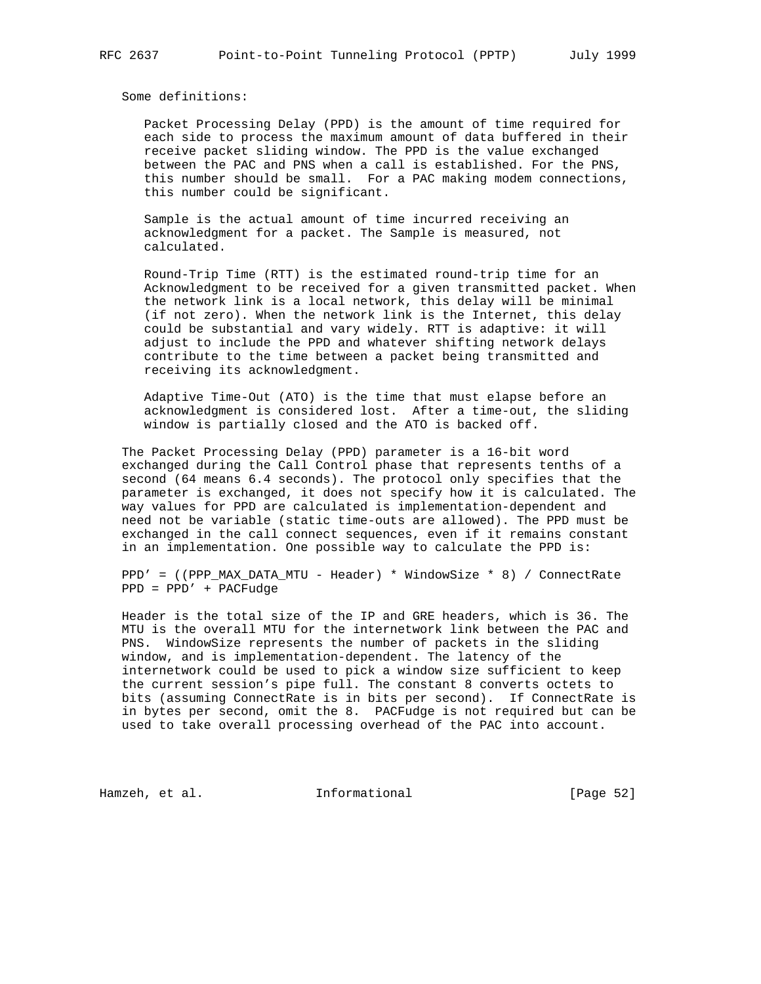Some definitions:

 Packet Processing Delay (PPD) is the amount of time required for each side to process the maximum amount of data buffered in their receive packet sliding window. The PPD is the value exchanged between the PAC and PNS when a call is established. For the PNS, this number should be small. For a PAC making modem connections, this number could be significant.

 Sample is the actual amount of time incurred receiving an acknowledgment for a packet. The Sample is measured, not calculated.

 Round-Trip Time (RTT) is the estimated round-trip time for an Acknowledgment to be received for a given transmitted packet. When the network link is a local network, this delay will be minimal (if not zero). When the network link is the Internet, this delay could be substantial and vary widely. RTT is adaptive: it will adjust to include the PPD and whatever shifting network delays contribute to the time between a packet being transmitted and receiving its acknowledgment.

 Adaptive Time-Out (ATO) is the time that must elapse before an acknowledgment is considered lost. After a time-out, the sliding window is partially closed and the ATO is backed off.

 The Packet Processing Delay (PPD) parameter is a 16-bit word exchanged during the Call Control phase that represents tenths of a second (64 means 6.4 seconds). The protocol only specifies that the parameter is exchanged, it does not specify how it is calculated. The way values for PPD are calculated is implementation-dependent and need not be variable (static time-outs are allowed). The PPD must be exchanged in the call connect sequences, even if it remains constant in an implementation. One possible way to calculate the PPD is:

 PPD' = ((PPP\_MAX\_DATA\_MTU - Header) \* WindowSize \* 8) / ConnectRate PPD = PPD' + PACFudge

 Header is the total size of the IP and GRE headers, which is 36. The MTU is the overall MTU for the internetwork link between the PAC and PNS. WindowSize represents the number of packets in the sliding window, and is implementation-dependent. The latency of the internetwork could be used to pick a window size sufficient to keep the current session's pipe full. The constant 8 converts octets to bits (assuming ConnectRate is in bits per second). If ConnectRate is in bytes per second, omit the 8. PACFudge is not required but can be used to take overall processing overhead of the PAC into account.

Hamzeh, et al. 1nformational [Page 52]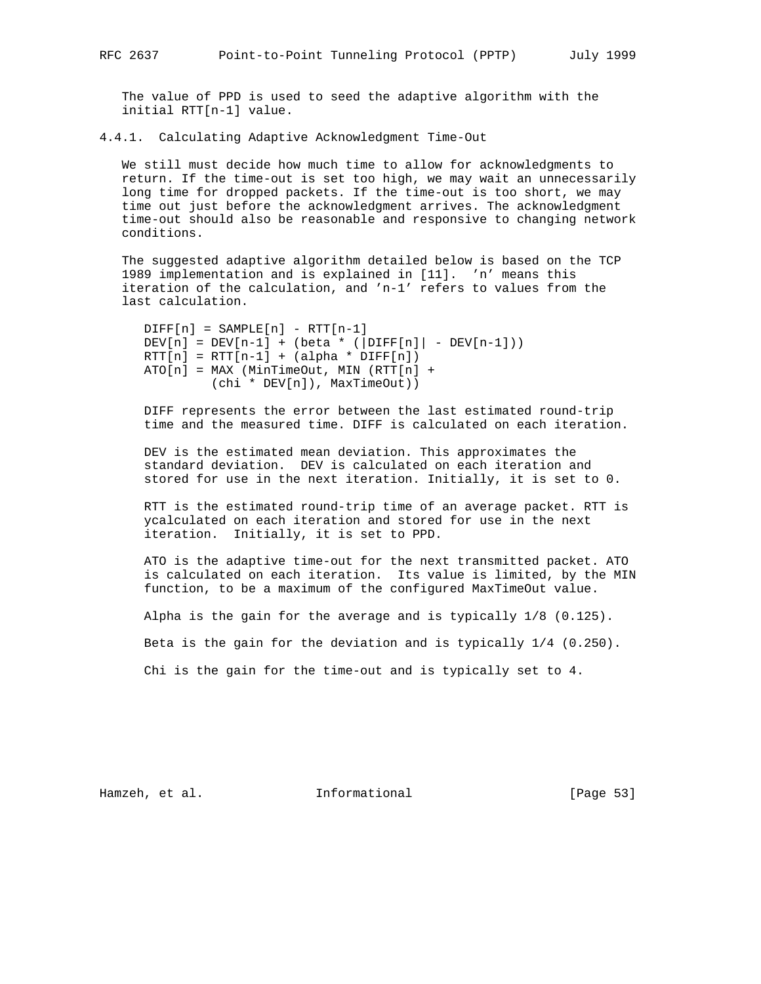The value of PPD is used to seed the adaptive algorithm with the initial RTT[n-1] value.

4.4.1. Calculating Adaptive Acknowledgment Time-Out

 We still must decide how much time to allow for acknowledgments to return. If the time-out is set too high, we may wait an unnecessarily long time for dropped packets. If the time-out is too short, we may time out just before the acknowledgment arrives. The acknowledgment time-out should also be reasonable and responsive to changing network conditions.

 The suggested adaptive algorithm detailed below is based on the TCP 1989 implementation and is explained in [11]. 'n' means this iteration of the calculation, and 'n-1' refers to values from the last calculation.

```
DIFF[n] = SAMPLE[n] - RTT[n-1]DEV[n] = DEV[n-1] + (beta * (DIFF[n)] - DEV[n-1]))RTT[n] = RTT[n-1] + (alpha * DIFF[n])ATO[n] = MAX (MinTimeOut, MIN (RTT[n] + (chi * DEV[n]), MaxTimeOut))
```
 DIFF represents the error between the last estimated round-trip time and the measured time. DIFF is calculated on each iteration.

 DEV is the estimated mean deviation. This approximates the standard deviation. DEV is calculated on each iteration and stored for use in the next iteration. Initially, it is set to 0.

 RTT is the estimated round-trip time of an average packet. RTT is ycalculated on each iteration and stored for use in the next iteration. Initially, it is set to PPD.

 ATO is the adaptive time-out for the next transmitted packet. ATO is calculated on each iteration. Its value is limited, by the MIN function, to be a maximum of the configured MaxTimeOut value.

Alpha is the gain for the average and is typically 1/8 (0.125).

Beta is the gain for the deviation and is typically 1/4 (0.250).

Chi is the gain for the time-out and is typically set to 4.

Hamzeh, et al. 1nformational [Page 53]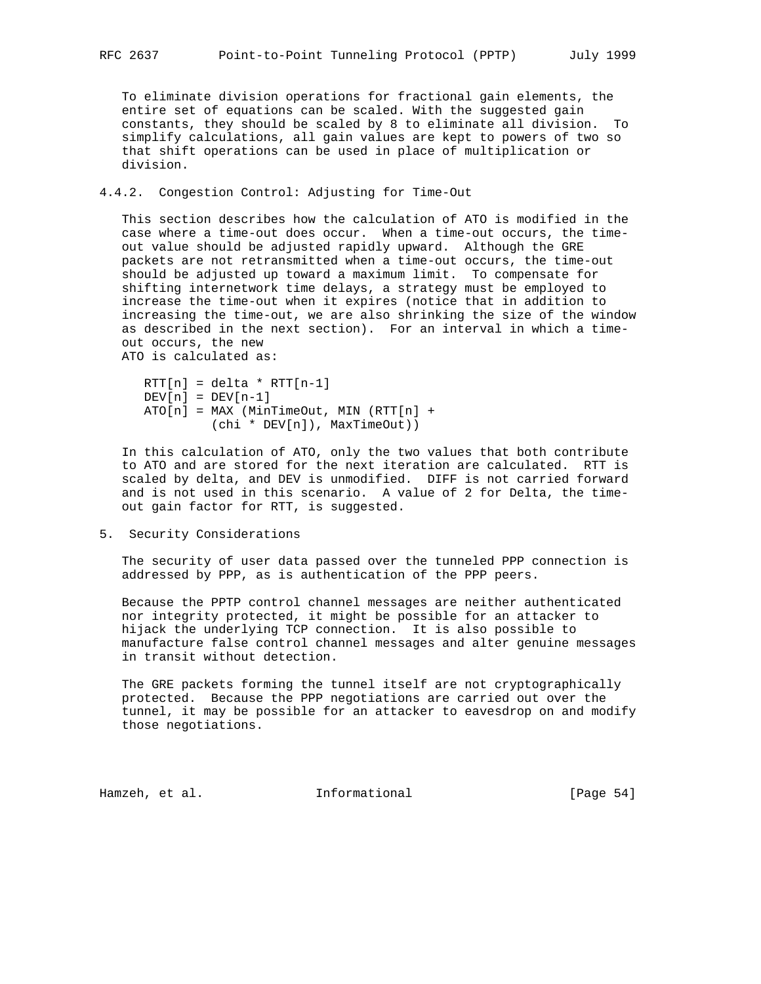To eliminate division operations for fractional gain elements, the entire set of equations can be scaled. With the suggested gain constants, they should be scaled by 8 to eliminate all division. To simplify calculations, all gain values are kept to powers of two so that shift operations can be used in place of multiplication or division.

4.4.2. Congestion Control: Adjusting for Time-Out

 This section describes how the calculation of ATO is modified in the case where a time-out does occur. When a time-out occurs, the time out value should be adjusted rapidly upward. Although the GRE packets are not retransmitted when a time-out occurs, the time-out should be adjusted up toward a maximum limit. To compensate for shifting internetwork time delays, a strategy must be employed to increase the time-out when it expires (notice that in addition to increasing the time-out, we are also shrinking the size of the window as described in the next section). For an interval in which a time out occurs, the new ATO is calculated as:

```
RTT[n] = delta * RTT[n-1]DEV[n] = DEV[n-1]ATO[n] = MAX (MinTimeOut, MIN (RTT[n] + (chi * DEV[n]), MaxTimeOut))
```
 In this calculation of ATO, only the two values that both contribute to ATO and are stored for the next iteration are calculated. RTT is scaled by delta, and DEV is unmodified. DIFF is not carried forward and is not used in this scenario. A value of 2 for Delta, the time out gain factor for RTT, is suggested.

5. Security Considerations

 The security of user data passed over the tunneled PPP connection is addressed by PPP, as is authentication of the PPP peers.

 Because the PPTP control channel messages are neither authenticated nor integrity protected, it might be possible for an attacker to hijack the underlying TCP connection. It is also possible to manufacture false control channel messages and alter genuine messages in transit without detection.

 The GRE packets forming the tunnel itself are not cryptographically protected. Because the PPP negotiations are carried out over the tunnel, it may be possible for an attacker to eavesdrop on and modify those negotiations.

Hamzeh, et al. **Informational** [Page 54]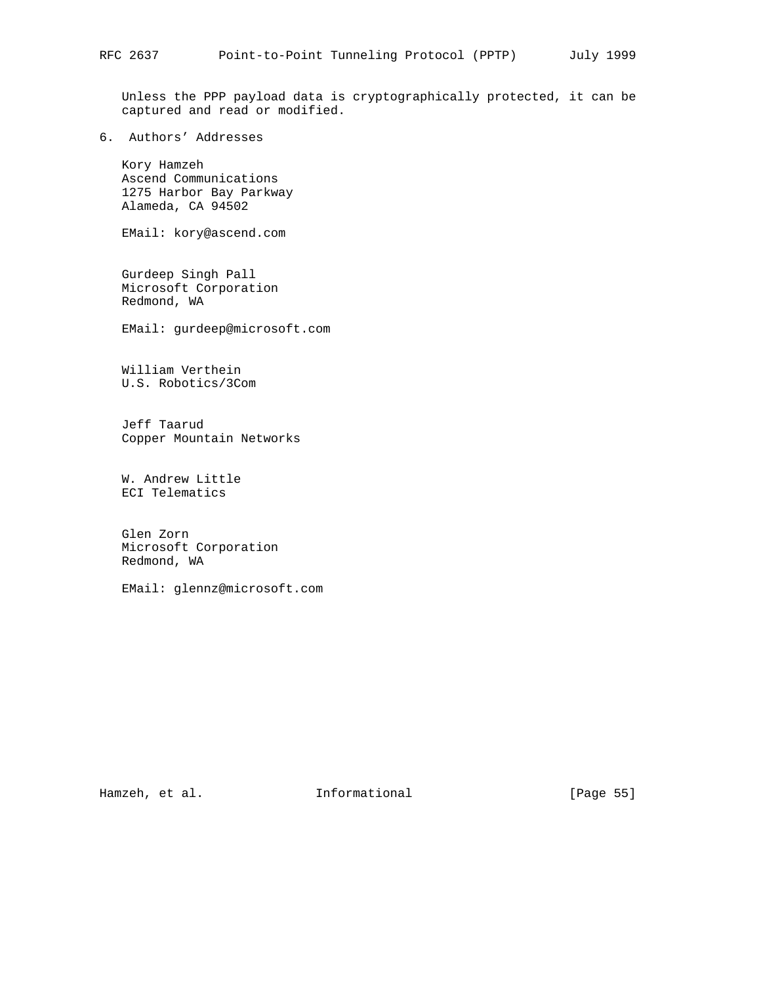Unless the PPP payload data is cryptographically protected, it can be captured and read or modified.

6. Authors' Addresses

 Kory Hamzeh Ascend Communications 1275 Harbor Bay Parkway Alameda, CA 94502

EMail: kory@ascend.com

 Gurdeep Singh Pall Microsoft Corporation Redmond, WA

EMail: gurdeep@microsoft.com

 William Verthein U.S. Robotics/3Com

 Jeff Taarud Copper Mountain Networks

 W. Andrew Little ECI Telematics

 Glen Zorn Microsoft Corporation Redmond, WA

EMail: glennz@microsoft.com

Hamzeh, et al. 1nformational [Page 55]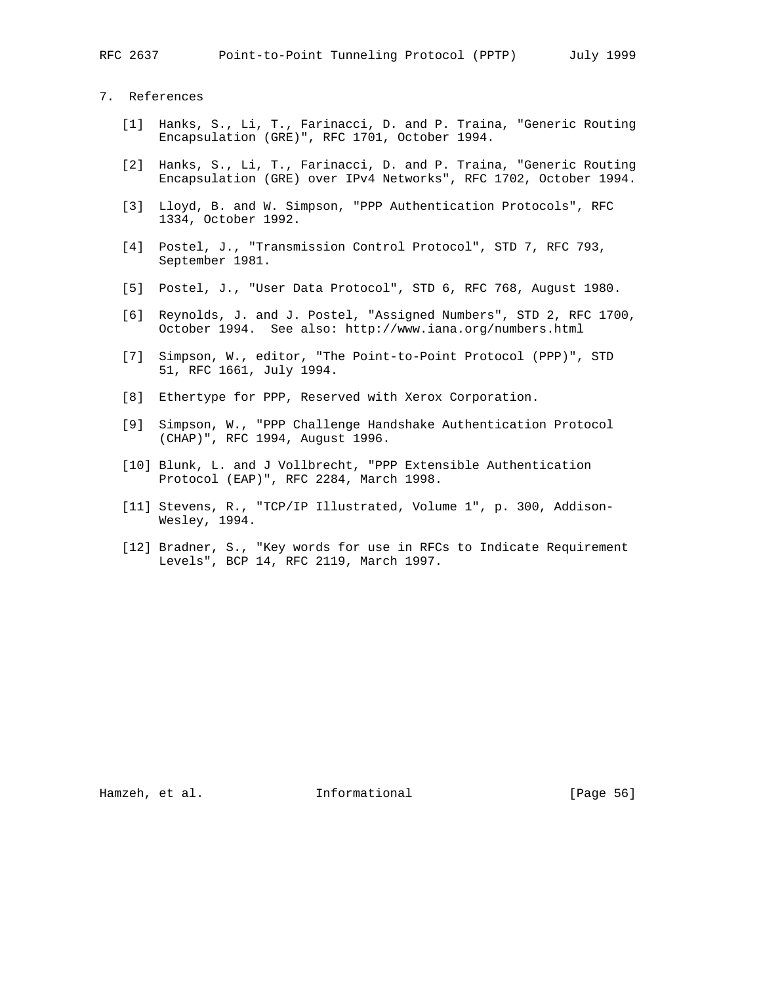RFC 2637 Point-to-Point Tunneling Protocol (PPTP) July 1999

# 7. References

- [1] Hanks, S., Li, T., Farinacci, D. and P. Traina, "Generic Routing Encapsulation (GRE)", RFC 1701, October 1994.
- [2] Hanks, S., Li, T., Farinacci, D. and P. Traina, "Generic Routing Encapsulation (GRE) over IPv4 Networks", RFC 1702, October 1994.
- [3] Lloyd, B. and W. Simpson, "PPP Authentication Protocols", RFC 1334, October 1992.
- [4] Postel, J., "Transmission Control Protocol", STD 7, RFC 793, September 1981.
- [5] Postel, J., "User Data Protocol", STD 6, RFC 768, August 1980.
- [6] Reynolds, J. and J. Postel, "Assigned Numbers", STD 2, RFC 1700, October 1994. See also: http://www.iana.org/numbers.html
- [7] Simpson, W., editor, "The Point-to-Point Protocol (PPP)", STD 51, RFC 1661, July 1994.
- [8] Ethertype for PPP, Reserved with Xerox Corporation.
- [9] Simpson, W., "PPP Challenge Handshake Authentication Protocol (CHAP)", RFC 1994, August 1996.
- [10] Blunk, L. and J Vollbrecht, "PPP Extensible Authentication Protocol (EAP)", RFC 2284, March 1998.
- [11] Stevens, R., "TCP/IP Illustrated, Volume 1", p. 300, Addison-Wesley, 1994.
- [12] Bradner, S., "Key words for use in RFCs to Indicate Requirement Levels", BCP 14, RFC 2119, March 1997.